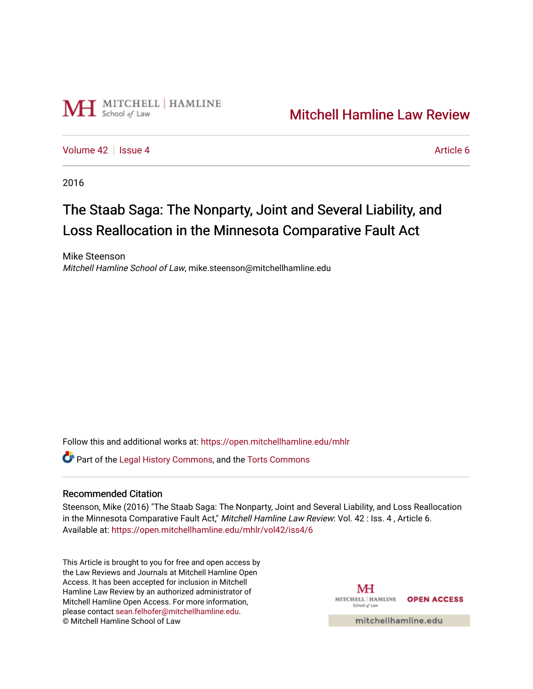

# [Mitchell Hamline Law Review](https://open.mitchellhamline.edu/mhlr)

[Volume 42](https://open.mitchellhamline.edu/mhlr/vol42) | [Issue 4](https://open.mitchellhamline.edu/mhlr/vol42/iss4) Article 6

2016

# The Staab Saga: The Nonparty, Joint and Several Liability, and Loss Reallocation in the Minnesota Comparative Fault Act

Mike Steenson Mitchell Hamline School of Law, mike.steenson@mitchellhamline.edu

Follow this and additional works at: [https://open.mitchellhamline.edu/mhlr](https://open.mitchellhamline.edu/mhlr?utm_source=open.mitchellhamline.edu%2Fmhlr%2Fvol42%2Fiss4%2F6&utm_medium=PDF&utm_campaign=PDFCoverPages) 

Part of the [Legal History Commons](http://network.bepress.com/hgg/discipline/904?utm_source=open.mitchellhamline.edu%2Fmhlr%2Fvol42%2Fiss4%2F6&utm_medium=PDF&utm_campaign=PDFCoverPages), and the [Torts Commons](http://network.bepress.com/hgg/discipline/913?utm_source=open.mitchellhamline.edu%2Fmhlr%2Fvol42%2Fiss4%2F6&utm_medium=PDF&utm_campaign=PDFCoverPages)

### Recommended Citation

Steenson, Mike (2016) "The Staab Saga: The Nonparty, Joint and Several Liability, and Loss Reallocation in the Minnesota Comparative Fault Act," Mitchell Hamline Law Review: Vol. 42 : Iss. 4, Article 6. Available at: [https://open.mitchellhamline.edu/mhlr/vol42/iss4/6](https://open.mitchellhamline.edu/mhlr/vol42/iss4/6?utm_source=open.mitchellhamline.edu%2Fmhlr%2Fvol42%2Fiss4%2F6&utm_medium=PDF&utm_campaign=PDFCoverPages) 

This Article is brought to you for free and open access by the Law Reviews and Journals at Mitchell Hamline Open Access. It has been accepted for inclusion in Mitchell Hamline Law Review by an authorized administrator of Mitchell Hamline Open Access. For more information, please contact [sean.felhofer@mitchellhamline.edu.](mailto:sean.felhofer@mitchellhamline.edu) © Mitchell Hamline School of Law

MH MITCHELL | HAMLINE **OPEN ACCESS** School of Law

mitchellhamline.edu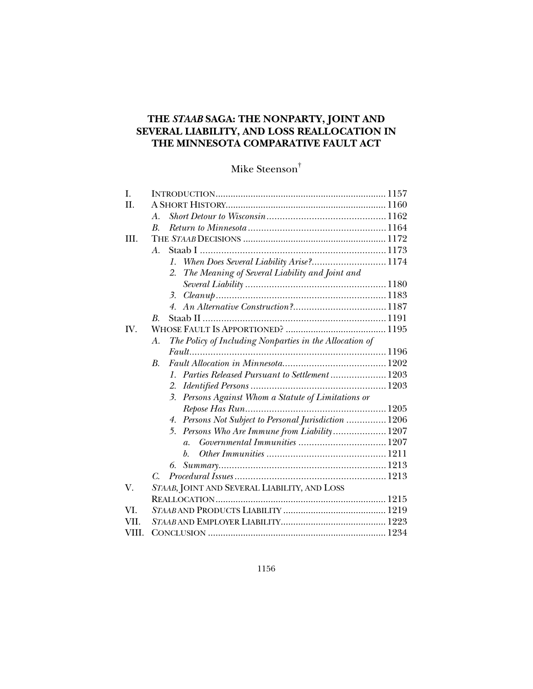## **THE** *STAAB* **SAGA: THE NONPARTY, JOINT AND SEVERAL LIABILITY, AND LOSS REALLOCATION IN THE MINNESOTA COMPARATIVE FAULT ACT**

## Mike Steenson†

| I.    |                                                                    |  |
|-------|--------------------------------------------------------------------|--|
| II.   |                                                                    |  |
|       | A.                                                                 |  |
|       | $\boldsymbol{B}$                                                   |  |
| III.  |                                                                    |  |
|       | $A_{\cdot}$                                                        |  |
|       | When Does Several Liability Arise? 1174<br>$\mathcal{I}$ .         |  |
|       | The Meaning of Several Liability and Joint and<br>2.               |  |
|       |                                                                    |  |
|       | 3.                                                                 |  |
|       | $4_{\cdot}$                                                        |  |
|       | В.                                                                 |  |
| IV.   |                                                                    |  |
|       | The Policy of Including Nonparties in the Allocation of<br>А.      |  |
|       |                                                                    |  |
|       | <i>B</i> .                                                         |  |
|       | Parties Released Pursuant to Settlement  1203<br>$\mathcal{I}$ .   |  |
|       | 2.                                                                 |  |
|       | Persons Against Whom a Statute of Limitations or<br>3 <sub>1</sub> |  |
|       |                                                                    |  |
|       | 4. Persons Not Subject to Personal Jurisdiction  1206              |  |
|       | Persons Who Are Immune from Liability 1207<br>5.                   |  |
|       | $\overline{a}$ .                                                   |  |
|       | b.                                                                 |  |
|       | 6.                                                                 |  |
|       | $\mathcal{C}$                                                      |  |
| V.    | STAAB, JOINT AND SEVERAL LIABILITY, AND LOSS                       |  |
|       |                                                                    |  |
| VI.   |                                                                    |  |
| VII.  |                                                                    |  |
| VIII. |                                                                    |  |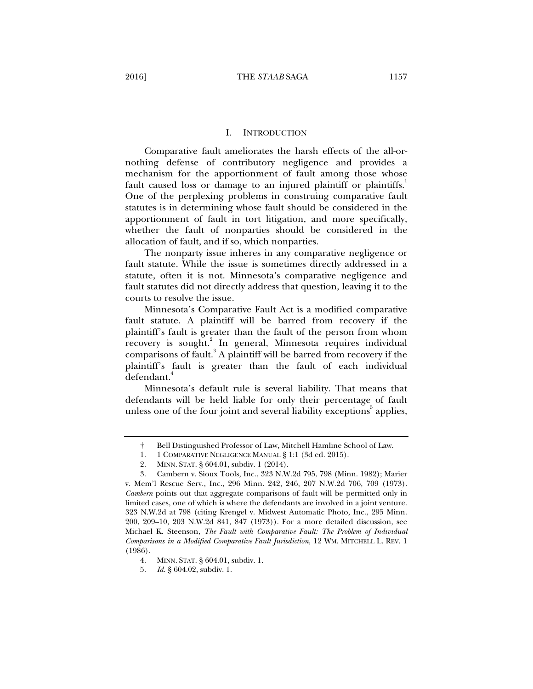#### I. INTRODUCTION

Comparative fault ameliorates the harsh effects of the all-ornothing defense of contributory negligence and provides a mechanism for the apportionment of fault among those whose fault caused loss or damage to an injured plaintiff or plaintiffs.<sup>1</sup> One of the perplexing problems in construing comparative fault statutes is in determining whose fault should be considered in the apportionment of fault in tort litigation, and more specifically, whether the fault of nonparties should be considered in the allocation of fault, and if so, which nonparties.

The nonparty issue inheres in any comparative negligence or fault statute. While the issue is sometimes directly addressed in a statute, often it is not. Minnesota's comparative negligence and fault statutes did not directly address that question, leaving it to the courts to resolve the issue.

Minnesota's Comparative Fault Act is a modified comparative fault statute. A plaintiff will be barred from recovery if the plaintiff's fault is greater than the fault of the person from whom recovery is sought.<sup>2</sup> In general, Minnesota requires individual comparisons of fault.<sup>3</sup> A plaintiff will be barred from recovery if the plaintiff's fault is greater than the fault of each individual defendant.<sup>4</sup>

Minnesota's default rule is several liability. That means that defendants will be held liable for only their percentage of fault unless one of the four joint and several liability exceptions<sup>5</sup> applies,

4. MINN. STAT. § 604.01, subdiv. 1.

 <sup>†</sup> Bell Distinguished Professor of Law, Mitchell Hamline School of Law.

 <sup>1. 1</sup> COMPARATIVE NEGLIGENCE MANUAL § 1:1 (3d ed. 2015).

 <sup>2.</sup> MINN. STAT. § 604.01, subdiv. 1 (2014).

 <sup>3.</sup> Cambern v. Sioux Tools, Inc., 323 N.W.2d 795, 798 (Minn. 1982); Marier v. Mem'l Rescue Serv., Inc., 296 Minn. 242, 246, 207 N.W.2d 706, 709 (1973). *Cambern* points out that aggregate comparisons of fault will be permitted only in limited cases, one of which is where the defendants are involved in a joint venture. 323 N.W.2d at 798 (citing Krengel v. Midwest Automatic Photo, Inc., 295 Minn. 200, 209–10, 203 N.W.2d 841, 847 (1973)). For a more detailed discussion, see Michael K. Steenson, *The Fault with Comparative Fault: The Problem of Individual Comparisons in a Modified Comparative Fault Jurisdiction*, 12 WM. MITCHELL L. REV. 1 (1986).

 <sup>5.</sup> *Id.* § 604.02, subdiv. 1.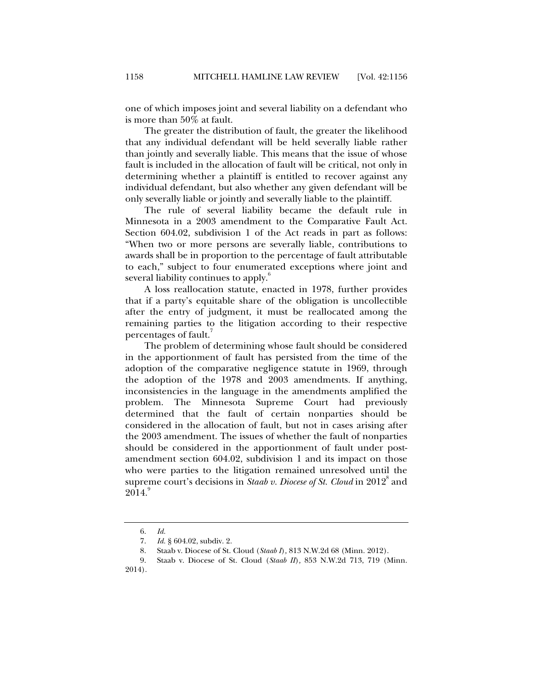one of which imposes joint and several liability on a defendant who is more than 50% at fault.

The greater the distribution of fault, the greater the likelihood that any individual defendant will be held severally liable rather than jointly and severally liable. This means that the issue of whose fault is included in the allocation of fault will be critical, not only in determining whether a plaintiff is entitled to recover against any individual defendant, but also whether any given defendant will be only severally liable or jointly and severally liable to the plaintiff.

The rule of several liability became the default rule in Minnesota in a 2003 amendment to the Comparative Fault Act. Section 604.02, subdivision 1 of the Act reads in part as follows: "When two or more persons are severally liable, contributions to awards shall be in proportion to the percentage of fault attributable to each," subject to four enumerated exceptions where joint and several liability continues to apply.<sup>6</sup>

A loss reallocation statute, enacted in 1978, further provides that if a party's equitable share of the obligation is uncollectible after the entry of judgment, it must be reallocated among the remaining parties to the litigation according to their respective percentages of fault.

The problem of determining whose fault should be considered in the apportionment of fault has persisted from the time of the adoption of the comparative negligence statute in 1969, through the adoption of the 1978 and 2003 amendments. If anything, inconsistencies in the language in the amendments amplified the problem. The Minnesota Supreme Court had previously determined that the fault of certain nonparties should be considered in the allocation of fault, but not in cases arising after the 2003 amendment. The issues of whether the fault of nonparties should be considered in the apportionment of fault under postamendment section 604.02, subdivision 1 and its impact on those who were parties to the litigation remained unresolved until the supreme court's decisions in *Staab v. Diocese of St. Cloud* in 2012<sup>8</sup> and  $2014.<sup>9</sup>$ 

 <sup>6.</sup> *Id.*

 <sup>7.</sup> *Id.* § 604.02, subdiv. 2.

 <sup>8.</sup> Staab v. Diocese of St. Cloud (*Staab I*)*,* 813 N.W.2d 68 (Minn. 2012).

 <sup>9.</sup> Staab v. Diocese of St. Cloud (*Staab II*)*,* 853 N.W.2d 713, 719 (Minn.

<sup>2014).</sup>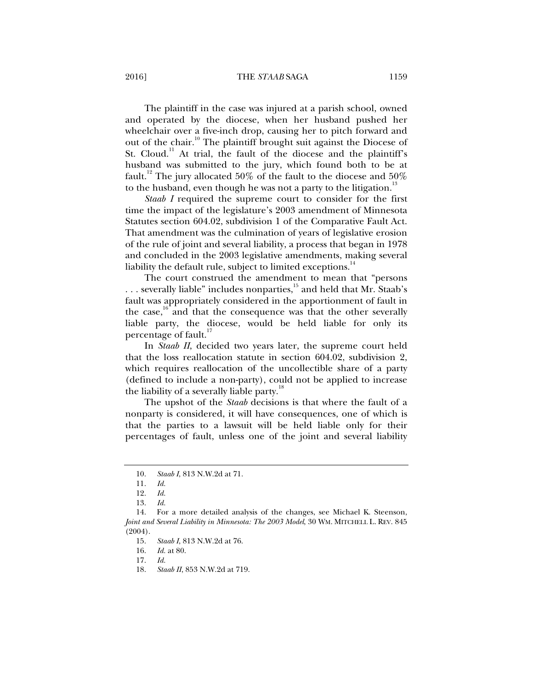2016] THE *STAAB* SAGA 1159

The plaintiff in the case was injured at a parish school, owned and operated by the diocese, when her husband pushed her wheelchair over a five-inch drop, causing her to pitch forward and out of the chair.<sup>10</sup> The plaintiff brought suit against the Diocese of St. Cloud.<sup>11</sup> At trial, the fault of the diocese and the plaintiff's husband was submitted to the jury, which found both to be at fault.<sup>12</sup> The jury allocated 50% of the fault to the diocese and 50% to the husband, even though he was not a party to the litigation.<sup>13</sup>

*Staab I* required the supreme court to consider for the first time the impact of the legislature's 2003 amendment of Minnesota Statutes section 604.02, subdivision 1 of the Comparative Fault Act. That amendment was the culmination of years of legislative erosion of the rule of joint and several liability, a process that began in 1978 and concluded in the 2003 legislative amendments, making several liability the default rule, subject to limited exceptions.<sup>14</sup>

The court construed the amendment to mean that "persons ... severally liable" includes nonparties,<sup>15</sup> and held that Mr. Staab's fault was appropriately considered in the apportionment of fault in the case, $\frac{1}{6}$  and that the consequence was that the other severally liable party, the diocese, would be held liable for only its percentage of fault.<sup>17</sup>

In *Staab II*, decided two years later, the supreme court held that the loss reallocation statute in section 604.02, subdivision 2, which requires reallocation of the uncollectible share of a party (defined to include a non-party), could not be applied to increase the liability of a severally liable party.<sup>18</sup>

The upshot of the *Staab* decisions is that where the fault of a nonparty is considered, it will have consequences, one of which is that the parties to a lawsuit will be held liable only for their percentages of fault, unless one of the joint and several liability

 <sup>10.</sup> *Staab I*, 813 N.W.2d at 71.

 <sup>11.</sup> *Id.* 

 <sup>12.</sup> *Id.* 

 <sup>13.</sup> *Id.* 

 <sup>14.</sup> For a more detailed analysis of the changes, see Michael K. Steenson, *Joint and Several Liability in Minnesota: The 2003 Model*, 30 WM. MITCHELL L. REV. 845 (2004).

 <sup>15.</sup> *Staab I*, 813 N.W.2d at 76.

 <sup>16.</sup> *Id.* at 80.

 <sup>17.</sup> *Id.* 

 <sup>18.</sup> *Staab II*, 853 N.W.2d at 719.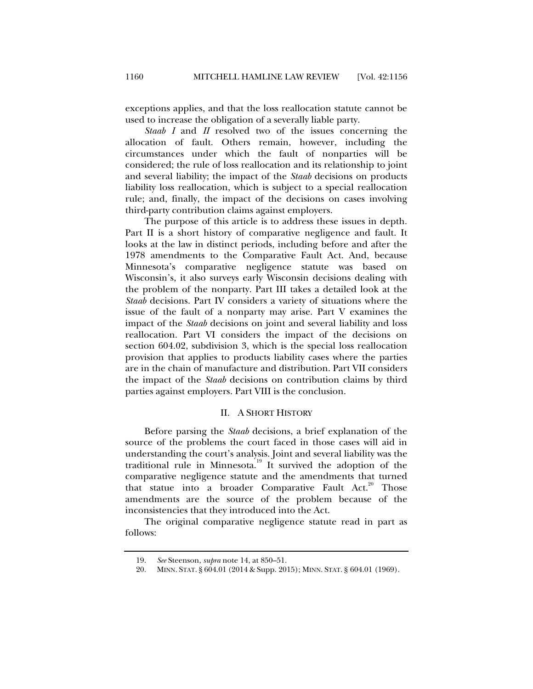exceptions applies, and that the loss reallocation statute cannot be used to increase the obligation of a severally liable party.

*Staab I* and *II* resolved two of the issues concerning the allocation of fault. Others remain, however, including the circumstances under which the fault of nonparties will be considered; the rule of loss reallocation and its relationship to joint and several liability; the impact of the *Staab* decisions on products liability loss reallocation, which is subject to a special reallocation rule; and, finally, the impact of the decisions on cases involving third-party contribution claims against employers.

The purpose of this article is to address these issues in depth. Part II is a short history of comparative negligence and fault. It looks at the law in distinct periods, including before and after the 1978 amendments to the Comparative Fault Act. And, because Minnesota's comparative negligence statute was based on Wisconsin's, it also surveys early Wisconsin decisions dealing with the problem of the nonparty. Part III takes a detailed look at the *Staab* decisions. Part IV considers a variety of situations where the issue of the fault of a nonparty may arise. Part V examines the impact of the *Staab* decisions on joint and several liability and loss reallocation. Part VI considers the impact of the decisions on section 604.02, subdivision 3, which is the special loss reallocation provision that applies to products liability cases where the parties are in the chain of manufacture and distribution. Part VII considers the impact of the *Staab* decisions on contribution claims by third parties against employers. Part VIII is the conclusion.

#### II. A SHORT HISTORY

Before parsing the *Staab* decisions, a brief explanation of the source of the problems the court faced in those cases will aid in understanding the court's analysis. Joint and several liability was the traditional rule in Minnesota.<sup>19</sup> It survived the adoption of the comparative negligence statute and the amendments that turned that statue into a broader Comparative Fault Act.<sup>20</sup> Those amendments are the source of the problem because of the inconsistencies that they introduced into the Act.

The original comparative negligence statute read in part as follows:

 <sup>19.</sup> *See* Steenson, *supra* note 14, at 850–51.

 <sup>20.</sup> MINN. STAT. § 604.01 (2014 & Supp. 2015); MINN. STAT. § 604.01 (1969).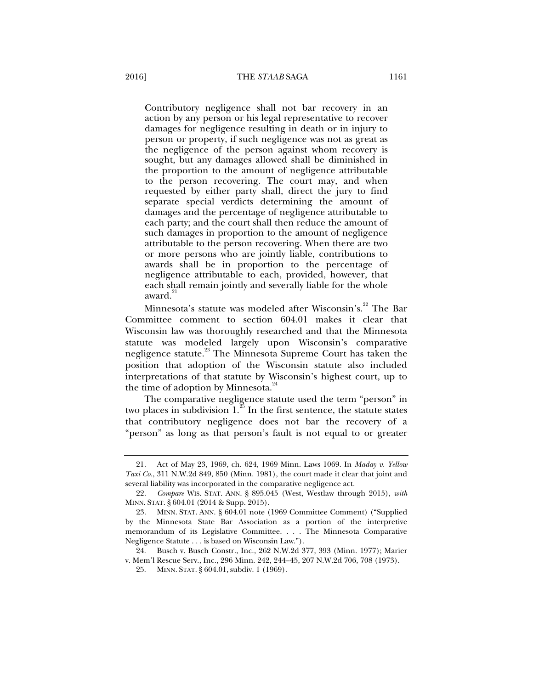Contributory negligence shall not bar recovery in an action by any person or his legal representative to recover damages for negligence resulting in death or in injury to person or property, if such negligence was not as great as the negligence of the person against whom recovery is sought, but any damages allowed shall be diminished in the proportion to the amount of negligence attributable to the person recovering. The court may, and when requested by either party shall, direct the jury to find separate special verdicts determining the amount of damages and the percentage of negligence attributable to each party; and the court shall then reduce the amount of such damages in proportion to the amount of negligence attributable to the person recovering. When there are two or more persons who are jointly liable, contributions to awards shall be in proportion to the percentage of negligence attributable to each, provided, however, that each shall remain jointly and severally liable for the whole award.<sup>21</sup>

Minnesota's statute was modeled after Wisconsin's.<sup>22</sup> The Bar Committee comment to section 604.01 makes it clear that Wisconsin law was thoroughly researched and that the Minnesota statute was modeled largely upon Wisconsin's comparative negligence statute.<sup>23</sup> The Minnesota Supreme Court has taken the position that adoption of the Wisconsin statute also included interpretations of that statute by Wisconsin's highest court, up to the time of adoption by Minnesota. $24$ 

The comparative negligence statute used the term "person" in two places in subdivision  $1.^{25}$  In the first sentence, the statute states that contributory negligence does not bar the recovery of a "person" as long as that person's fault is not equal to or greater

 <sup>21.</sup> Act of May 23, 1969, ch. 624, 1969 Minn. Laws 1069. In *Maday v. Yellow Taxi Co.*, 311 N.W.2d 849, 850 (Minn. 1981), the court made it clear that joint and several liability was incorporated in the comparative negligence act.

 <sup>22.</sup> *Compare* WIS. STAT. ANN. § 895.045 (West, Westlaw through 2015), *with*  MINN. STAT. § 604.01 (2014 & Supp. 2015).

 <sup>23.</sup> MINN. STAT. ANN. § 604.01 note (1969 Committee Comment) ("Supplied by the Minnesota State Bar Association as a portion of the interpretive memorandum of its Legislative Committee. . . . The Minnesota Comparative Negligence Statute . . . is based on Wisconsin Law.").

 <sup>24.</sup> Busch v. Busch Constr., Inc., 262 N.W.2d 377, 393 (Minn. 1977); Marier v. Mem'l Rescue Serv., Inc., 296 Minn. 242, 244–45, 207 N.W.2d 706, 708 (1973).

 <sup>25.</sup> MINN. STAT. § 604.01, subdiv. 1 (1969).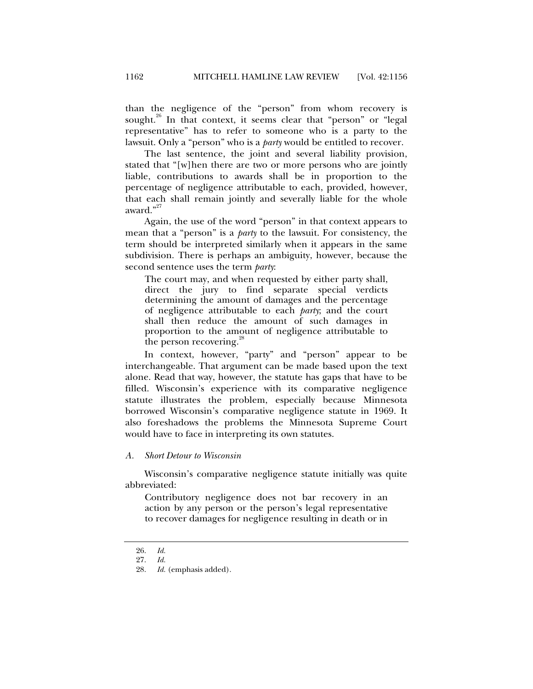than the negligence of the "person" from whom recovery is sought.<sup>26</sup> In that context, it seems clear that "person" or "legal representative" has to refer to someone who is a party to the lawsuit. Only a "person" who is a *party* would be entitled to recover.

The last sentence, the joint and several liability provision, stated that "[w]hen there are two or more persons who are jointly liable, contributions to awards shall be in proportion to the percentage of negligence attributable to each, provided, however, that each shall remain jointly and severally liable for the whole award."<sup>27</sup>

Again, the use of the word "person" in that context appears to mean that a "person" is a *party* to the lawsuit. For consistency, the term should be interpreted similarly when it appears in the same subdivision. There is perhaps an ambiguity, however, because the second sentence uses the term *party*:

The court may, and when requested by either party shall, direct the jury to find separate special verdicts determining the amount of damages and the percentage of negligence attributable to each *party*; and the court shall then reduce the amount of such damages in proportion to the amount of negligence attributable to the person recovering.<sup>28</sup>

In context, however, "party" and "person" appear to be interchangeable. That argument can be made based upon the text alone. Read that way, however, the statute has gaps that have to be filled. Wisconsin's experience with its comparative negligence statute illustrates the problem, especially because Minnesota borrowed Wisconsin's comparative negligence statute in 1969. It also foreshadows the problems the Minnesota Supreme Court would have to face in interpreting its own statutes.

#### *A. Short Detour to Wisconsin*

Wisconsin's comparative negligence statute initially was quite abbreviated:

Contributory negligence does not bar recovery in an action by any person or the person's legal representative to recover damages for negligence resulting in death or in

 <sup>26.</sup> *Id.*

 <sup>27.</sup> *Id.*

 <sup>28.</sup> *Id.* (emphasis added).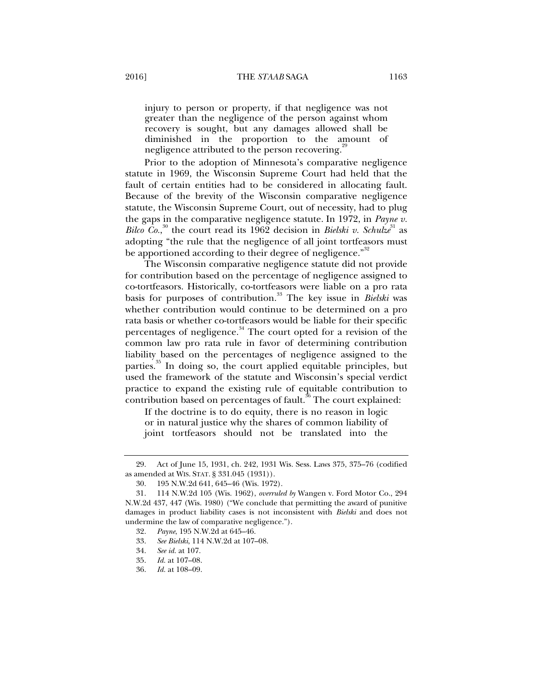injury to person or property, if that negligence was not greater than the negligence of the person against whom recovery is sought, but any damages allowed shall be diminished in the proportion to the amount of negligence attributed to the person recovering.<sup>29</sup>

Prior to the adoption of Minnesota's comparative negligence statute in 1969, the Wisconsin Supreme Court had held that the fault of certain entities had to be considered in allocating fault. Because of the brevity of the Wisconsin comparative negligence statute, the Wisconsin Supreme Court, out of necessity, had to plug the gaps in the comparative negligence statute. In 1972, in *Payne v. Bilco Co.*,<sup>30</sup> the court read its 1962 decision in *Bielski v. Schulze*<sup>31</sup> as adopting "the rule that the negligence of all joint tortfeasors must be apportioned according to their degree of negligence."<sup>32</sup>

The Wisconsin comparative negligence statute did not provide for contribution based on the percentage of negligence assigned to co-tortfeasors. Historically, co-tortfeasors were liable on a pro rata basis for purposes of contribution.<sup>33</sup> The key issue in *Bielski* was whether contribution would continue to be determined on a pro rata basis or whether co-tortfeasors would be liable for their specific percentages of negligence.<sup>34</sup> The court opted for a revision of the common law pro rata rule in favor of determining contribution liability based on the percentages of negligence assigned to the parties.<sup>35</sup> In doing so, the court applied equitable principles, but used the framework of the statute and Wisconsin's special verdict practice to expand the existing rule of equitable contribution to contribution based on percentages of fault.<sup>36</sup> The court explained:

If the doctrine is to do equity, there is no reason in logic or in natural justice why the shares of common liability of joint tortfeasors should not be translated into the

 <sup>29.</sup> Act of June 15, 1931, ch. 242, 1931 Wis. Sess. Laws 375, 375–76 (codified as amended at WIS. STAT. § 331.045 (1931)).

 <sup>30. 195</sup> N.W.2d 641, 645–46 (Wis. 1972).

 <sup>31. 114</sup> N.W.2d 105 (Wis. 1962), *overruled by* Wangen v. Ford Motor Co., 294 N.W.2d 437, 447 (Wis. 1980) ("We conclude that permitting the award of punitive damages in product liability cases is not inconsistent with *Bielski* and does not undermine the law of comparative negligence.").

 <sup>32.</sup> *Payne*, 195 N.W.2d at 645–46.

 <sup>33.</sup> *See Bielski*, 114 N.W.2d at 107–08.

 <sup>34.</sup> *See id.* at 107.

 <sup>35.</sup> *Id.* at 107–08.

 <sup>36.</sup> *Id.* at 108–09.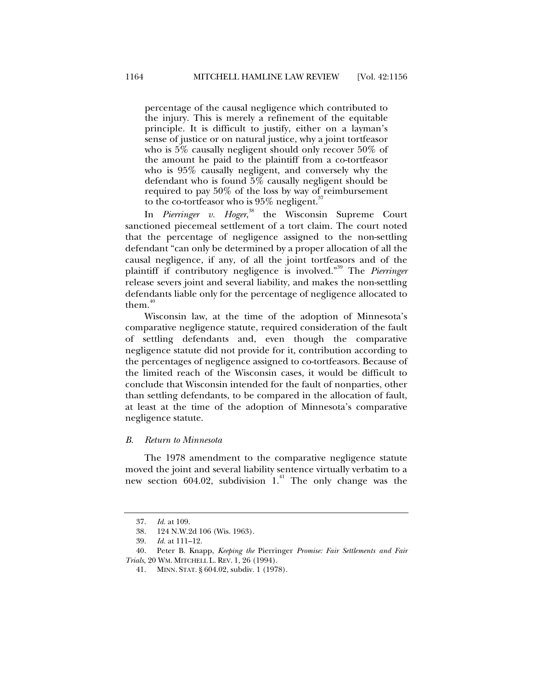percentage of the causal negligence which contributed to the injury. This is merely a refinement of the equitable principle. It is difficult to justify, either on a layman's sense of justice or on natural justice, why a joint tortfeasor who is 5% causally negligent should only recover 50% of the amount he paid to the plaintiff from a co-tortfeasor who is 95% causally negligent, and conversely why the defendant who is found 5% causally negligent should be required to pay 50% of the loss by way of reimbursement to the co-tortfeasor who is  $95\%$  negligent.<sup>3</sup>

In *Pierringer v. Hoger*, 38 the Wisconsin Supreme Court sanctioned piecemeal settlement of a tort claim. The court noted that the percentage of negligence assigned to the non-settling defendant "can only be determined by a proper allocation of all the causal negligence, if any, of all the joint tortfeasors and of the plaintiff if contributory negligence is involved."39 The *Pierringer* release severs joint and several liability, and makes the non-settling defendants liable only for the percentage of negligence allocated to them. $40$ 

Wisconsin law, at the time of the adoption of Minnesota's comparative negligence statute, required consideration of the fault of settling defendants and, even though the comparative negligence statute did not provide for it, contribution according to the percentages of negligence assigned to co-tortfeasors. Because of the limited reach of the Wisconsin cases, it would be difficult to conclude that Wisconsin intended for the fault of nonparties, other than settling defendants, to be compared in the allocation of fault, at least at the time of the adoption of Minnesota's comparative negligence statute.

#### *B. Return to Minnesota*

The 1978 amendment to the comparative negligence statute moved the joint and several liability sentence virtually verbatim to a new section 604.02, subdivision  $1<sup>41</sup>$  The only change was the

 <sup>37.</sup> *Id.* at 109.

 <sup>38. 124</sup> N.W.2d 106 (Wis. 1963).

 <sup>39.</sup> *Id.* at 111–12.

 <sup>40.</sup> Peter B. Knapp, *Keeping the* Pierringer *Promise: Fair Settlements and Fair Trials*, 20 WM. MITCHELL L. REV. 1, 26 (1994).

 <sup>41.</sup> MINN. STAT. § 604.02, subdiv. 1 (1978).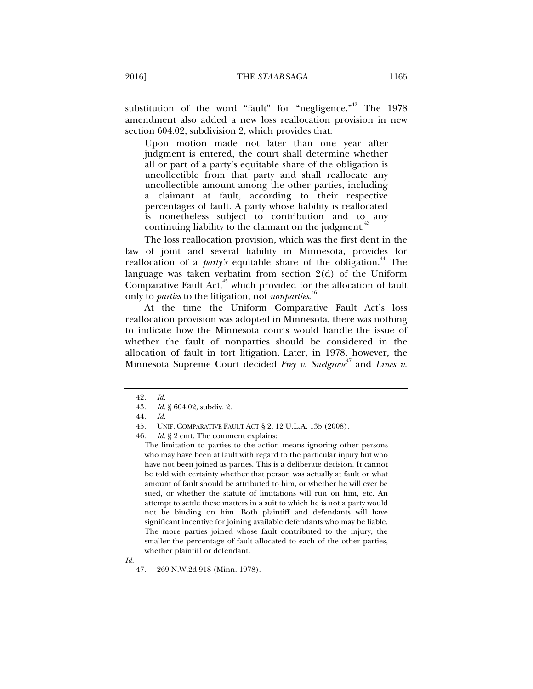substitution of the word "fault" for "negligence." The  $1978$ amendment also added a new loss reallocation provision in new section 604.02, subdivision 2, which provides that:

Upon motion made not later than one year after judgment is entered, the court shall determine whether all or part of a party's equitable share of the obligation is uncollectible from that party and shall reallocate any uncollectible amount among the other parties, including a claimant at fault, according to their respective percentages of fault. A party whose liability is reallocated is nonetheless subject to contribution and to any continuing liability to the claimant on the judgment.<sup>4</sup>

The loss reallocation provision, which was the first dent in the law of joint and several liability in Minnesota, provides for reallocation of a *party's* equitable share of the obligation.<sup>44</sup> The language was taken verbatim from section 2(d) of the Uniform Comparative Fault Act, $45$  which provided for the allocation of fault only to *parties* to the litigation, not *nonparties*. 46

At the time the Uniform Comparative Fault Act's loss reallocation provision was adopted in Minnesota, there was nothing to indicate how the Minnesota courts would handle the issue of whether the fault of nonparties should be considered in the allocation of fault in tort litigation. Later, in 1978, however, the Minnesota Supreme Court decided Frey v. Snelgrove<sup>47</sup> and Lines v.

 <sup>42.</sup> *Id.* 

 <sup>43.</sup> *Id.* § 604.02, subdiv. 2.

 <sup>44.</sup> *Id.* 

 <sup>45.</sup> UNIF. COMPARATIVE FAULT ACT § 2, 12 U.L.A. 135 (2008).

 <sup>46.</sup> *Id.* § 2 cmt. The comment explains:

The limitation to parties to the action means ignoring other persons who may have been at fault with regard to the particular injury but who have not been joined as parties. This is a deliberate decision. It cannot be told with certainty whether that person was actually at fault or what amount of fault should be attributed to him, or whether he will ever be sued, or whether the statute of limitations will run on him, etc. An attempt to settle these matters in a suit to which he is not a party would not be binding on him. Both plaintiff and defendants will have significant incentive for joining available defendants who may be liable. The more parties joined whose fault contributed to the injury, the smaller the percentage of fault allocated to each of the other parties, whether plaintiff or defendant.

 <sup>47. 269</sup> N.W.2d 918 (Minn. 1978).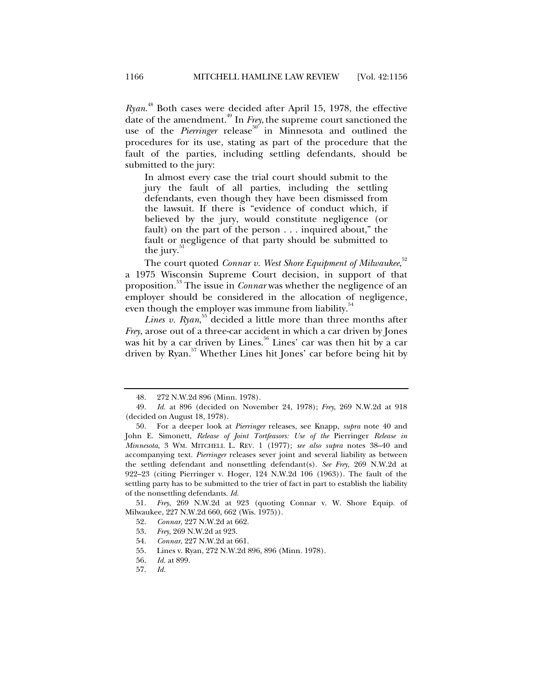*Ryan*. 48 Both cases were decided after April 15, 1978, the effective date of the amendment.49 In *Frey*,the supreme court sanctioned the use of the *Pierringer* release<sup>50</sup> in Minnesota and outlined the procedures for its use, stating as part of the procedure that the fault of the parties, including settling defendants, should be submitted to the jury:

In almost every case the trial court should submit to the jury the fault of all parties, including the settling defendants, even though they have been dismissed from the lawsuit. If there is "evidence of conduct which, if believed by the jury, would constitute negligence (or fault) on the part of the person . . . inquired about," the fault or negligence of that party should be submitted to the jury.<sup>3</sup>

The court quoted *Connar v. West Shore Equipment of Milwaukee*,<sup>52</sup> a 1975 Wisconsin Supreme Court decision, in support of that proposition.53 The issue in *Connar* was whether the negligence of an employer should be considered in the allocation of negligence, even though the employer was immune from liability.<sup>54</sup>

Lines v. Ryan,<sup>55</sup> decided a little more than three months after *Frey*, arose out of a three-car accident in which a car driven by Jones was hit by a car driven by Lines.<sup>56</sup> Lines' car was then hit by a car driven by Ryan.57 Whether Lines hit Jones' car before being hit by

 <sup>48. 272</sup> N.W.2d 896 (Minn. 1978).

 <sup>49.</sup> *Id.* at 896 (decided on November 24, 1978); *Frey*, 269 N.W.2d at 918 (decided on August 18, 1978).

 <sup>50.</sup> For a deeper look at *Pierringer* releases, see Knapp, *supra* note 40 and John E. Simonett, *Release of Joint Tortfeasors: Use of the* Pierringer *Release in Minnesota*, 3 WM. MITCHELL L. REV. 1 (1977); *see also supra* notes 38–40 and accompanying text. *Pierringer* releases sever joint and several liability as between the settling defendant and nonsettling defendant(s). *See Frey*, 269 N.W.2d at 922–23 (citing Pierringer v. Hoger, 124 N.W.2d 106 (1963)). The fault of the settling party has to be submitted to the trier of fact in part to establish the liability of the nonsettling defendants. *Id.* 

 <sup>51.</sup> *Frey*, 269 N.W.2d at 923 (quoting Connar v. W. Shore Equip. of Milwaukee, 227 N.W.2d 660, 662 (Wis. 1975)).

 <sup>52.</sup> *Connar*, 227 N.W.2d at 662.

 <sup>53.</sup> *Frey*, 269 N.W.2d at 923.

 <sup>54.</sup> *Connar*, 227 N.W.2d at 661.

 <sup>55.</sup> Lines v. Ryan, 272 N.W.2d 896, 896 (Minn. 1978).

 <sup>56.</sup> *Id.* at 899.

 <sup>57.</sup> *Id.*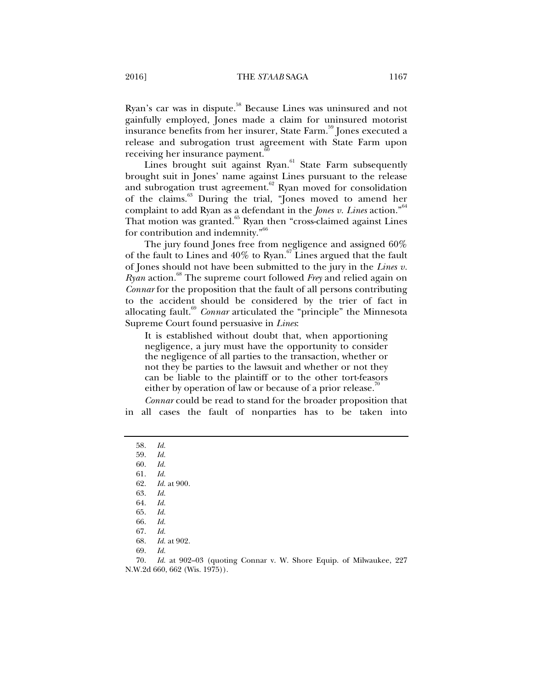Ryan's car was in dispute.<sup>58</sup> Because Lines was uninsured and not gainfully employed, Jones made a claim for uninsured motorist insurance benefits from her insurer, State Farm.<sup>59</sup> Jones executed a release and subrogation trust agreement with State Farm upon receiving her insurance payment.<sup>1</sup>

Lines brought suit against Ryan.<sup>61</sup> State Farm subsequently brought suit in Jones' name against Lines pursuant to the release and subrogation trust agreement.<sup>62</sup> Ryan moved for consolidation of the claims.<sup>63</sup> During the trial, "Jones moved to amend her complaint to add Ryan as a defendant in the *Jones v. Lines* action."<sup>64</sup> That motion was granted. $65$  Ryan then "cross-claimed against Lines" for contribution and indemnity."<sup>66</sup>

The jury found Jones free from negligence and assigned 60% of the fault to Lines and  $40\%$  to Ryan.<sup>67</sup> Lines argued that the fault of Jones should not have been submitted to the jury in the *Lines v. Ryan* action.<sup>88</sup> The supreme court followed *Frey* and relied again on *Connar* for the proposition that the fault of all persons contributing to the accident should be considered by the trier of fact in allocating fault.<sup>69</sup> *Connar* articulated the "principle" the Minnesota Supreme Court found persuasive in *Lines*:

It is established without doubt that, when apportioning negligence, a jury must have the opportunity to consider the negligence of all parties to the transaction, whether or not they be parties to the lawsuit and whether or not they can be liable to the plaintiff or to the other tort-feasors either by operation of law or because of a prior release.<sup>10</sup>

*Connar* could be read to stand for the broader proposition that in all cases the fault of nonparties has to be taken into

 70. *Id.* at 902–03 (quoting Connar v. W. Shore Equip. of Milwaukee, 227 N.W.2d 660, 662 (Wis. 1975)).

 <sup>58.</sup> *Id.*

 <sup>59.</sup> *Id.*

 <sup>60.</sup> *Id.*

 <sup>61.</sup> *Id.* 62. *Id.* at 900.

 <sup>63.</sup> *Id.*

 <sup>64.</sup> *Id.*

 <sup>65.</sup> *Id.* 66. *Id.*

 <sup>67.</sup> *Id.* 

 <sup>68.</sup> *Id.* at 902.

 <sup>69.</sup> *Id.*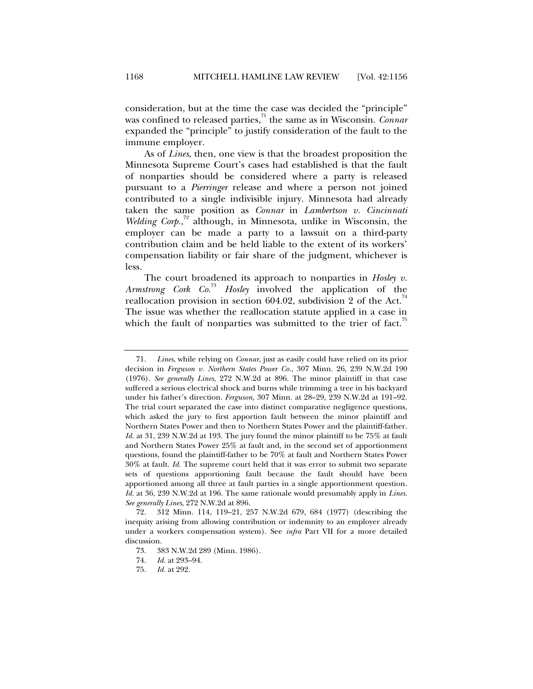consideration, but at the time the case was decided the "principle" was confined to released parties,<sup>71</sup> the same as in Wisconsin. *Connar* expanded the "principle" to justify consideration of the fault to the immune employer.

As of *Lines*, then, one view is that the broadest proposition the Minnesota Supreme Court's cases had established is that the fault of nonparties should be considered where a party is released pursuant to a *Pierringer* release and where a person not joined contributed to a single indivisible injury. Minnesota had already taken the same position as *Connar* in *Lambertson v. Cincinnati*  Welding Corp.,<sup>72</sup> although, in Minnesota, unlike in Wisconsin, the employer can be made a party to a lawsuit on a third-party contribution claim and be held liable to the extent of its workers' compensation liability or fair share of the judgment, whichever is less.

The court broadened its approach to nonparties in *Hosley v. Armstrong Cork Co.*<sup>73</sup> *Hosley* involved the application of the reallocation provision in section 604.02, subdivision 2 of the Act. $4$ The issue was whether the reallocation statute applied in a case in which the fault of nonparties was submitted to the trier of fact.<sup>15</sup>

 <sup>71.</sup> *Lines*, while relying on *Connar*, just as easily could have relied on its prior decision in *Ferguson v. Northern States Power Co.*, 307 Minn. 26, 239 N.W.2d 190 (1976). *See generally Lines*, 272 N.W.2d at 896. The minor plaintiff in that case suffered a serious electrical shock and burns while trimming a tree in his backyard under his father's direction. *Ferguson*, 307 Minn. at 28–29, 239 N.W.2d at 191–92. The trial court separated the case into distinct comparative negligence questions, which asked the jury to first apportion fault between the minor plaintiff and Northern States Power and then to Northern States Power and the plaintiff-father. *Id.* at 31, 239 N.W.2d at 193. The jury found the minor plaintiff to be 75% at fault and Northern States Power 25% at fault and, in the second set of apportionment questions, found the plaintiff-father to be 70% at fault and Northern States Power 30% at fault. *Id.* The supreme court held that it was error to submit two separate sets of questions apportioning fault because the fault should have been apportioned among all three at fault parties in a single apportionment question. *Id.* at 36, 239 N.W.2d at 196. The same rationale would presumably apply in *Lines*. *See generally Lines*, 272 N.W.2d at 896.

 <sup>72. 312</sup> Minn. 114, 119–21, 257 N.W.2d 679, 684 (1977) (describing the inequity arising from allowing contribution or indemnity to an employer already under a workers compensation system). See *infra* Part VII for a more detailed discussion.

 <sup>73. 383</sup> N.W.2d 289 (Minn. 1986).

 <sup>74.</sup> *Id.* at 293–94.

 <sup>75.</sup> *Id.* at 292.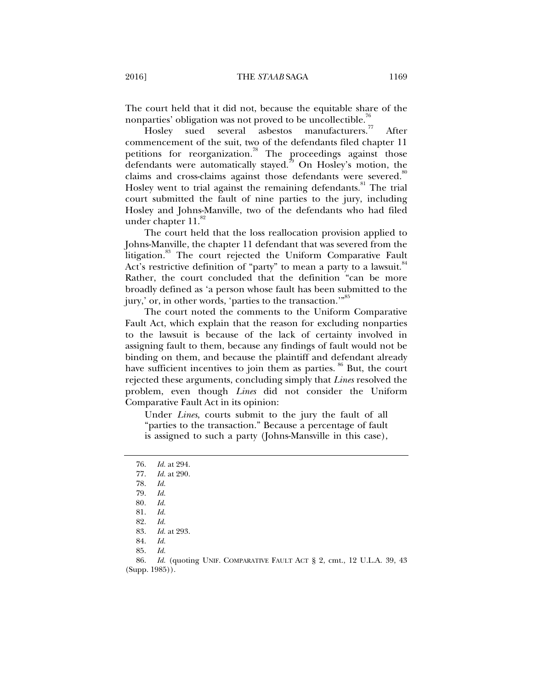The court held that it did not, because the equitable share of the nonparties' obligation was not proved to be uncollectible.<sup>76</sup><br>Hosley sued several asbestos manufacturers.<sup>77</sup>

Hosley sued several asbestos manufacturers." After commencement of the suit, two of the defendants filed chapter 11 petitions for reorganization.<sup>78</sup> The proceedings against those defendants were automatically stayed.<sup>79</sup> On Hosley's motion, the claims and cross-claims against those defendants were severed.<sup>80</sup> Hosley went to trial against the remaining defendants.<sup>81</sup> The trial court submitted the fault of nine parties to the jury, including Hosley and Johns-Manville, two of the defendants who had filed under chapter  $11.^{82}$ 

The court held that the loss reallocation provision applied to Johns-Manville, the chapter 11 defendant that was severed from the litigation.<sup>83</sup> The court rejected the Uniform Comparative Fault Act's restrictive definition of "party" to mean a party to a lawsuit.<sup>84</sup> Rather, the court concluded that the definition "can be more broadly defined as 'a person whose fault has been submitted to the jury,' or, in other words, 'parties to the transaction.'"<sup>85</sup>

The court noted the comments to the Uniform Comparative Fault Act, which explain that the reason for excluding nonparties to the lawsuit is because of the lack of certainty involved in assigning fault to them, because any findings of fault would not be binding on them, and because the plaintiff and defendant already have sufficient incentives to join them as parties. <sup>86</sup> But, the court rejected these arguments, concluding simply that *Lines* resolved the problem, even though *Lines* did not consider the Uniform Comparative Fault Act in its opinion:

Under *Lines*, courts submit to the jury the fault of all "parties to the transaction." Because a percentage of fault is assigned to such a party (Johns-Mansville in this case),

- *Id.* at 290.
- 78. *Id.*
- 79. *Id.*
- 80*. Id.*

 86. *Id.* (quoting UNIF. COMPARATIVE FAULT ACT § 2, cmt., 12 U.L.A. 39, 43 (Supp. 1985)).

 <sup>76.</sup> *Id.* at 294.

 <sup>81.</sup> *Id.*

 <sup>82.</sup> *Id.*

 <sup>83.</sup> *Id.* at 293.

 <sup>84.</sup> *Id.* 

 <sup>85.</sup> *Id.*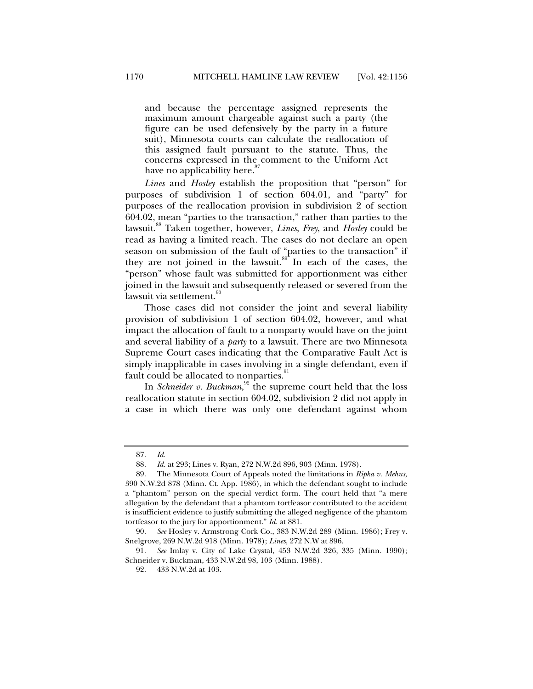and because the percentage assigned represents the maximum amount chargeable against such a party (the figure can be used defensively by the party in a future suit), Minnesota courts can calculate the reallocation of this assigned fault pursuant to the statute. Thus, the concerns expressed in the comment to the Uniform Act have no applicability here.<sup>87</sup>

*Lines* and *Hosley* establish the proposition that "person" for purposes of subdivision 1 of section 604.01, and "party" for purposes of the reallocation provision in subdivision 2 of section 604.02, mean "parties to the transaction," rather than parties to the lawsuit.88 Taken together, however, *Lines*, *Frey*, and *Hosley* could be read as having a limited reach. The cases do not declare an open season on submission of the fault of "parties to the transaction" if they are not joined in the lawsuit. $89^{\circ}$  In each of the cases, the "person" whose fault was submitted for apportionment was either joined in the lawsuit and subsequently released or severed from the lawsuit via settlement.<sup>90</sup>

Those cases did not consider the joint and several liability provision of subdivision 1 of section 604.02, however, and what impact the allocation of fault to a nonparty would have on the joint and several liability of a *party* to a lawsuit. There are two Minnesota Supreme Court cases indicating that the Comparative Fault Act is simply inapplicable in cases involving in a single defendant, even if fault could be allocated to nonparties.

In *Schneider v. Buckman*,<sup>92</sup> the supreme court held that the loss reallocation statute in section 604.02, subdivision 2 did not apply in a case in which there was only one defendant against whom

 <sup>87.</sup> *Id.*

 <sup>88.</sup> *Id.* at 293; Lines v. Ryan, 272 N.W.2d 896, 903 (Minn. 1978).

 <sup>89.</sup> The Minnesota Court of Appeals noted the limitations in *Ripka v. Mehus*, 390 N.W.2d 878 (Minn. Ct. App. 1986), in which the defendant sought to include a "phantom" person on the special verdict form. The court held that "a mere allegation by the defendant that a phantom tortfeasor contributed to the accident is insufficient evidence to justify submitting the alleged negligence of the phantom tortfeasor to the jury for apportionment." *Id.* at 881.

 <sup>90.</sup> *See* Hosley v. Armstrong Cork Co., 383 N.W.2d 289 (Minn. 1986); Frey v. Snelgrove, 269 N.W.2d 918 (Minn. 1978); *Lines*, 272 N.W at 896.

 <sup>91.</sup> *See* Imlay v. City of Lake Crystal, 453 N.W.2d 326, 335 (Minn. 1990); Schneider v. Buckman, 433 N.W.2d 98, 103 (Minn. 1988).

 <sup>92. 433</sup> N.W.2d at 103.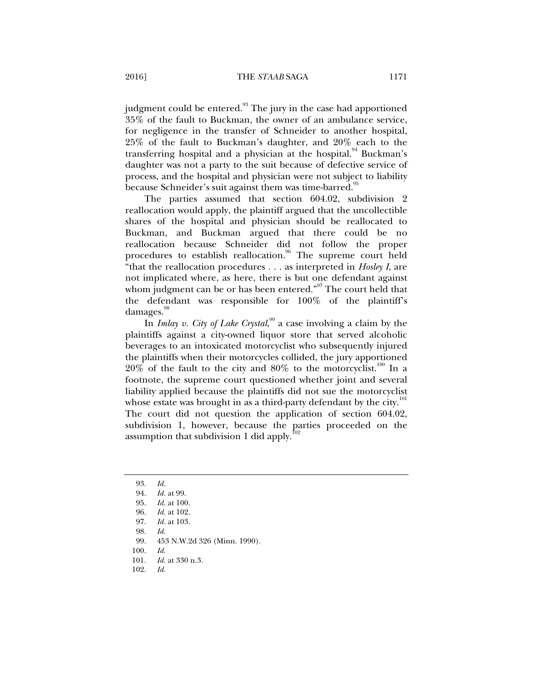judgment could be entered.<sup>93</sup> The jury in the case had apportioned 35% of the fault to Buckman, the owner of an ambulance service, for negligence in the transfer of Schneider to another hospital, 25% of the fault to Buckman's daughter, and 20% each to the transferring hospital and a physician at the hospital.<sup>94</sup> Buckman's daughter was not a party to the suit because of defective service of process, and the hospital and physician were not subject to liability because Schneider's suit against them was time-barred.<sup>95</sup>

The parties assumed that section 604.02, subdivision 2 reallocation would apply, the plaintiff argued that the uncollectible shares of the hospital and physician should be reallocated to Buckman, and Buckman argued that there could be no reallocation because Schneider did not follow the proper procedures to establish reallocation.<sup>96</sup> The supreme court held "that the reallocation procedures . . . as interpreted in *Hosley I*, are not implicated where, as here, there is but one defendant against whom judgment can be or has been entered."<sup>97</sup> The court held that the defendant was responsible for 100% of the plaintiff's damages.

In *Imlay v. City of Lake Crystal*, 99 a case involving a claim by the plaintiffs against a city-owned liquor store that served alcoholic beverages to an intoxicated motorcyclist who subsequently injured the plaintiffs when their motorcycles collided, the jury apportioned  $20\%$  of the fault to the city and  $80\%$  to the motorcyclist.<sup>100</sup> In a footnote, the supreme court questioned whether joint and several liability applied because the plaintiffs did not sue the motorcyclist whose estate was brought in as a third-party defendant by the city.<sup>101</sup> The court did not question the application of section 604.02, subdivision 1, however, because the parties proceeded on the assumption that subdivision 1 did apply. $102$ 

 <sup>93.</sup> *Id.*

 <sup>94.</sup> *Id.* at 99.

 <sup>95.</sup> *Id.* at 100.

 <sup>96.</sup> *Id.* at 102.

 <sup>97.</sup> *Id.* at 103.

 <sup>98.</sup> *Id.*

 <sup>99. 453</sup> N.W.2d 326 (Minn. 1990).

 <sup>100.</sup> *Id.*

 <sup>101.</sup> *Id.* at 330 n.3.

 <sup>102.</sup> *Id.*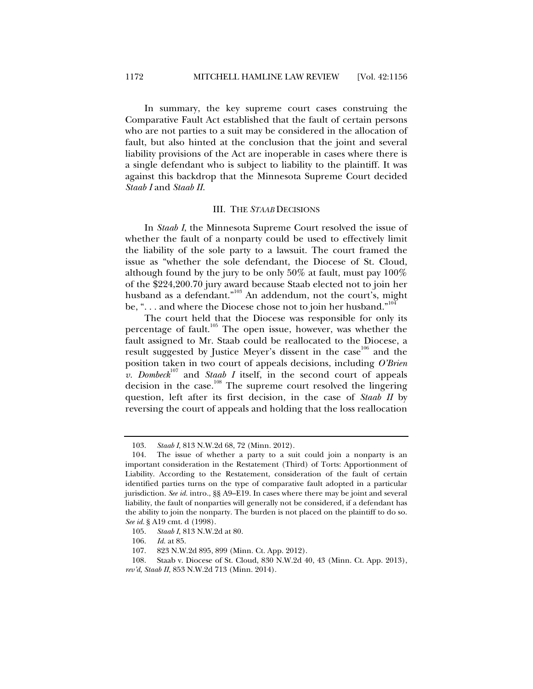In summary, the key supreme court cases construing the Comparative Fault Act established that the fault of certain persons who are not parties to a suit may be considered in the allocation of fault, but also hinted at the conclusion that the joint and several liability provisions of the Act are inoperable in cases where there is a single defendant who is subject to liability to the plaintiff. It was against this backdrop that the Minnesota Supreme Court decided *Staab I* and *Staab II*.

#### III. THE *STAAB* DECISIONS

In *Staab I*, the Minnesota Supreme Court resolved the issue of whether the fault of a nonparty could be used to effectively limit the liability of the sole party to a lawsuit. The court framed the issue as "whether the sole defendant, the Diocese of St. Cloud, although found by the jury to be only 50% at fault, must pay 100% of the \$224,200.70 jury award because Staab elected not to join her husband as a defendant."<sup>103</sup> An addendum, not the court's, might be, " $\ldots$  and where the Diocese chose not to join her husband."<sup>104</sup>

The court held that the Diocese was responsible for only its percentage of fault.<sup>105</sup> The open issue, however, was whether the fault assigned to Mr. Staab could be reallocated to the Diocese, a result suggested by Justice Meyer's dissent in the case<sup>106</sup> and the position taken in two court of appeals decisions, including *O'Brien*   $v.$  *Dombeck*<sup>107</sup> and *Staab I* itself, in the second court of appeals decision in the case.<sup>108</sup> The supreme court resolved the lingering question, left after its first decision, in the case of *Staab II* by reversing the court of appeals and holding that the loss reallocation

 <sup>103.</sup> *Staab I*, 813 N.W.2d 68, 72 (Minn. 2012).

 <sup>104.</sup> The issue of whether a party to a suit could join a nonparty is an important consideration in the Restatement (Third) of Torts: Apportionment of Liability. According to the Restatement, consideration of the fault of certain identified parties turns on the type of comparative fault adopted in a particular jurisdiction. *See id.* intro., §§ A9–E19. In cases where there may be joint and several liability, the fault of nonparties will generally not be considered, if a defendant has the ability to join the nonparty. The burden is not placed on the plaintiff to do so. *See id.* § A19 cmt. d (1998).

 <sup>105.</sup> *Staab I*, 813 N.W.2d at 80.

 <sup>106.</sup> *Id.* at 85.

 <sup>107. 823</sup> N.W.2d 895, 899 (Minn. Ct. App. 2012).

 <sup>108.</sup> Staab v. Diocese of St. Cloud, 830 N.W.2d 40, 43 (Minn. Ct. App. 2013), *rev'd*, *Staab II*, 853 N.W.2d 713 (Minn. 2014).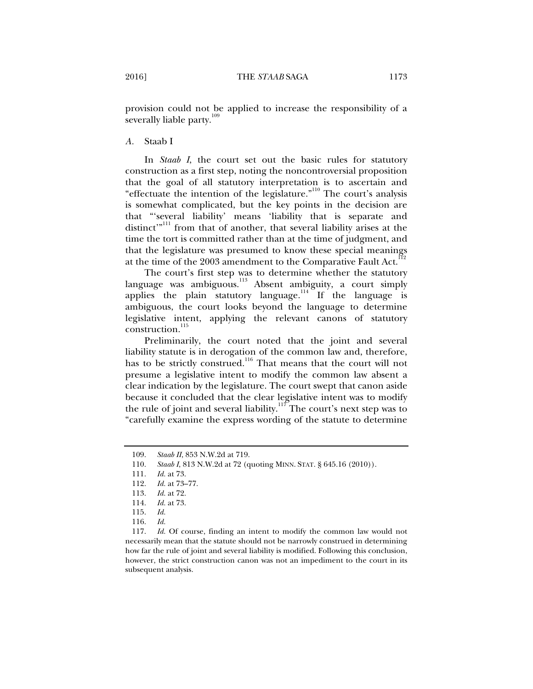*A.* Staab I

In *Staab I*, the court set out the basic rules for statutory construction as a first step, noting the noncontroversial proposition that the goal of all statutory interpretation is to ascertain and "effectuate the intention of the legislature."110 The court's analysis is somewhat complicated, but the key points in the decision are that "'several liability' means 'liability that is separate and distinct'"<sup>111</sup> from that of another, that several liability arises at the time the tort is committed rather than at the time of judgment, and that the legislature was presumed to know these special meanings at the time of the 2003 amendment to the Comparative Fault Act.<sup>112</sup>

The court's first step was to determine whether the statutory language was ambiguous.<sup>113</sup> Absent ambiguity, a court simply applies the plain statutory language.<sup>114</sup> If the language is ambiguous, the court looks beyond the language to determine legislative intent, applying the relevant canons of statutory construction.<sup>115</sup>

Preliminarily, the court noted that the joint and several liability statute is in derogation of the common law and, therefore, has to be strictly construed.<sup>116</sup> That means that the court will not presume a legislative intent to modify the common law absent a clear indication by the legislature. The court swept that canon aside because it concluded that the clear legislative intent was to modify the rule of joint and several liability.<sup>117</sup> The court's next step was to "carefully examine the express wording of the statute to determine

 117. *Id.* Of course, finding an intent to modify the common law would not necessarily mean that the statute should not be narrowly construed in determining how far the rule of joint and several liability is modified. Following this conclusion, however, the strict construction canon was not an impediment to the court in its subsequent analysis.

 <sup>109.</sup> *Staab II*, 853 N.W.2d at 719.

 <sup>110.</sup> *Staab I*, 813 N.W.2d at 72 (quoting MINN. STAT. § 645.16 (2010)).

 <sup>111.</sup> *Id.* at 73.

 <sup>112.</sup> *Id.* at 73–77.

 <sup>113.</sup> *Id.* at 72.

 <sup>114.</sup> *Id.* at 73.

 <sup>115.</sup> *Id.*

 <sup>116.</sup> *Id.*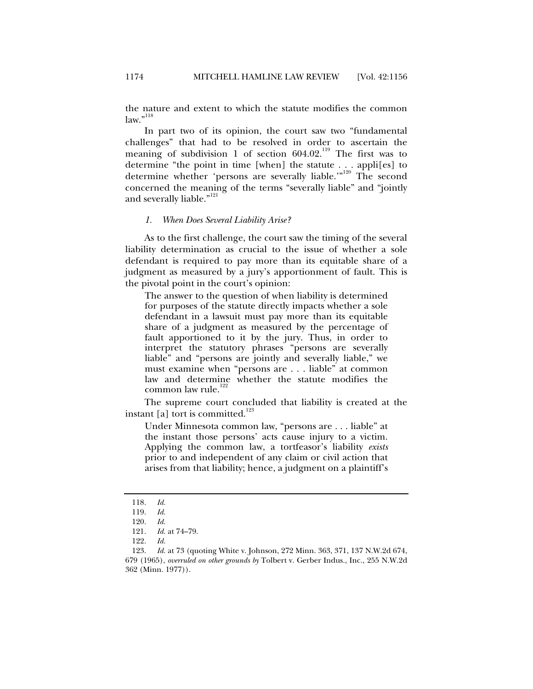the nature and extent to which the statute modifies the common  $law.^{"<sup>118</sup>}$ 

In part two of its opinion, the court saw two "fundamental challenges" that had to be resolved in order to ascertain the meaning of subdivision 1 of section  $604.02$ .<sup>119</sup> The first was to determine "the point in time [when] the statute . . . appli[es] to determine whether 'persons are severally liable.'"<sup>120</sup> The second concerned the meaning of the terms "severally liable" and "jointly and severally liable."<sup>121</sup>

#### *1. When Does Several Liability Arise?*

As to the first challenge, the court saw the timing of the several liability determination as crucial to the issue of whether a sole defendant is required to pay more than its equitable share of a judgment as measured by a jury's apportionment of fault. This is the pivotal point in the court's opinion:

The answer to the question of when liability is determined for purposes of the statute directly impacts whether a sole defendant in a lawsuit must pay more than its equitable share of a judgment as measured by the percentage of fault apportioned to it by the jury. Thus, in order to interpret the statutory phrases "persons are severally liable" and "persons are jointly and severally liable," we must examine when "persons are . . . liable" at common law and determine whether the statute modifies the common law rule.<sup>122</sup>

The supreme court concluded that liability is created at the instant [a] tort is committed.<sup>123</sup>

Under Minnesota common law, "persons are . . . liable" at the instant those persons' acts cause injury to a victim. Applying the common law, a tortfeasor's liability *exists*  prior to and independent of any claim or civil action that arises from that liability; hence, a judgment on a plaintiff's

122. *Id.*

 <sup>118.</sup> *Id.*

 <sup>119.</sup> *Id.*

 <sup>120.</sup> *Id.*

*Id.* at 74–79.

 <sup>123.</sup> *Id.* at 73 (quoting White v. Johnson, 272 Minn. 363, 371, 137 N.W.2d 674, 679 (1965), *overruled on other grounds by* Tolbert v. Gerber Indus., Inc., 255 N.W.2d 362 (Minn. 1977)).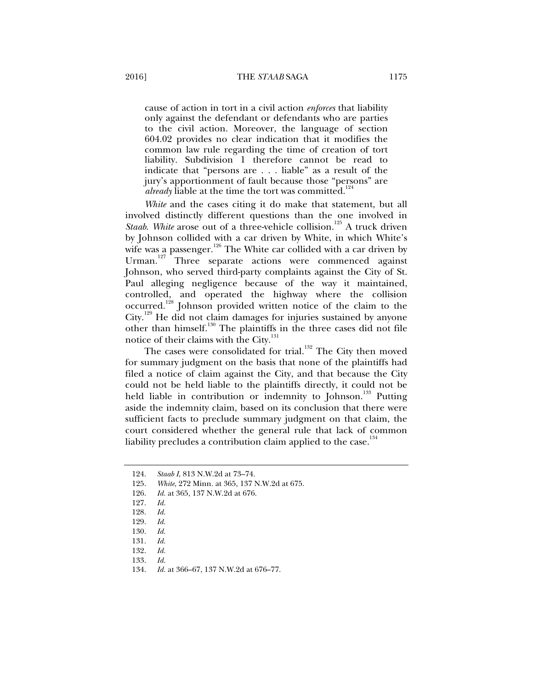cause of action in tort in a civil action *enforces* that liability only against the defendant or defendants who are parties to the civil action. Moreover, the language of section 604.02 provides no clear indication that it modifies the common law rule regarding the time of creation of tort liability. Subdivision 1 therefore cannot be read to indicate that "persons are . . . liable" as a result of the jury's apportionment of fault because those "persons" are *already* liable at the time the tort was committed.<sup>124</sup>

*White* and the cases citing it do make that statement, but all involved distinctly different questions than the one involved in *Staab. White* arose out of a three-vehicle collision.<sup>125</sup> A truck driven by Johnson collided with a car driven by White, in which White's wife was a passenger.<sup>126</sup> The White car collided with a car driven by Urman.127 Three separate actions were commenced against Johnson, who served third-party complaints against the City of St. Paul alleging negligence because of the way it maintained, controlled, and operated the highway where the collision occurred.128 Johnson provided written notice of the claim to the City.129 He did not claim damages for injuries sustained by anyone other than himself.<sup>130</sup> The plaintiffs in the three cases did not file notice of their claims with the City.<sup>131</sup>

The cases were consolidated for trial.<sup>132</sup> The City then moved for summary judgment on the basis that none of the plaintiffs had filed a notice of claim against the City, and that because the City could not be held liable to the plaintiffs directly, it could not be held liable in contribution or indemnity to Johnson.<sup>133</sup> Putting aside the indemnity claim, based on its conclusion that there were sufficient facts to preclude summary judgment on that claim, the court considered whether the general rule that lack of common liability precludes a contribution claim applied to the case. $134$ 

- 125. *White*, 272 Minn. at 365, 137 N.W.2d at 675.
- 126. *Id.* at 365, 137 N.W.2d at 676.
- 127. *Id.*
- 128. *Id.*
- 129. *Id.*
- 130. *Id.*
- 

- 132. *Id.*
- 133. *Id.*

 <sup>124.</sup> *Staab I*, 813 N.W.2d at 73–74.

 <sup>131.</sup> *Id.*

 <sup>134.</sup> *Id.* at 366–67, 137 N.W.2d at 676–77.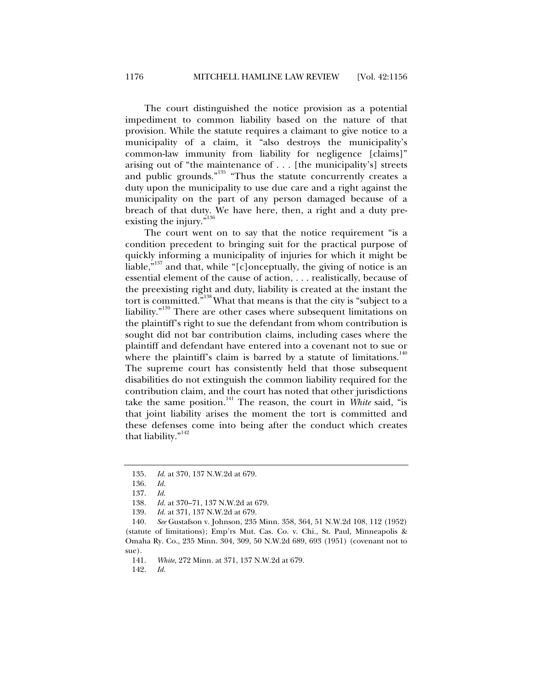The court distinguished the notice provision as a potential impediment to common liability based on the nature of that provision. While the statute requires a claimant to give notice to a municipality of a claim, it "also destroys the municipality's common-law immunity from liability for negligence [claims]" arising out of "the maintenance of . . . [the municipality's] streets and public grounds."<sup>135</sup> "Thus the statute concurrently creates a duty upon the municipality to use due care and a right against the municipality on the part of any person damaged because of a breach of that duty. We have here, then, a right and a duty preexisting the injury."<sup>136</sup>

The court went on to say that the notice requirement "is a condition precedent to bringing suit for the practical purpose of quickly informing a municipality of injuries for which it might be liable," $137$  and that, while "[c]onceptually, the giving of notice is an essential element of the cause of action, . . . realistically, because of the preexisting right and duty, liability is created at the instant the tort is committed."138What that means is that the city is "subject to a liability."139 There are other cases where subsequent limitations on the plaintiff's right to sue the defendant from whom contribution is sought did not bar contribution claims, including cases where the plaintiff and defendant have entered into a covenant not to sue or where the plaintiff's claim is barred by a statute of limitations.<sup>140</sup> The supreme court has consistently held that those subsequent disabilities do not extinguish the common liability required for the contribution claim, and the court has noted that other jurisdictions take the same position.141 The reason, the court in *White* said, "is that joint liability arises the moment the tort is committed and these defenses come into being after the conduct which creates that liability."<sup>142</sup>

 <sup>135.</sup> *Id.* at 370, 137 N.W.2d at 679.

 <sup>136.</sup> *Id.* 

 <sup>137.</sup> *Id.*

 <sup>138.</sup> *Id.* at 370–71, 137 N.W.2d at 679.

 <sup>139.</sup> *Id.* at 371, 137 N.W.2d at 679.

 <sup>140.</sup> *See* Gustafson v. Johnson, 235 Minn. 358, 364, 51 N.W.2d 108, 112 (1952) (statute of limitations); Emp'rs Mut. Cas. Co. v. Chi., St. Paul, Minneapolis & Omaha Ry. Co., 235 Minn. 304, 309, 50 N.W.2d 689, 693 (1951) (covenant not to sue).

 <sup>141.</sup> *White*, 272 Minn. at 371, 137 N.W.2d at 679.

 <sup>142.</sup> *Id.*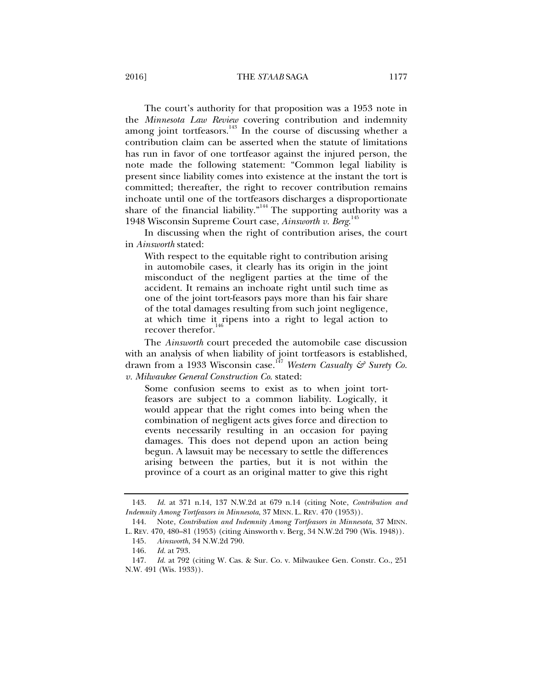2016] THE *STAAB* SAGA 1177

The court's authority for that proposition was a 1953 note in the *Minnesota Law Review* covering contribution and indemnity among joint tortfeasors. $143$  In the course of discussing whether a contribution claim can be asserted when the statute of limitations has run in favor of one tortfeasor against the injured person, the note made the following statement: "Common legal liability is present since liability comes into existence at the instant the tort is committed; thereafter, the right to recover contribution remains inchoate until one of the tortfeasors discharges a disproportionate share of the financial liability."<sup>144</sup> The supporting authority was a 1948 Wisconsin Supreme Court case, *Ainsworth v. Berg*. 145

In discussing when the right of contribution arises, the court in *Ainsworth* stated:

With respect to the equitable right to contribution arising in automobile cases, it clearly has its origin in the joint misconduct of the negligent parties at the time of the accident. It remains an inchoate right until such time as one of the joint tort-feasors pays more than his fair share of the total damages resulting from such joint negligence, at which time it ripens into a right to legal action to recover therefor.<sup>14</sup>

The *Ainsworth* court preceded the automobile case discussion with an analysis of when liability of joint tortfeasors is established, drawn from a 1933 Wisconsin case.147 *Western Casualty & Surety Co. v. Milwaukee General Construction Co*. stated:

Some confusion seems to exist as to when joint tortfeasors are subject to a common liability. Logically, it would appear that the right comes into being when the combination of negligent acts gives force and direction to events necessarily resulting in an occasion for paying damages. This does not depend upon an action being begun. A lawsuit may be necessary to settle the differences arising between the parties, but it is not within the province of a court as an original matter to give this right

 <sup>143.</sup> *Id.* at 371 n.14, 137 N.W.2d at 679 n.14 (citing Note, *Contribution and Indemnity Among Tortfeasors in Minnesota*, 37 MINN. L. REV. 470 (1953)).

 <sup>144.</sup> Note, *Contribution and Indemnity Among Tortfeasors in Minnesota*, 37 MINN. L. REV. 470, 480–81 (1953) (citing Ainsworth v. Berg, 34 N.W.2d 790 (Wis. 1948)).

 <sup>145.</sup> *Ainsworth*, 34 N.W.2d 790.

 <sup>146.</sup> *Id.* at 793.

 <sup>147.</sup> *Id.* at 792 (citing W. Cas. & Sur. Co. v. Milwaukee Gen. Constr. Co., 251 N.W. 491 (Wis. 1933)).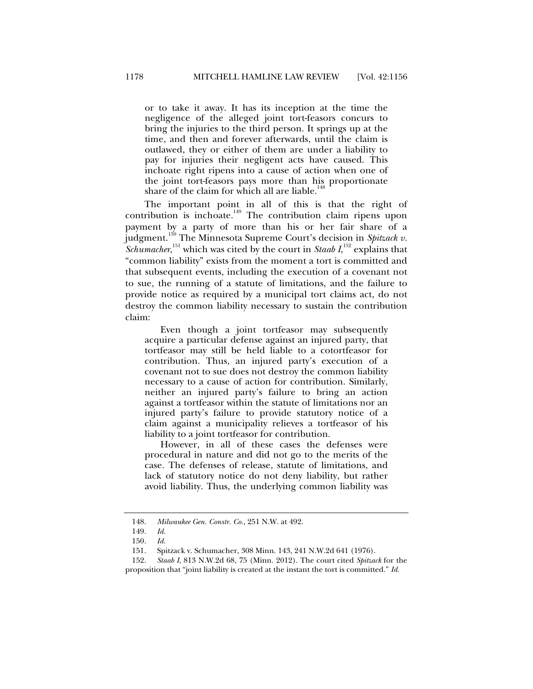or to take it away. It has its inception at the time the negligence of the alleged joint tort-feasors concurs to bring the injuries to the third person. It springs up at the time, and then and forever afterwards, until the claim is outlawed, they or either of them are under a liability to pay for injuries their negligent acts have caused. This inchoate right ripens into a cause of action when one of the joint tort-feasors pays more than his proportionate share of the claim for which all are liable. $\cdot$ 

The important point in all of this is that the right of contribution is inchoate.<sup>149</sup> The contribution claim ripens upon payment by a party of more than his or her fair share of a judgment.150 The Minnesota Supreme Court's decision in *Spitzack v. Schumacher*,<sup>151</sup> which was cited by the court in *Staab I*,<sup>152</sup> explains that "common liability" exists from the moment a tort is committed and that subsequent events, including the execution of a covenant not to sue, the running of a statute of limitations, and the failure to provide notice as required by a municipal tort claims act, do not destroy the common liability necessary to sustain the contribution claim:

Even though a joint tortfeasor may subsequently acquire a particular defense against an injured party, that tortfeasor may still be held liable to a cotortfeasor for contribution. Thus, an injured party's execution of a covenant not to sue does not destroy the common liability necessary to a cause of action for contribution. Similarly, neither an injured party's failure to bring an action against a tortfeasor within the statute of limitations nor an injured party's failure to provide statutory notice of a claim against a municipality relieves a tortfeasor of his liability to a joint tortfeasor for contribution.

However, in all of these cases the defenses were procedural in nature and did not go to the merits of the case. The defenses of release, statute of limitations, and lack of statutory notice do not deny liability, but rather avoid liability. Thus, the underlying common liability was

 <sup>148.</sup> *Milwaukee Gen. Constr. Co.*, 251 N.W. at 492.

 <sup>149.</sup> *Id.*

 <sup>150.</sup> *Id.*

 <sup>151.</sup> Spitzack v. Schumacher, 308 Minn. 143, 241 N.W.2d 641 (1976).

 <sup>152.</sup> *Staab I*, 813 N.W.2d 68, 75 (Minn. 2012). The court cited *Spitzack* for the proposition that "joint liability is created at the instant the tort is committed." *Id.*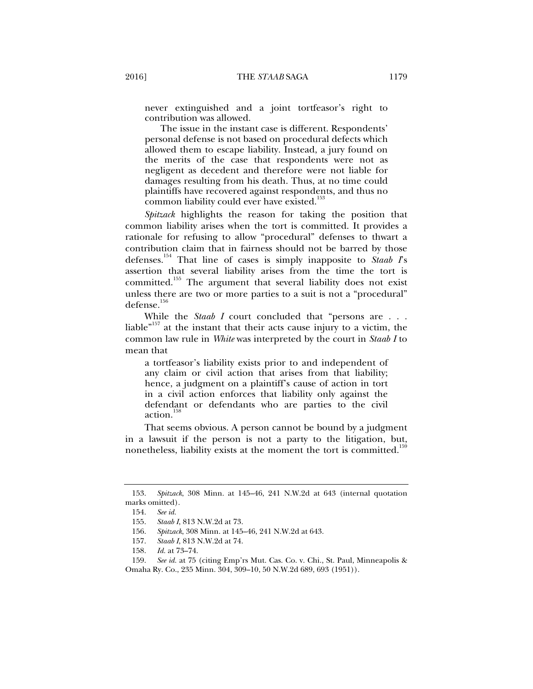never extinguished and a joint tortfeasor's right to contribution was allowed.

The issue in the instant case is different. Respondents' personal defense is not based on procedural defects which allowed them to escape liability. Instead, a jury found on the merits of the case that respondents were not as negligent as decedent and therefore were not liable for damages resulting from his death. Thus, at no time could plaintiffs have recovered against respondents, and thus no common liability could ever have existed.<sup>153</sup>

*Spitzack* highlights the reason for taking the position that common liability arises when the tort is committed. It provides a rationale for refusing to allow "procedural" defenses to thwart a contribution claim that in fairness should not be barred by those defenses.154 That line of cases is simply inapposite to *Staab I*'s assertion that several liability arises from the time the tort is committed.<sup>155</sup> The argument that several liability does not exist unless there are two or more parties to a suit is not a "procedural" defense.156

While the *Staab I* court concluded that "persons are . . . liable $n^{157}$  at the instant that their acts cause injury to a victim, the common law rule in *White* was interpreted by the court in *Staab I* to mean that

a tortfeasor's liability exists prior to and independent of any claim or civil action that arises from that liability; hence, a judgment on a plaintiff's cause of action in tort in a civil action enforces that liability only against the defendant or defendants who are parties to the civil action.<sup>158</sup>

That seems obvious. A person cannot be bound by a judgment in a lawsuit if the person is not a party to the litigation, but, nonetheless, liability exists at the moment the tort is committed.<sup>15</sup>

 <sup>153.</sup> *Spitzack*, 308 Minn. at 145–46, 241 N.W.2d at 643 (internal quotation marks omitted).

 <sup>154.</sup> *See id.*

 <sup>155.</sup> *Staab I*, 813 N.W.2d at 73.

 <sup>156.</sup> *Spitzack*, 308 Minn. at 145–46, 241 N.W.2d at 643.

 <sup>157.</sup> *Staab I*, 813 N.W.2d at 74.

 <sup>158.</sup> *Id.* at 73–74.

 <sup>159.</sup> *See id.* at 75 (citing Emp'rs Mut. Cas. Co. v. Chi., St. Paul, Minneapolis & Omaha Ry. Co., 235 Minn. 304, 309–10, 50 N.W.2d 689, 693 (1951)).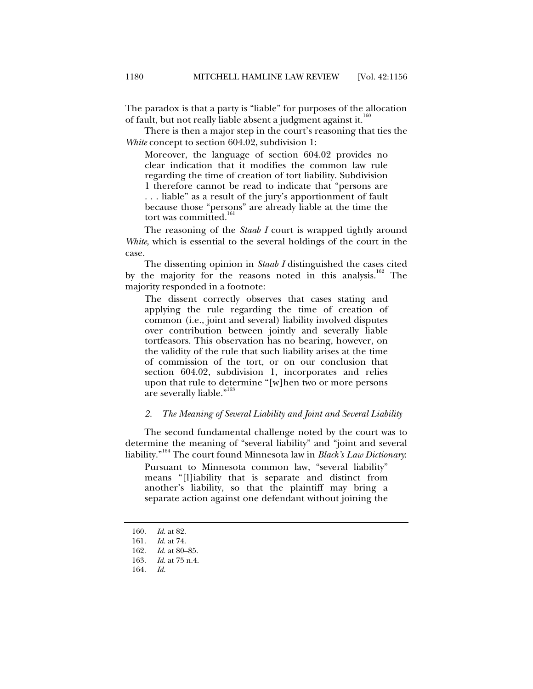The paradox is that a party is "liable" for purposes of the allocation of fault, but not really liable absent a judgment against it.<sup>160</sup>

There is then a major step in the court's reasoning that ties the *White* concept to section 604.02, subdivision 1:

Moreover, the language of section 604.02 provides no clear indication that it modifies the common law rule regarding the time of creation of tort liability. Subdivision 1 therefore cannot be read to indicate that "persons are . . . liable" as a result of the jury's apportionment of fault because those "persons" are already liable at the time the tort was committed.<sup>1</sup>

The reasoning of the *Staab I* court is wrapped tightly around *White*, which is essential to the several holdings of the court in the case.

The dissenting opinion in *Staab I* distinguished the cases cited by the majority for the reasons noted in this analysis.<sup>162</sup> The majority responded in a footnote:

The dissent correctly observes that cases stating and applying the rule regarding the time of creation of common (i.e., joint and several) liability involved disputes over contribution between jointly and severally liable tortfeasors. This observation has no bearing, however, on the validity of the rule that such liability arises at the time of commission of the tort, or on our conclusion that section 604.02, subdivision 1, incorporates and relies upon that rule to determine "[w]hen two or more persons are severally liable."

#### *2. The Meaning of Several Liability and Joint and Several Liability*

The second fundamental challenge noted by the court was to determine the meaning of "several liability" and "joint and several liability."164 The court found Minnesota law in *Black's Law Dictionary*:

Pursuant to Minnesota common law, "several liability" means "[l]iability that is separate and distinct from another's liability, so that the plaintiff may bring a separate action against one defendant without joining the

 <sup>160.</sup> *Id.* at 82.

 <sup>161.</sup> *Id.* at 74.

 <sup>162.</sup> *Id.* at 80–85.

*Id.* at 75 n.4.

 <sup>164.</sup> *Id.*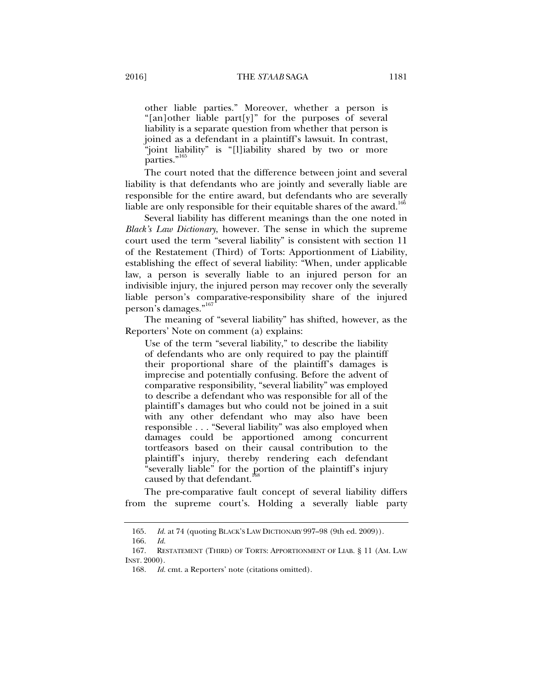other liable parties." Moreover, whether a person is "[an]other liable part[y]" for the purposes of several liability is a separate question from whether that person is joined as a defendant in a plaintiff's lawsuit. In contrast, "joint liability" is "[l]iability shared by two or more parties."<sup>165</sup>

The court noted that the difference between joint and several liability is that defendants who are jointly and severally liable are responsible for the entire award, but defendants who are severally liable are only responsible for their equitable shares of the award.<sup>166</sup>

Several liability has different meanings than the one noted in *Black's Law Dictionary*, however. The sense in which the supreme court used the term "several liability" is consistent with section 11 of the Restatement (Third) of Torts: Apportionment of Liability, establishing the effect of several liability: "When, under applicable law, a person is severally liable to an injured person for an indivisible injury, the injured person may recover only the severally liable person's comparative-responsibility share of the injured person's damages."<sup>167</sup>

The meaning of "several liability" has shifted, however, as the Reporters' Note on comment (a) explains:

Use of the term "several liability," to describe the liability of defendants who are only required to pay the plaintiff their proportional share of the plaintiff's damages is imprecise and potentially confusing. Before the advent of comparative responsibility, "several liability" was employed to describe a defendant who was responsible for all of the plaintiff's damages but who could not be joined in a suit with any other defendant who may also have been responsible . . . "Several liability" was also employed when damages could be apportioned among concurrent tortfeasors based on their causal contribution to the plaintiff's injury, thereby rendering each defendant "severally liable" for the portion of the plaintiff's injury caused by that defendant.

The pre-comparative fault concept of several liability differs from the supreme court's. Holding a severally liable party

 <sup>165.</sup> *Id.* at 74 (quoting BLACK'S LAW DICTIONARY 997–98 (9th ed. 2009)).

 <sup>166.</sup> *Id.*

 <sup>167.</sup> RESTATEMENT (THIRD) OF TORTS: APPORTIONMENT OF LIAB. § 11 (AM. LAW INST. 2000).

 <sup>168.</sup> *Id.* cmt. a Reporters' note (citations omitted).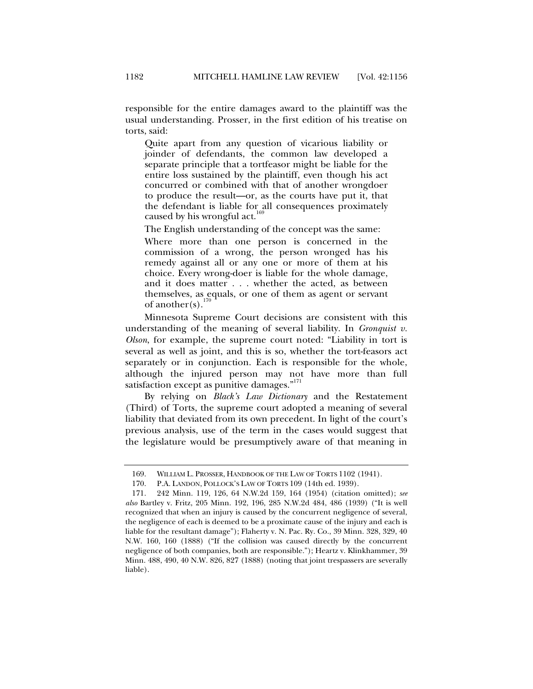responsible for the entire damages award to the plaintiff was the usual understanding. Prosser, in the first edition of his treatise on torts, said:

Quite apart from any question of vicarious liability or joinder of defendants, the common law developed a separate principle that a tortfeasor might be liable for the entire loss sustained by the plaintiff, even though his act concurred or combined with that of another wrongdoer to produce the result—or, as the courts have put it, that the defendant is liable for all consequences proximately caused by his wrongful act.<sup>169</sup>

The English understanding of the concept was the same:

Where more than one person is concerned in the commission of a wrong, the person wronged has his remedy against all or any one or more of them at his choice. Every wrong-doer is liable for the whole damage, and it does matter . . . whether the acted, as between themselves, as equals, or one of them as agent or servant of another(s). $\frac{1}{2}$ 

Minnesota Supreme Court decisions are consistent with this understanding of the meaning of several liability. In *Gronquist v. Olson*, for example, the supreme court noted: "Liability in tort is several as well as joint, and this is so, whether the tort-feasors act separately or in conjunction. Each is responsible for the whole, although the injured person may not have more than full satisfaction except as punitive damages."<sup>171</sup>

By relying on *Black's Law Dictionary* and the Restatement (Third) of Torts, the supreme court adopted a meaning of several liability that deviated from its own precedent. In light of the court's previous analysis, use of the term in the cases would suggest that the legislature would be presumptively aware of that meaning in

 <sup>169.</sup> WILLIAM L. PROSSER, HANDBOOK OF THE LAW OF TORTS 1102 (1941).

 <sup>170.</sup> P.A. LANDON, POLLOCK'S LAW OF TORTS 109 (14th ed. 1939).

 <sup>171. 242</sup> Minn. 119, 126, 64 N.W.2d 159, 164 (1954) (citation omitted); *see also* Bartley v. Fritz, 205 Minn. 192, 196, 285 N.W.2d 484, 486 (1939) ("It is well recognized that when an injury is caused by the concurrent negligence of several, the negligence of each is deemed to be a proximate cause of the injury and each is liable for the resultant damage"); Flaherty v. N. Pac. Ry. Co., 39 Minn. 328, 329, 40 N.W. 160, 160 (1888) ("If the collision was caused directly by the concurrent negligence of both companies, both are responsible."); Heartz v. Klinkhammer, 39 Minn. 488, 490, 40 N.W. 826, 827 (1888) (noting that joint trespassers are severally liable).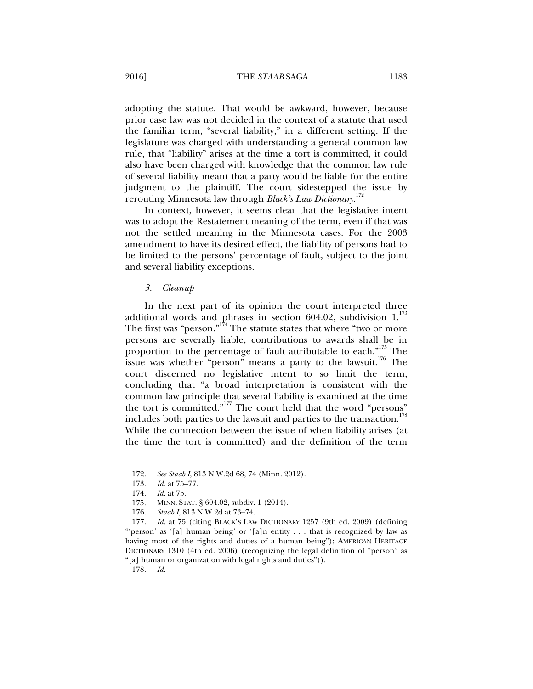adopting the statute. That would be awkward, however, because prior case law was not decided in the context of a statute that used the familiar term, "several liability," in a different setting. If the legislature was charged with understanding a general common law rule, that "liability" arises at the time a tort is committed, it could also have been charged with knowledge that the common law rule of several liability meant that a party would be liable for the entire judgment to the plaintiff. The court sidestepped the issue by rerouting Minnesota law through *Black's Law Dictionary*. 172

In context, however, it seems clear that the legislative intent was to adopt the Restatement meaning of the term, even if that was not the settled meaning in the Minnesota cases. For the 2003 amendment to have its desired effect, the liability of persons had to be limited to the persons' percentage of fault, subject to the joint and several liability exceptions.

*3. Cleanup* 

In the next part of its opinion the court interpreted three additional words and phrases in section 604.02, subdivision  $1.^{173}$ The first was "person."<sup>174</sup> The statute states that where "two or more" persons are severally liable, contributions to awards shall be in proportion to the percentage of fault attributable to each."<sup>175</sup> The issue was whether "person" means a party to the lawsuit.<sup>176</sup> The court discerned no legislative intent to so limit the term, concluding that "a broad interpretation is consistent with the common law principle that several liability is examined at the time the tort is committed."177 The court held that the word "persons" includes both parties to the lawsuit and parties to the transaction.<sup>178</sup> While the connection between the issue of when liability arises (at the time the tort is committed) and the definition of the term

178. *Id.*

 <sup>172.</sup> *See Staab I*, 813 N.W.2d 68, 74 (Minn. 2012).

 <sup>173.</sup> *Id.* at 75–77.

 <sup>174.</sup> *Id.* at 75.

 <sup>175.</sup> MINN. STAT. § 604.02, subdiv. 1 (2014).

 <sup>176.</sup> *Staab I*, 813 N.W.2d at 73–74.

 <sup>177.</sup> *Id.* at 75 (citing BLACK'S LAW DICTIONARY 1257 (9th ed. 2009) (defining "'person' as '[a] human being' or '[a]n entity . . . that is recognized by law as having most of the rights and duties of a human being"); AMERICAN HERITAGE DICTIONARY 1310 (4th ed. 2006) (recognizing the legal definition of "person" as "[a] human or organization with legal rights and duties")).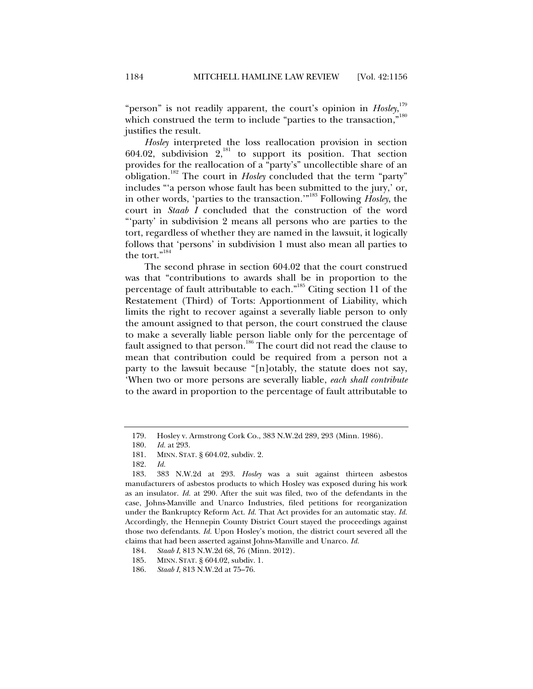"person" is not readily apparent, the court's opinion in *Hosley*, which construed the term to include "parties to the transaction,"<sup>180</sup> justifies the result.

*Hosley* interpreted the loss reallocation provision in section 604.02, subdivision  $2$ ,<sup>181</sup> to support its position. That section provides for the reallocation of a "party's" uncollectible share of an obligation.182 The court in *Hosley* concluded that the term "party" includes "'a person whose fault has been submitted to the jury,' or, in other words, 'parties to the transaction.'"183 Following *Hosley*, the court in *Staab I* concluded that the construction of the word "'party' in subdivision 2 means all persons who are parties to the tort, regardless of whether they are named in the lawsuit, it logically follows that 'persons' in subdivision 1 must also mean all parties to the tort."<sup>18</sup>

The second phrase in section 604.02 that the court construed was that "contributions to awards shall be in proportion to the percentage of fault attributable to each."185 Citing section 11 of the Restatement (Third) of Torts: Apportionment of Liability, which limits the right to recover against a severally liable person to only the amount assigned to that person, the court construed the clause to make a severally liable person liable only for the percentage of fault assigned to that person.186 The court did not read the clause to mean that contribution could be required from a person not a party to the lawsuit because "[n]otably, the statute does not say, 'When two or more persons are severally liable, *each shall contribute* to the award in proportion to the percentage of fault attributable to

 <sup>179.</sup> Hosley v. Armstrong Cork Co., 383 N.W.2d 289, 293 (Minn. 1986).

 <sup>180.</sup> *Id.* at 293.

 <sup>181.</sup> MINN. STAT. § 604.02, subdiv. 2.

 <sup>182.</sup> *Id.*

 <sup>183. 383</sup> N.W.2d at 293. *Hosley* was a suit against thirteen asbestos manufacturers of asbestos products to which Hosley was exposed during his work as an insulator. *Id.* at 290. After the suit was filed, two of the defendants in the case, Johns-Manville and Unarco Industries, filed petitions for reorganization under the Bankruptcy Reform Act. *Id.* That Act provides for an automatic stay. *Id.* Accordingly, the Hennepin County District Court stayed the proceedings against those two defendants. *Id.* Upon Hosley's motion, the district court severed all the claims that had been asserted against Johns-Manville and Unarco. *Id.*

 <sup>184.</sup> *Staab I*, 813 N.W.2d 68, 76 (Minn. 2012).

 <sup>185.</sup> MINN. STAT. § 604.02, subdiv. 1.

 <sup>186.</sup> *Staab I*, 813 N.W.2d at 75–76.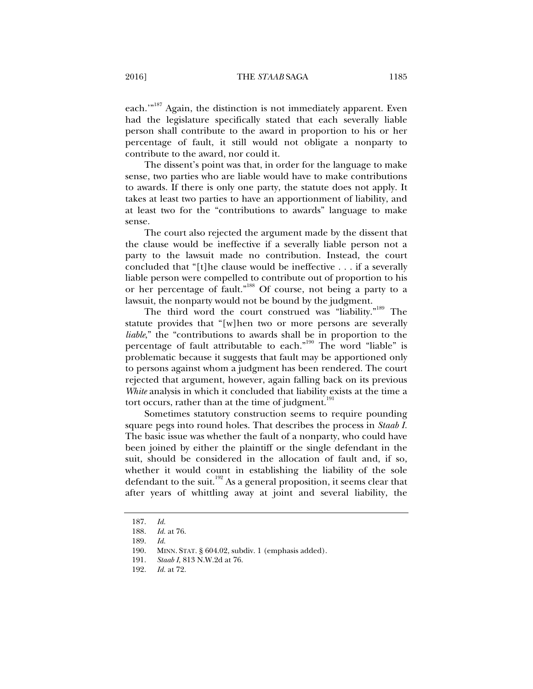each."<sup>187</sup> Again, the distinction is not immediately apparent. Even had the legislature specifically stated that each severally liable person shall contribute to the award in proportion to his or her percentage of fault, it still would not obligate a nonparty to contribute to the award, nor could it.

The dissent's point was that, in order for the language to make sense, two parties who are liable would have to make contributions to awards. If there is only one party, the statute does not apply. It takes at least two parties to have an apportionment of liability, and at least two for the "contributions to awards" language to make sense.

The court also rejected the argument made by the dissent that the clause would be ineffective if a severally liable person not a party to the lawsuit made no contribution. Instead, the court concluded that "[t]he clause would be ineffective . . . if a severally liable person were compelled to contribute out of proportion to his or her percentage of fault."188 Of course, not being a party to a lawsuit, the nonparty would not be bound by the judgment.

The third word the court construed was "liability."189 The statute provides that "[w]hen two or more persons are severally *liable*," the "contributions to awards shall be in proportion to the percentage of fault attributable to each."190 The word "liable" is problematic because it suggests that fault may be apportioned only to persons against whom a judgment has been rendered. The court rejected that argument, however, again falling back on its previous *White* analysis in which it concluded that liability exists at the time a tort occurs, rather than at the time of judgment. $191$ 

Sometimes statutory construction seems to require pounding square pegs into round holes. That describes the process in *Staab I.* The basic issue was whether the fault of a nonparty, who could have been joined by either the plaintiff or the single defendant in the suit, should be considered in the allocation of fault and, if so, whether it would count in establishing the liability of the sole defendant to the suit.<sup>192</sup> As a general proposition, it seems clear that after years of whittling away at joint and several liability, the

 <sup>187.</sup> *Id.*

*Id.* at 76.

 <sup>189.</sup> *Id.*

 <sup>190.</sup> MINN. STAT. § 604.02, subdiv. 1 (emphasis added).

 <sup>191.</sup> *Staab I*, 813 N.W.2d at 76.

 <sup>192.</sup> *Id.* at 72.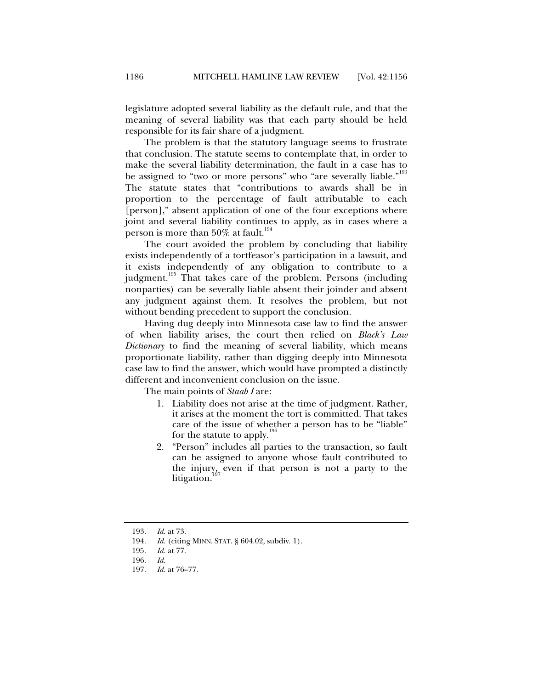legislature adopted several liability as the default rule, and that the meaning of several liability was that each party should be held responsible for its fair share of a judgment.

The problem is that the statutory language seems to frustrate that conclusion. The statute seems to contemplate that, in order to make the several liability determination, the fault in a case has to be assigned to "two or more persons" who "are severally liable."<sup>193</sup> The statute states that "contributions to awards shall be in proportion to the percentage of fault attributable to each [person]," absent application of one of the four exceptions where joint and several liability continues to apply, as in cases where a person is more than  $50\%$  at fault.<sup>194</sup>

The court avoided the problem by concluding that liability exists independently of a tortfeasor's participation in a lawsuit, and it exists independently of any obligation to contribute to a judgment.<sup>195</sup> That takes care of the problem. Persons (including nonparties) can be severally liable absent their joinder and absent any judgment against them. It resolves the problem, but not without bending precedent to support the conclusion.

Having dug deeply into Minnesota case law to find the answer of when liability arises, the court then relied on *Black's Law Dictionary* to find the meaning of several liability, which means proportionate liability, rather than digging deeply into Minnesota case law to find the answer, which would have prompted a distinctly different and inconvenient conclusion on the issue.

The main points of *Staab I* are:

- 1. Liability does not arise at the time of judgment. Rather, it arises at the moment the tort is committed. That takes care of the issue of whether a person has to be "liable" for the statute to apply.<sup>196</sup>
- 2. "Person" includes all parties to the transaction, so fault can be assigned to anyone whose fault contributed to the injury, even if that person is not a party to the litigation.<sup>1</sup>

 <sup>193.</sup> *Id.* at 73.

 <sup>194.</sup> *Id.* (citing MINN. STAT. § 604.02, subdiv. 1).

 <sup>195.</sup> *Id.* at 77.

 <sup>196.</sup> *Id.*

 <sup>197.</sup> *Id.* at 76–77.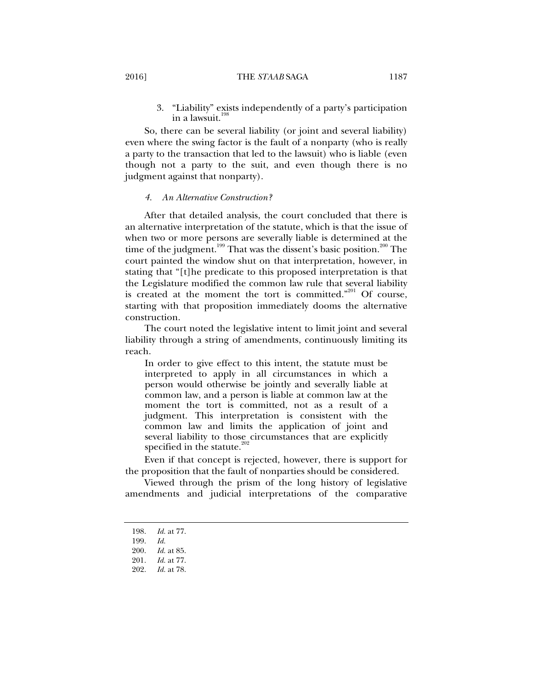3. "Liability" exists independently of a party's participation in a lawsuit.<sup>1</sup>

So, there can be several liability (or joint and several liability) even where the swing factor is the fault of a nonparty (who is really a party to the transaction that led to the lawsuit) who is liable (even though not a party to the suit, and even though there is no judgment against that nonparty).

#### *4. An Alternative Construction?*

After that detailed analysis, the court concluded that there is an alternative interpretation of the statute, which is that the issue of when two or more persons are severally liable is determined at the time of the judgment.<sup>199</sup> That was the dissent's basic position.<sup>200</sup> The court painted the window shut on that interpretation, however, in stating that "[t]he predicate to this proposed interpretation is that the Legislature modified the common law rule that several liability is created at the moment the tort is committed."201 Of course, starting with that proposition immediately dooms the alternative construction.

The court noted the legislative intent to limit joint and several liability through a string of amendments, continuously limiting its reach.

In order to give effect to this intent, the statute must be interpreted to apply in all circumstances in which a person would otherwise be jointly and severally liable at common law, and a person is liable at common law at the moment the tort is committed, not as a result of a judgment. This interpretation is consistent with the common law and limits the application of joint and several liability to those circumstances that are explicitly specified in the statute. $\frac{2}{x}$ 

Even if that concept is rejected, however, there is support for the proposition that the fault of nonparties should be considered.

Viewed through the prism of the long history of legislative amendments and judicial interpretations of the comparative

 <sup>198.</sup> *Id.* at 77.

 <sup>199.</sup> *Id.*

 <sup>200.</sup> *Id.* at 85.

*Id.* at 77.

 <sup>202.</sup> *Id.* at 78.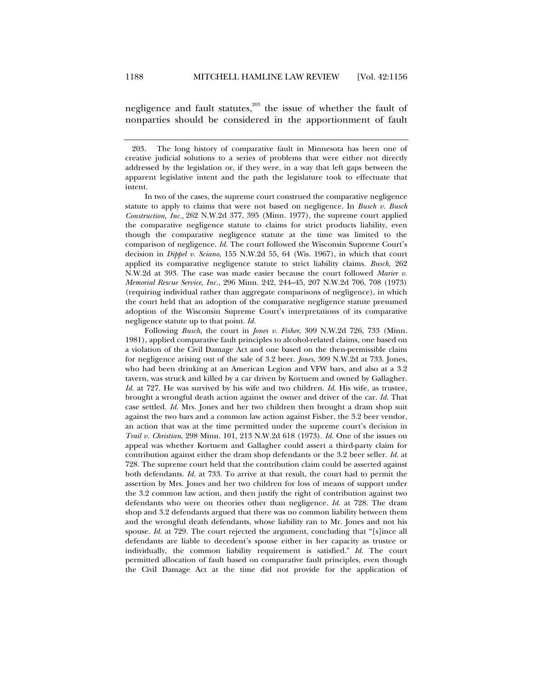negligence and fault statutes, $203$  the issue of whether the fault of nonparties should be considered in the apportionment of fault

In two of the cases, the supreme court construed the comparative negligence statute to apply to claims that were not based on negligence. In *Busch v. Busch Construction, Inc.*, 262 N.W.2d 377, 395 (Minn. 1977), the supreme court applied the comparative negligence statute to claims for strict products liability, even though the comparative negligence statute at the time was limited to the comparison of negligence. *Id.* The court followed the Wisconsin Supreme Court's decision in *Dippel v. Sciano*, 155 N.W.2d 55, 64 (Wis. 1967), in which that court applied its comparative negligence statute to strict liability claims. *Busch*, 262 N.W.2d at 393. The case was made easier because the court followed *Marier v. Memorial Rescue Service, Inc.*, 296 Minn. 242, 244–45, 207 N.W.2d 706, 708 (1973) (requiring individual rather than aggregate comparisons of negligence), in which the court held that an adoption of the comparative negligence statute presumed adoption of the Wisconsin Supreme Court's interpretations of its comparative negligence statute up to that point. *Id.*

Following *Busch*, the court in *Jones v. Fisher*, 309 N.W.2d 726, 733 (Minn. 1981), applied comparative fault principles to alcohol-related claims, one based on a violation of the Civil Damage Act and one based on the then-permissible claim for negligence arising out of the sale of 3.2 beer. *Jones*, 309 N.W.2d at 733. Jones, who had been drinking at an American Legion and VFW bars, and also at a 3.2 tavern, was struck and killed by a car driven by Kortuem and owned by Gallagher. *Id.* at 727. He was survived by his wife and two children. *Id.* His wife, as trustee, brought a wrongful death action against the owner and driver of the car. *Id.* That case settled. *Id.* Mrs. Jones and her two children then brought a dram shop suit against the two bars and a common law action against Fisher, the 3.2 beer vendor, an action that was at the time permitted under the supreme court's decision in *Trail v. Christian*, 298 Minn. 101, 213 N.W.2d 618 (1973). *Id.* One of the issues on appeal was whether Kortuem and Gallagher could assert a third-party claim for contribution against either the dram shop defendants or the 3.2 beer seller. *Id.* at 728. The supreme court held that the contribution claim could be asserted against both defendants. *Id.* at 733. To arrive at that result, the court had to permit the assertion by Mrs. Jones and her two children for loss of means of support under the 3.2 common law action, and then justify the right of contribution against two defendants who were on theories other than negligence. *Id.* at 728. The dram shop and 3.2 defendants argued that there was no common liability between them and the wrongful death defendants, whose liability ran to Mr. Jones and not his spouse. *Id.* at 729. The court rejected the argument, concluding that "[s]ince all defendants are liable to decedent's spouse either in her capacity as trustee or individually, the common liability requirement is satisfied." *Id.* The court permitted allocation of fault based on comparative fault principles, even though the Civil Damage Act at the time did not provide for the application of

 <sup>203.</sup> The long history of comparative fault in Minnesota has been one of creative judicial solutions to a series of problems that were either not directly addressed by the legislation or, if they were, in a way that left gaps between the apparent legislative intent and the path the legislature took to effectuate that intent.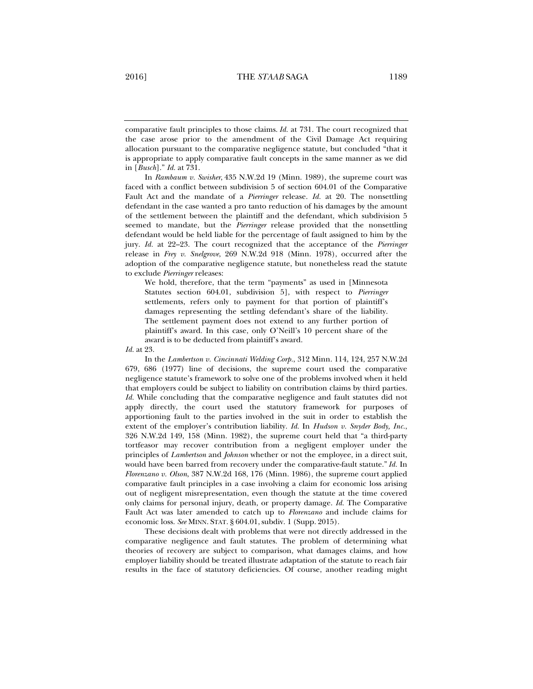comparative fault principles to those claims. *Id.* at 731. The court recognized that the case arose prior to the amendment of the Civil Damage Act requiring allocation pursuant to the comparative negligence statute, but concluded "that it is appropriate to apply comparative fault concepts in the same manner as we did in [*Busch*]." *Id.* at 731.

In *Rambaum v. Swisher*, 435 N.W.2d 19 (Minn. 1989), the supreme court was faced with a conflict between subdivision 5 of section 604.01 of the Comparative Fault Act and the mandate of a *Pierringer* release. *Id.* at 20. The nonsettling defendant in the case wanted a pro tanto reduction of his damages by the amount of the settlement between the plaintiff and the defendant, which subdivision 5 seemed to mandate, but the *Pierringer* release provided that the nonsettling defendant would be held liable for the percentage of fault assigned to him by the jury. *Id.* at 22–23. The court recognized that the acceptance of the *Pierringer* release in *Frey v. Snelgrove*, 269 N.W.2d 918 (Minn. 1978), occurred after the adoption of the comparative negligence statute, but nonetheless read the statute to exclude *Pierringer* releases:

We hold, therefore, that the term "payments" as used in [Minnesota Statutes section 604.01, subdivision 5], with respect to *Pierringer* settlements, refers only to payment for that portion of plaintiff's damages representing the settling defendant's share of the liability. The settlement payment does not extend to any further portion of plaintiff's award. In this case, only O'Neill's 10 percent share of the award is to be deducted from plaintiff's award.

*Id.* at 23.

In the *Lambertson v. Cincinnati Welding Corp.*, 312 Minn. 114, 124, 257 N.W.2d 679, 686 (1977) line of decisions, the supreme court used the comparative negligence statute's framework to solve one of the problems involved when it held that employers could be subject to liability on contribution claims by third parties. *Id.* While concluding that the comparative negligence and fault statutes did not apply directly, the court used the statutory framework for purposes of apportioning fault to the parties involved in the suit in order to establish the extent of the employer's contribution liability. *Id.* In *Hudson v. Snyder Body, Inc.*, 326 N.W.2d 149, 158 (Minn. 1982), the supreme court held that "a third-party tortfeasor may recover contribution from a negligent employer under the principles of *Lambertson* and *Johnson* whether or not the employee, in a direct suit, would have been barred from recovery under the comparative-fault statute." *Id.* In *Florenzano v. Olson*, 387 N.W.2d 168, 176 (Minn. 1986), the supreme court applied comparative fault principles in a case involving a claim for economic loss arising out of negligent misrepresentation, even though the statute at the time covered only claims for personal injury, death, or property damage. *Id.* The Comparative Fault Act was later amended to catch up to *Florenzano* and include claims for economic loss. *See* MINN. STAT. § 604.01, subdiv. 1 (Supp. 2015).

These decisions dealt with problems that were not directly addressed in the comparative negligence and fault statutes. The problem of determining what theories of recovery are subject to comparison, what damages claims, and how employer liability should be treated illustrate adaptation of the statute to reach fair results in the face of statutory deficiencies. Of course, another reading might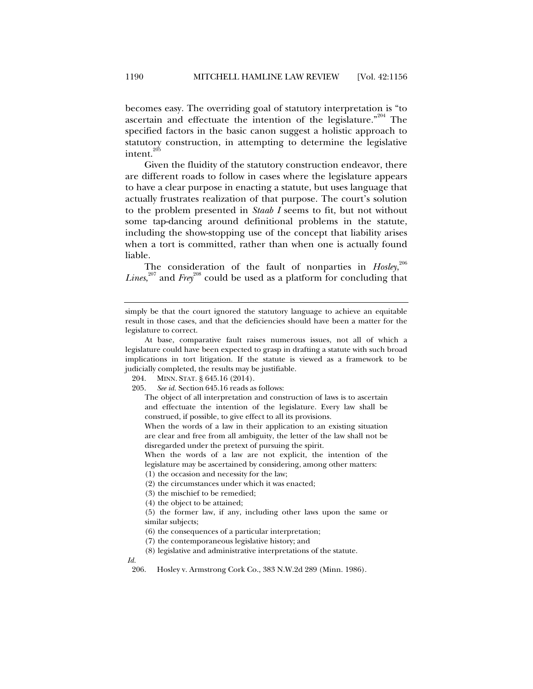becomes easy. The overriding goal of statutory interpretation is "to ascertain and effectuate the intention of the legislature."<sup>204</sup> The specified factors in the basic canon suggest a holistic approach to statutory construction, in attempting to determine the legislative intent.<sup>205</sup>

Given the fluidity of the statutory construction endeavor, there are different roads to follow in cases where the legislature appears to have a clear purpose in enacting a statute, but uses language that actually frustrates realization of that purpose. The court's solution to the problem presented in *Staab I* seems to fit, but not without some tap-dancing around definitional problems in the statute, including the show-stopping use of the concept that liability arises when a tort is committed, rather than when one is actually found liable.

The consideration of the fault of nonparties in *Hosley*, 206 Lines,<sup>207</sup> and Frey<sup>208</sup> could be used as a platform for concluding that

When the words of a law are not explicit, the intention of the legislature may be ascertained by considering, among other matters: (1) the occasion and necessity for the law;

 *Id.*

simply be that the court ignored the statutory language to achieve an equitable result in those cases, and that the deficiencies should have been a matter for the legislature to correct.

At base, comparative fault raises numerous issues, not all of which a legislature could have been expected to grasp in drafting a statute with such broad implications in tort litigation. If the statute is viewed as a framework to be judicially completed, the results may be justifiable.

 <sup>204.</sup> MINN. STAT. § 645.16 (2014).

 <sup>205.</sup> *See id.* Section 645.16 reads as follows:

The object of all interpretation and construction of laws is to ascertain and effectuate the intention of the legislature. Every law shall be construed, if possible, to give effect to all its provisions.

When the words of a law in their application to an existing situation are clear and free from all ambiguity, the letter of the law shall not be disregarded under the pretext of pursuing the spirit.

<sup>(2)</sup> the circumstances under which it was enacted;

<sup>(3)</sup> the mischief to be remedied;

<sup>(4)</sup> the object to be attained;

<sup>(5)</sup> the former law, if any, including other laws upon the same or similar subjects;

<sup>(6)</sup> the consequences of a particular interpretation;

<sup>(7)</sup> the contemporaneous legislative history; and

<sup>(8)</sup> legislative and administrative interpretations of the statute.

 <sup>206.</sup> Hosley v. Armstrong Cork Co., 383 N.W.2d 289 (Minn. 1986).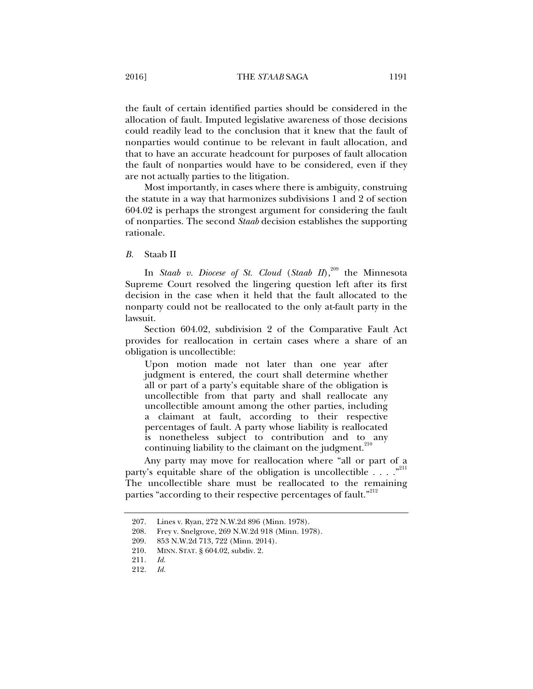the fault of certain identified parties should be considered in the allocation of fault. Imputed legislative awareness of those decisions could readily lead to the conclusion that it knew that the fault of nonparties would continue to be relevant in fault allocation, and that to have an accurate headcount for purposes of fault allocation the fault of nonparties would have to be considered, even if they are not actually parties to the litigation.

Most importantly, in cases where there is ambiguity, construing the statute in a way that harmonizes subdivisions 1 and 2 of section 604.02 is perhaps the strongest argument for considering the fault of nonparties. The second *Staab* decision establishes the supporting rationale.

## *B.* Staab II

In *Staab v. Diocese of St. Cloud (Staab II)*,<sup>209</sup> the Minnesota Supreme Court resolved the lingering question left after its first decision in the case when it held that the fault allocated to the nonparty could not be reallocated to the only at-fault party in the lawsuit.

Section 604.02, subdivision 2 of the Comparative Fault Act provides for reallocation in certain cases where a share of an obligation is uncollectible:

Upon motion made not later than one year after judgment is entered, the court shall determine whether all or part of a party's equitable share of the obligation is uncollectible from that party and shall reallocate any uncollectible amount among the other parties, including a claimant at fault, according to their respective percentages of fault. A party whose liability is reallocated is nonetheless subject to contribution and to any continuing liability to the claimant on the judgment.

Any party may move for reallocation where "all or part of a party's equitable share of the obligation is uncollectible  $\ldots$ ."<sup>211</sup> The uncollectible share must be reallocated to the remaining parties "according to their respective percentages of fault."<sup>212</sup>

 <sup>207.</sup> Lines v. Ryan, 272 N.W.2d 896 (Minn. 1978).

 <sup>208.</sup> Frey v. Snelgrove, 269 N.W.2d 918 (Minn. 1978).

 <sup>209. 853</sup> N.W.2d 713, 722 (Minn. 2014).

 <sup>210.</sup> MINN. STAT. § 604.02, subdiv. 2.

 <sup>211.</sup> *Id.*

 <sup>212.</sup> *Id.*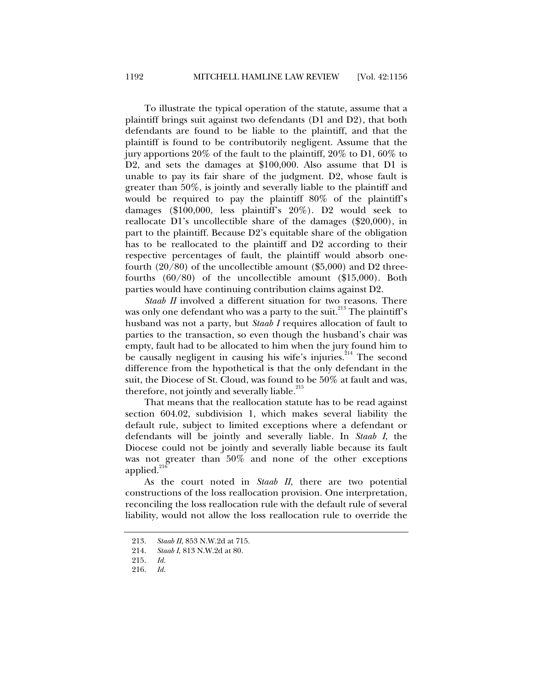To illustrate the typical operation of the statute, assume that a plaintiff brings suit against two defendants (D1 and D2), that both defendants are found to be liable to the plaintiff, and that the plaintiff is found to be contributorily negligent. Assume that the jury apportions 20% of the fault to the plaintiff, 20% to D1, 60% to D2, and sets the damages at \$100,000. Also assume that D1 is unable to pay its fair share of the judgment. D2, whose fault is greater than 50%, is jointly and severally liable to the plaintiff and would be required to pay the plaintiff 80% of the plaintiff's damages (\$100,000, less plaintiff's 20%). D2 would seek to reallocate D1's uncollectible share of the damages (\$20,000), in part to the plaintiff. Because D2's equitable share of the obligation has to be reallocated to the plaintiff and D2 according to their respective percentages of fault, the plaintiff would absorb onefourth  $(20/80)$  of the uncollectible amount  $(\$5,000)$  and D2 threefourths (60/80) of the uncollectible amount (\$15,000). Both parties would have continuing contribution claims against D2.

*Staab II* involved a different situation for two reasons. There was only one defendant who was a party to the suit.<sup>213</sup> The plaintiff's husband was not a party, but *Staab I* requires allocation of fault to parties to the transaction, so even though the husband's chair was empty, fault had to be allocated to him when the jury found him to be causally negligent in causing his wife's injuries.<sup>214</sup> The second difference from the hypothetical is that the only defendant in the suit, the Diocese of St. Cloud, was found to be 50% at fault and was, therefore, not jointly and severally liable. $215$ 

That means that the reallocation statute has to be read against section 604.02, subdivision 1, which makes several liability the default rule, subject to limited exceptions where a defendant or defendants will be jointly and severally liable. In *Staab I*, the Diocese could not be jointly and severally liable because its fault was not greater than 50% and none of the other exceptions applied. $^{216}$ 

As the court noted in *Staab II*, there are two potential constructions of the loss reallocation provision. One interpretation, reconciling the loss reallocation rule with the default rule of several liability, would not allow the loss reallocation rule to override the

 <sup>213.</sup> *Staab II*, 853 N.W.2d at 715.

 <sup>214.</sup> *Staab I*, 813 N.W.2d at 80.

 <sup>215.</sup> *Id.*

 <sup>216.</sup> *Id.*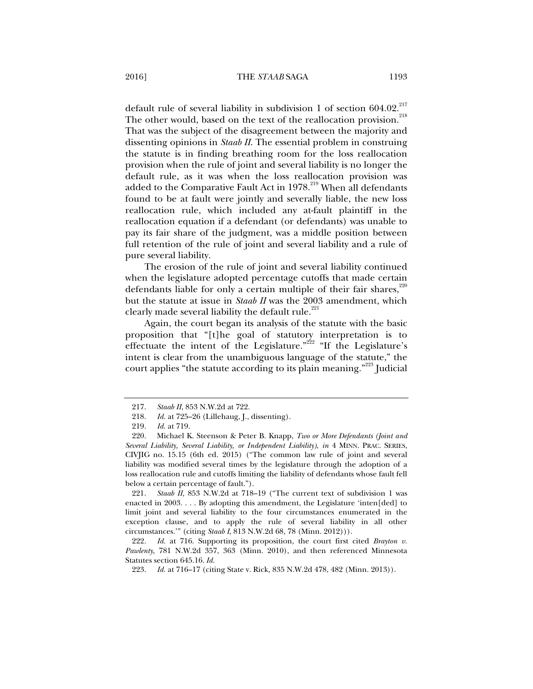default rule of several liability in subdivision 1 of section  $604.02.^{217}$ The other would, based on the text of the reallocation provision.<sup>218</sup> That was the subject of the disagreement between the majority and dissenting opinions in *Staab II*. The essential problem in construing the statute is in finding breathing room for the loss reallocation provision when the rule of joint and several liability is no longer the default rule, as it was when the loss reallocation provision was added to the Comparative Fault Act in 1978.<sup>219</sup> When all defendants found to be at fault were jointly and severally liable, the new loss reallocation rule, which included any at-fault plaintiff in the reallocation equation if a defendant (or defendants) was unable to pay its fair share of the judgment, was a middle position between full retention of the rule of joint and several liability and a rule of pure several liability.

The erosion of the rule of joint and several liability continued when the legislature adopted percentage cutoffs that made certain defendants liable for only a certain multiple of their fair shares, $220$ but the statute at issue in *Staab II* was the 2003 amendment, which clearly made several liability the default rule.<sup>221</sup>

Again, the court began its analysis of the statute with the basic proposition that "[t]he goal of statutory interpretation is to effectuate the intent of the Legislature."<sup>222</sup> "If the Legislature's intent is clear from the unambiguous language of the statute," the court applies "the statute according to its plain meaning."<sup>223</sup> Judicial

 221. *Staab II,* 853 N.W.2d at 718–19 ("The current text of subdivision 1 was enacted in 2003. . . . By adopting this amendment, the Legislature 'inten[ded] to limit joint and several liability to the four circumstances enumerated in the exception clause, and to apply the rule of several liability in all other circumstances.'" (citing *Staab I*, 813 N.W.2d 68, 78 (Minn. 2012))).

 222. *Id.* at 716. Supporting its proposition, the court first cited *Brayton v. Pawlenty*, 781 N.W.2d 357, 363 (Minn. 2010), and then referenced Minnesota Statutes section 645.16. *Id.*

223. *Id.* at 716–17 (citing State v. Rick, 835 N.W.2d 478, 482 (Minn. 2013)).

 <sup>217.</sup> *Staab II*, 853 N.W.2d at 722.

 <sup>218.</sup> *Id.* at 725–26 (Lillehaug, J., dissenting).

 <sup>219.</sup> *Id.* at 719.

 <sup>220.</sup> Michael K. Steenson & Peter B. Knapp, *Two or More Defendants (Joint and Several Liability, Several Liability, or Independent Liability)*, *in* 4 MINN. PRAC. SERIES, CIVJIG no. 15.15 (6th ed. 2015) ("The common law rule of joint and several liability was modified several times by the legislature through the adoption of a loss reallocation rule and cutoffs limiting the liability of defendants whose fault fell below a certain percentage of fault.").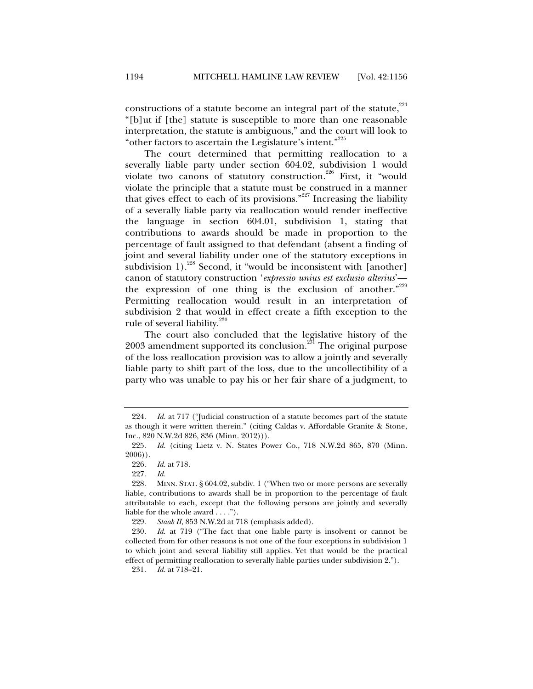constructions of a statute become an integral part of the statute, $2^{24}$ "[b]ut if [the] statute is susceptible to more than one reasonable interpretation, the statute is ambiguous," and the court will look to "other factors to ascertain the Legislature's intent."<sup>225</sup>

The court determined that permitting reallocation to a severally liable party under section 604.02, subdivision 1 would violate two canons of statutory construction.<sup>226</sup> First, it "would violate the principle that a statute must be construed in a manner that gives effect to each of its provisions."<sup>227</sup> Increasing the liability of a severally liable party via reallocation would render ineffective the language in section 604.01, subdivision 1, stating that contributions to awards should be made in proportion to the percentage of fault assigned to that defendant (absent a finding of joint and several liability under one of the statutory exceptions in subdivision 1).<sup>228</sup> Second, it "would be inconsistent with [another] canon of statutory construction '*expressio unius est exclusio alterius*' the expression of one thing is the exclusion of another."<sup>229</sup> Permitting reallocation would result in an interpretation of subdivision 2 that would in effect create a fifth exception to the rule of several liability. $230$ 

The court also concluded that the legislative history of the 2003 amendment supported its conclusion.<sup>231</sup> The original purpose of the loss reallocation provision was to allow a jointly and severally liable party to shift part of the loss, due to the uncollectibility of a party who was unable to pay his or her fair share of a judgment, to

229. *Staab II*, 853 N.W.2d at 718 (emphasis added).

 230. *Id.* at 719 ("The fact that one liable party is insolvent or cannot be collected from for other reasons is not one of the four exceptions in subdivision 1 to which joint and several liability still applies. Yet that would be the practical effect of permitting reallocation to severally liable parties under subdivision 2.").

231. *Id.* at 718–21.

 <sup>224.</sup> *Id.* at 717 ("Judicial construction of a statute becomes part of the statute as though it were written therein." (citing Caldas v. Affordable Granite & Stone, Inc., 820 N.W.2d 826, 836 (Minn. 2012))).

 <sup>225.</sup> *Id.* (citing Lietz v. N. States Power Co., 718 N.W.2d 865, 870 (Minn. 2006)).

 <sup>226.</sup> *Id.* at 718.

 <sup>227.</sup> *Id.*

 <sup>228.</sup> MINN. STAT. § 604.02, subdiv. 1 ("When two or more persons are severally liable, contributions to awards shall be in proportion to the percentage of fault attributable to each, except that the following persons are jointly and severally liable for the whole award . . . .").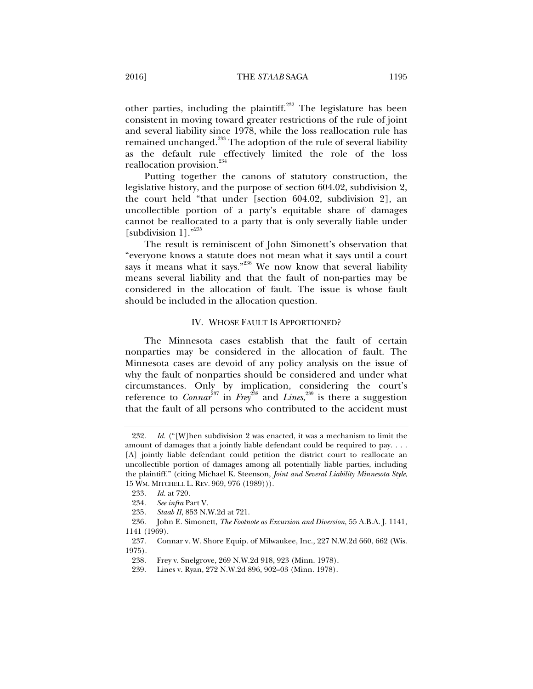other parties, including the plaintiff.<sup>232</sup> The legislature has been consistent in moving toward greater restrictions of the rule of joint and several liability since 1978, while the loss reallocation rule has remained unchanged.<sup>233</sup> The adoption of the rule of several liability as the default rule effectively limited the role of the loss reallocation provision.<sup>234</sup>

Putting together the canons of statutory construction, the legislative history, and the purpose of section 604.02, subdivision 2, the court held "that under [section 604.02, subdivision 2], an uncollectible portion of a party's equitable share of damages cannot be reallocated to a party that is only severally liable under [subdivision 1]."<sup>235</sup>

The result is reminiscent of John Simonett's observation that "everyone knows a statute does not mean what it says until a court says it means what it says."<sup>236</sup> We now know that several liability means several liability and that the fault of non-parties may be considered in the allocation of fault. The issue is whose fault should be included in the allocation question.

# IV. WHOSE FAULT IS APPORTIONED?

The Minnesota cases establish that the fault of certain nonparties may be considered in the allocation of fault. The Minnesota cases are devoid of any policy analysis on the issue of why the fault of nonparties should be considered and under what circumstances. Only by implication, considering the court's reference to *Connar*<sup>237</sup> in *Frey*<sup>238</sup> and *Lines*,<sup>239</sup> is there a suggestion that the fault of all persons who contributed to the accident must

 <sup>232.</sup> *Id.* ("[W]hen subdivision 2 was enacted, it was a mechanism to limit the amount of damages that a jointly liable defendant could be required to pay. . . . [A] jointly liable defendant could petition the district court to reallocate an uncollectible portion of damages among all potentially liable parties, including the plaintiff." (citing Michael K. Steenson, *Joint and Several Liability Minnesota Style*, 15 WM. MITCHELL L. REV. 969, 976 (1989))).

 <sup>233.</sup> *Id.* at 720.

 <sup>234.</sup> *See infra* Part V.

 <sup>235.</sup> *Staab II*, 853 N.W.2d at 721.

 <sup>236.</sup> John E. Simonett, *The Footnote as Excursion and Diversion*, 55 A.B.A. J. 1141, 1141 (1969).

 <sup>237.</sup> Connar v. W. Shore Equip. of Milwaukee, Inc., 227 N.W.2d 660, 662 (Wis. 1975).

 <sup>238.</sup> Frey v. Snelgrove, 269 N.W.2d 918, 923 (Minn. 1978).

 <sup>239.</sup> Lines v. Ryan, 272 N.W.2d 896, 902–03 (Minn. 1978).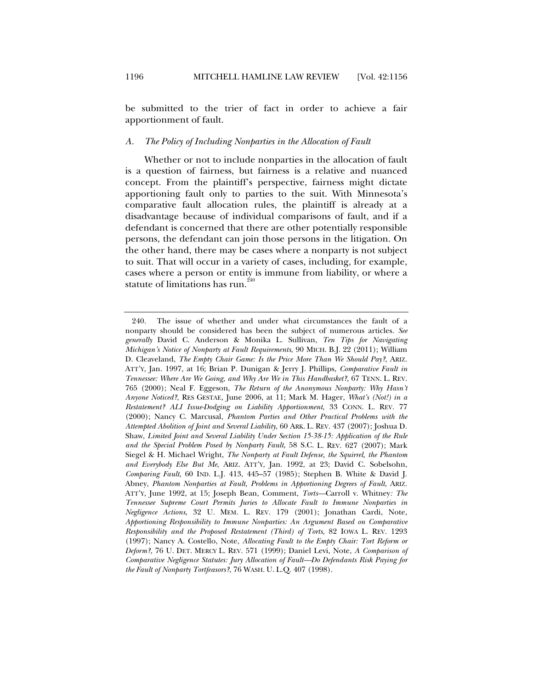be submitted to the trier of fact in order to achieve a fair apportionment of fault.

# *A. The Policy of Including Nonparties in the Allocation of Fault*

Whether or not to include nonparties in the allocation of fault is a question of fairness, but fairness is a relative and nuanced concept. From the plaintiff's perspective, fairness might dictate apportioning fault only to parties to the suit. With Minnesota's comparative fault allocation rules, the plaintiff is already at a disadvantage because of individual comparisons of fault, and if a defendant is concerned that there are other potentially responsible persons, the defendant can join those persons in the litigation. On the other hand, there may be cases where a nonparty is not subject to suit. That will occur in a variety of cases, including, for example, cases where a person or entity is immune from liability, or where a statute of limitations has run.  $240$ 

 <sup>240.</sup> The issue of whether and under what circumstances the fault of a nonparty should be considered has been the subject of numerous articles. *See generally* David C. Anderson & Monika L. Sullivan, *Ten Tips for Navigating Michigan's Notice of Nonparty at Fault Requirements*, 90 MICH. B.J. 22 (2011); William D. Cleaveland, *The Empty Chair Game: Is the Price More Than We Should Pay?*, ARIZ. ATT'Y, Jan. 1997, at 16; Brian P. Dunigan & Jerry J. Phillips, *Comparative Fault in Tennessee: Where Are We Going, and Why Are We in This Handbasket?*, 67 TENN. L. REV. 765 (2000); Neal F. Eggeson, *The Return of the Anonymous Nonparty: Why Hasn't Anyone Noticed?*, RES GESTAE, June 2006, at 11; Mark M. Hager, *What's (Not!) in a Restatement? ALI Issue-Dodging on Liability Apportionment*, 33 CONN. L. REV. 77 (2000); Nancy C. Marcusal, *Phantom Parties and Other Practical Problems with the Attempted Abolition of Joint and Several Liability*, 60 ARK. L. REV. 437 (2007); Joshua D. Shaw, *Limited Joint and Several Liability Under Section 15-38-15: Application of the Rule and the Special Problem Posed by Nonparty Fault*, 58 S.C. L. REV. 627 (2007); Mark Siegel & H. Michael Wright, *The Nonparty at Fault Defense, the Squirrel, the Phantom and Everybody Else But Me*, ARIZ. ATT'Y, Jan. 1992, at 23; David C. Sobelsohn, *Comparing Fault*, 60 IND. L.J. 413, 445–57 (1985); Stephen B. White & David J. Abney, *Phantom Nonparties at Fault, Problems in Apportioning Degrees of Fault*, ARIZ. ATT'Y, June 1992, at 15; Joseph Bean, Comment, *Torts—*Carroll v. Whitney*: The Tennessee Supreme Court Permits Juries to Allocate Fault to Immune Nonparties in Negligence Actions*, 32 U. MEM. L. REV. 179 (2001); Jonathan Cardi, Note, *Apportioning Responsibility to Immune Nonparties: An Argument Based on Comparative Responsibility and the Proposed Restatement (Third) of Torts*, 82 IOWA L. REV. 1293 (1997); Nancy A. Costello, Note, *Allocating Fault to the Empty Chair: Tort Reform or Deform?*, 76 U. DET. MERCY L. REV. 571 (1999); Daniel Levi, Note, *A Comparison of Comparative Negligence Statutes: Jury Allocation of Fault—Do Defendants Risk Paying for the Fault of Nonparty Tortfeasors?*, 76 WASH. U. L.Q. 407 (1998).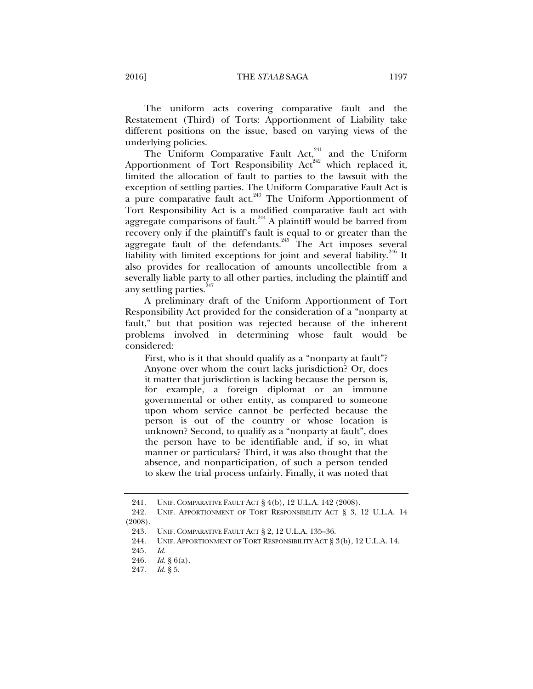The uniform acts covering comparative fault and the Restatement (Third) of Torts: Apportionment of Liability take different positions on the issue, based on varying views of the underlying policies.

The Uniform Comparative Fault  $Act<sub>1</sub><sup>241</sup>$  and the Uniform Apportionment of Tort Responsibility  $Act<sup>242</sup>$  which replaced it, limited the allocation of fault to parties to the lawsuit with the exception of settling parties. The Uniform Comparative Fault Act is a pure comparative fault act.<sup>243</sup> The Uniform Apportionment of Tort Responsibility Act is a modified comparative fault act with aggregate comparisons of fault.<sup>244</sup> A plaintiff would be barred from recovery only if the plaintiff's fault is equal to or greater than the aggregate fault of the defendants.<sup>245</sup> The Act imposes several liability with limited exceptions for joint and several liability.<sup>246</sup> It also provides for reallocation of amounts uncollectible from a severally liable party to all other parties, including the plaintiff and any settling parties.<sup>247</sup>

A preliminary draft of the Uniform Apportionment of Tort Responsibility Act provided for the consideration of a "nonparty at fault," but that position was rejected because of the inherent problems involved in determining whose fault would be considered:

First, who is it that should qualify as a "nonparty at fault"? Anyone over whom the court lacks jurisdiction? Or, does it matter that jurisdiction is lacking because the person is, for example, a foreign diplomat or an immune governmental or other entity, as compared to someone upon whom service cannot be perfected because the person is out of the country or whose location is unknown? Second, to qualify as a "nonparty at fault", does the person have to be identifiable and, if so, in what manner or particulars? Third, it was also thought that the absence, and nonparticipation, of such a person tended to skew the trial process unfairly. Finally, it was noted that

 <sup>241.</sup> UNIF. COMPARATIVE FAULT ACT § 4(b), 12 U.L.A. 142 (2008).

 <sup>242.</sup> UNIF. APPORTIONMENT OF TORT RESPONSIBILITY ACT § 3, 12 U.L.A. 14 (2008).

 <sup>243.</sup> UNIF. COMPARATIVE FAULT ACT § 2, 12 U.L.A. 135–36.

 <sup>244.</sup> UNIF. APPORTIONMENT OF TORT RESPONSIBILITY ACT § 3(b), 12 U.L.A. 14.

 <sup>245.</sup> *Id.*

 <sup>246.</sup> *Id.* § 6(a).

 <sup>247.</sup> *Id.* § 5.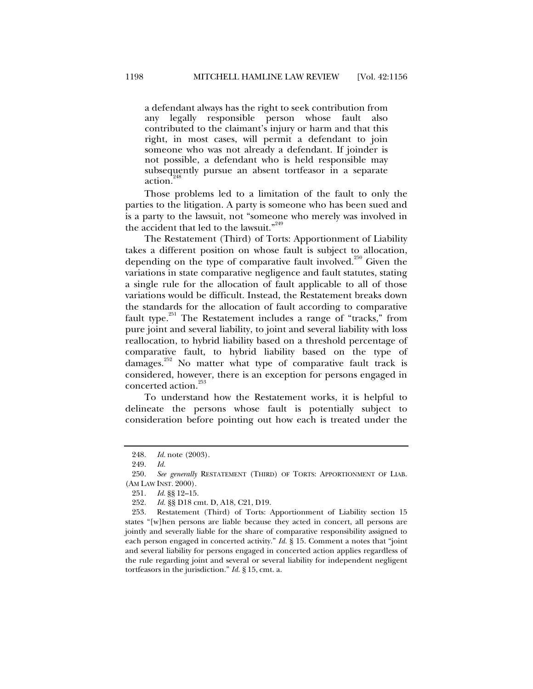a defendant always has the right to seek contribution from any legally responsible person whose fault also contributed to the claimant's injury or harm and that this right, in most cases, will permit a defendant to join someone who was not already a defendant. If joinder is not possible, a defendant who is held responsible may subsequently pursue an absent tortfeasor in a separate action.<sup>2</sup>

Those problems led to a limitation of the fault to only the parties to the litigation. A party is someone who has been sued and is a party to the lawsuit, not "someone who merely was involved in the accident that led to the lawsuit."<sup>249</sup>

The Restatement (Third) of Torts: Apportionment of Liability takes a different position on whose fault is subject to allocation, depending on the type of comparative fault involved.<sup>250</sup> Given the variations in state comparative negligence and fault statutes, stating a single rule for the allocation of fault applicable to all of those variations would be difficult. Instead, the Restatement breaks down the standards for the allocation of fault according to comparative fault type. $251$  The Restatement includes a range of "tracks," from pure joint and several liability, to joint and several liability with loss reallocation, to hybrid liability based on a threshold percentage of comparative fault, to hybrid liability based on the type of damages.<sup>252</sup> No matter what type of comparative fault track is considered, however, there is an exception for persons engaged in concerted action.<sup>253</sup>

To understand how the Restatement works, it is helpful to delineate the persons whose fault is potentially subject to consideration before pointing out how each is treated under the

 <sup>248.</sup> *Id.* note (2003).

 <sup>249.</sup> *Id.*

 <sup>250.</sup> *See generally* RESTATEMENT (THIRD) OF TORTS: APPORTIONMENT OF LIAB. (AM LAW INST. 2000).

 <sup>251.</sup> *Id.* §§ 12–15.

 <sup>252.</sup> *Id.* §§ D18 cmt. D, A18, C21, D19.

 <sup>253.</sup> Restatement (Third) of Torts: Apportionment of Liability section 15 states "[w]hen persons are liable because they acted in concert, all persons are jointly and severally liable for the share of comparative responsibility assigned to each person engaged in concerted activity." *Id.* § 15. Comment a notes that "joint and several liability for persons engaged in concerted action applies regardless of the rule regarding joint and several or several liability for independent negligent tortfeasors in the jurisdiction." *Id.* § 15, cmt. a.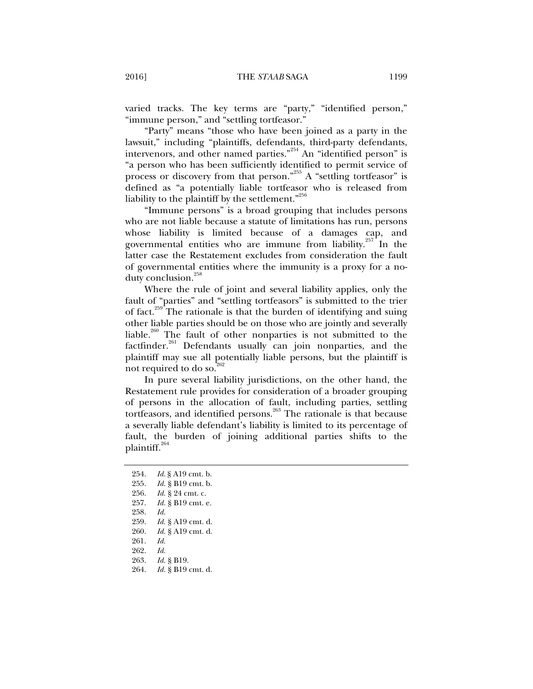varied tracks. The key terms are "party," "identified person," "immune person," and "settling tortfeasor."

"Party" means "those who have been joined as a party in the lawsuit," including "plaintiffs, defendants, third-party defendants, intervenors, and other named parties."<sup>254</sup> An "identified person" is "a person who has been sufficiently identified to permit service of process or discovery from that person."<sup>255</sup> A "settling tortfeasor" is defined as "a potentially liable tortfeasor who is released from liability to the plaintiff by the settlement."<sup>256</sup>

"Immune persons" is a broad grouping that includes persons who are not liable because a statute of limitations has run, persons whose liability is limited because of a damages cap, and governmental entities who are immune from liability.<sup>257</sup> In the latter case the Restatement excludes from consideration the fault of governmental entities where the immunity is a proxy for a noduty conclusion.<sup>258</sup>

Where the rule of joint and several liability applies, only the fault of "parties" and "settling tortfeasors" is submitted to the trier of fact.<sup>259</sup> The rationale is that the burden of identifying and suing other liable parties should be on those who are jointly and severally liable.<sup>260</sup> The fault of other nonparties is not submitted to the factfinder.<sup>261</sup> Defendants usually can join nonparties, and the plaintiff may sue all potentially liable persons, but the plaintiff is not required to do so. $^{262}$ 

In pure several liability jurisdictions, on the other hand, the Restatement rule provides for consideration of a broader grouping of persons in the allocation of fault, including parties, settling tortfeasors, and identified persons.<sup>263</sup> The rationale is that because a severally liable defendant's liability is limited to its percentage of fault, the burden of joining additional parties shifts to the plaintiff. $264$ 

 254. *Id.* § A19 cmt. b. 255. *Id.* § B19 cmt. b. 256. *Id.* § 24 cmt. c. 257. *Id.* § B19 cmt. e. 258. *Id.* 259. *Id.* § A19 cmt. d. 260. *Id.* § A19 cmt. d. 261. *Id.*  262. *Id.* 263. *Id.* § B19. 264. *Id.* § B19 cmt. d.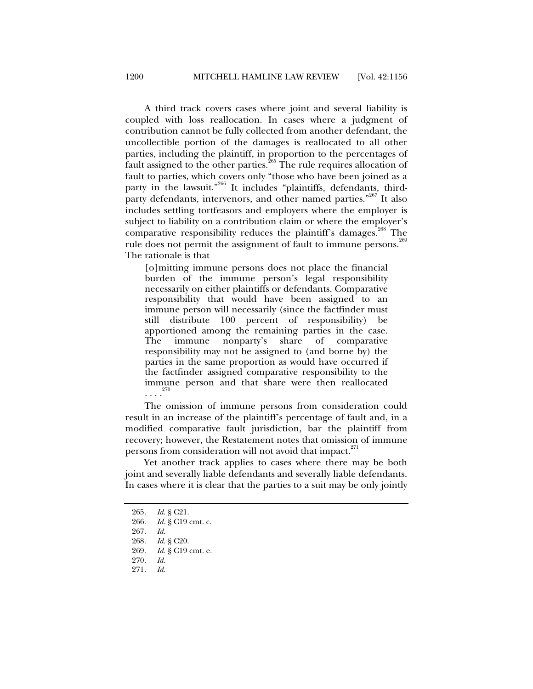A third track covers cases where joint and several liability is coupled with loss reallocation. In cases where a judgment of contribution cannot be fully collected from another defendant, the uncollectible portion of the damages is reallocated to all other parties, including the plaintiff, in proportion to the percentages of fault assigned to the other parties.<sup>265</sup> The rule requires allocation of fault to parties, which covers only "those who have been joined as a party in the lawsuit."<sup>266</sup> It includes "plaintiffs, defendants, thirdparty defendants, intervenors, and other named parties."<sup>267</sup> It also includes settling tortfeasors and employers where the employer is subject to liability on a contribution claim or where the employer's comparative responsibility reduces the plaintiff's damages.<sup>268</sup> The rule does not permit the assignment of fault to immune persons.<sup>269</sup> The rationale is that

[o]mitting immune persons does not place the financial burden of the immune person's legal responsibility necessarily on either plaintiffs or defendants. Comparative responsibility that would have been assigned to an immune person will necessarily (since the factfinder must still distribute 100 percent of responsibility) be apportioned among the remaining parties in the case. The immune nonparty's share of comparative responsibility may not be assigned to (and borne by) the parties in the same proportion as would have occurred if the factfinder assigned comparative responsibility to the immune person and that share were then reallocated . . . .  $^{270}$ 

The omission of immune persons from consideration could result in an increase of the plaintiff's percentage of fault and, in a modified comparative fault jurisdiction, bar the plaintiff from recovery; however, the Restatement notes that omission of immune persons from consideration will not avoid that impact.<sup>271</sup>

Yet another track applies to cases where there may be both joint and severally liable defendants and severally liable defendants. In cases where it is clear that the parties to a suit may be only jointly

 <sup>265.</sup> *Id.* § C21.

 <sup>266.</sup> *Id.* § C19 cmt. c.

 <sup>267.</sup> *Id.*

 <sup>268.</sup> *Id.* § C20.

 <sup>269.</sup> *Id.* § C19 cmt. e.

 <sup>270.</sup> *Id.*

 <sup>271.</sup> *Id.*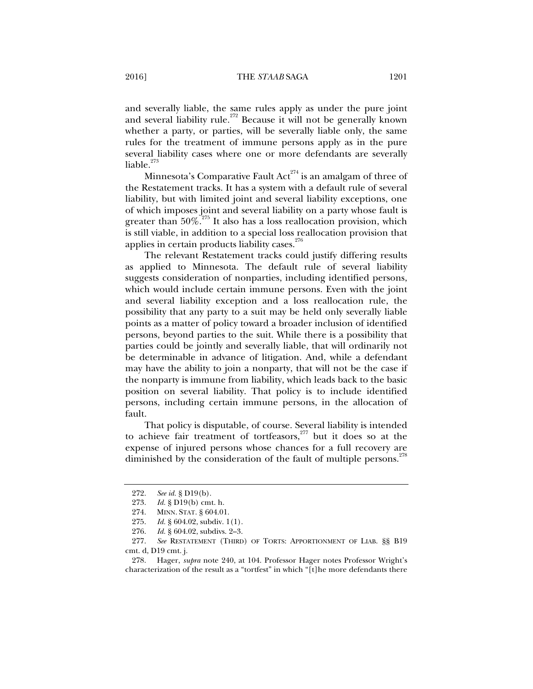and severally liable, the same rules apply as under the pure joint and several liability rule.<sup>272</sup> Because it will not be generally known whether a party, or parties, will be severally liable only, the same rules for the treatment of immune persons apply as in the pure several liability cases where one or more defendants are severally liable. $273$ 

Minnesota's Comparative Fault  $Act^{274}$  is an amalgam of three of the Restatement tracks. It has a system with a default rule of several liability, but with limited joint and several liability exceptions, one of which imposes joint and several liability on a party whose fault is greater than  $50\%$ <sup>275</sup>. It also has a loss reallocation provision, which is still viable, in addition to a special loss reallocation provision that applies in certain products liability cases. $276$ 

The relevant Restatement tracks could justify differing results as applied to Minnesota. The default rule of several liability suggests consideration of nonparties, including identified persons, which would include certain immune persons. Even with the joint and several liability exception and a loss reallocation rule, the possibility that any party to a suit may be held only severally liable points as a matter of policy toward a broader inclusion of identified persons, beyond parties to the suit. While there is a possibility that parties could be jointly and severally liable, that will ordinarily not be determinable in advance of litigation. And, while a defendant may have the ability to join a nonparty, that will not be the case if the nonparty is immune from liability, which leads back to the basic position on several liability. That policy is to include identified persons, including certain immune persons, in the allocation of fault.

That policy is disputable, of course. Several liability is intended to achieve fair treatment of tortfeasors,<sup>277</sup> but it does so at the expense of injured persons whose chances for a full recovery are diminished by the consideration of the fault of multiple persons. $^{278}$ 

 <sup>272.</sup> *See id.* § D19(b).

 <sup>273.</sup> *Id.* § D19(b) cmt. h.

 <sup>274.</sup> MINN. STAT. § 604.01.

 <sup>275.</sup> *Id.* § 604.02, subdiv. 1(1).

 <sup>276.</sup> *Id.* § 604.02, subdivs. 2–3.

 <sup>277.</sup> *See* RESTATEMENT (THIRD) OF TORTS: APPORTIONMENT OF LIAB. §§ B19 cmt. d, D19 cmt. j.

 <sup>278.</sup> Hager, *supra* note 240, at 104. Professor Hager notes Professor Wright's characterization of the result as a "tortfest" in which "[t]he more defendants there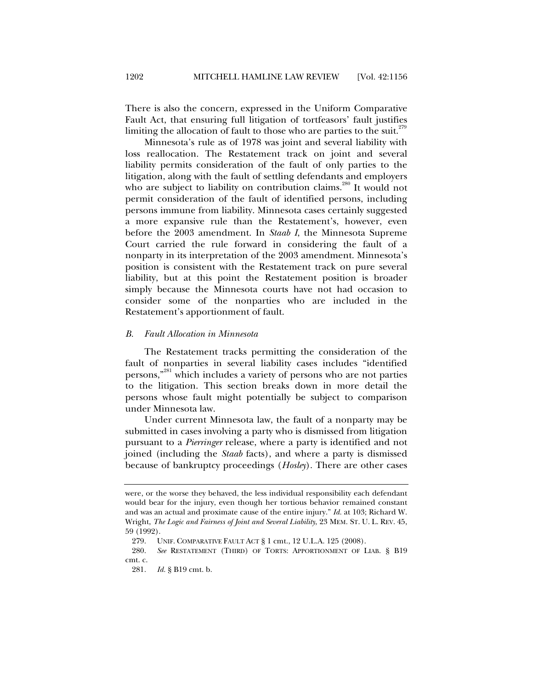There is also the concern, expressed in the Uniform Comparative Fault Act, that ensuring full litigation of tortfeasors' fault justifies limiting the allocation of fault to those who are parties to the suit.<sup> $279$ </sup>

Minnesota's rule as of 1978 was joint and several liability with loss reallocation. The Restatement track on joint and several liability permits consideration of the fault of only parties to the litigation, along with the fault of settling defendants and employers who are subject to liability on contribution claims.<sup>280</sup> It would not permit consideration of the fault of identified persons, including persons immune from liability. Minnesota cases certainly suggested a more expansive rule than the Restatement's, however, even before the 2003 amendment. In *Staab I*, the Minnesota Supreme Court carried the rule forward in considering the fault of a nonparty in its interpretation of the 2003 amendment. Minnesota's position is consistent with the Restatement track on pure several liability, but at this point the Restatement position is broader simply because the Minnesota courts have not had occasion to consider some of the nonparties who are included in the Restatement's apportionment of fault.

## *B. Fault Allocation in Minnesota*

The Restatement tracks permitting the consideration of the fault of nonparties in several liability cases includes "identified persons,"281 which includes a variety of persons who are not parties to the litigation. This section breaks down in more detail the persons whose fault might potentially be subject to comparison under Minnesota law.

Under current Minnesota law, the fault of a nonparty may be submitted in cases involving a party who is dismissed from litigation pursuant to a *Pierringer* release, where a party is identified and not joined (including the *Staab* facts), and where a party is dismissed because of bankruptcy proceedings (*Hosley*). There are other cases

were, or the worse they behaved, the less individual responsibility each defendant would bear for the injury, even though her tortious behavior remained constant and was an actual and proximate cause of the entire injury." *Id.* at 103; Richard W. Wright, *The Logic and Fairness of Joint and Several Liability*, 23 MEM. ST. U. L. REV. 45, 59 (1992).

 <sup>279.</sup> UNIF. COMPARATIVE FAULT ACT § 1 cmt., 12 U.L.A. 125 (2008).

 <sup>280.</sup> *See* RESTATEMENT (THIRD) OF TORTS: APPORTIONMENT OF LIAB. § B19 cmt. c.

 <sup>281.</sup> *Id.* § B19 cmt. b.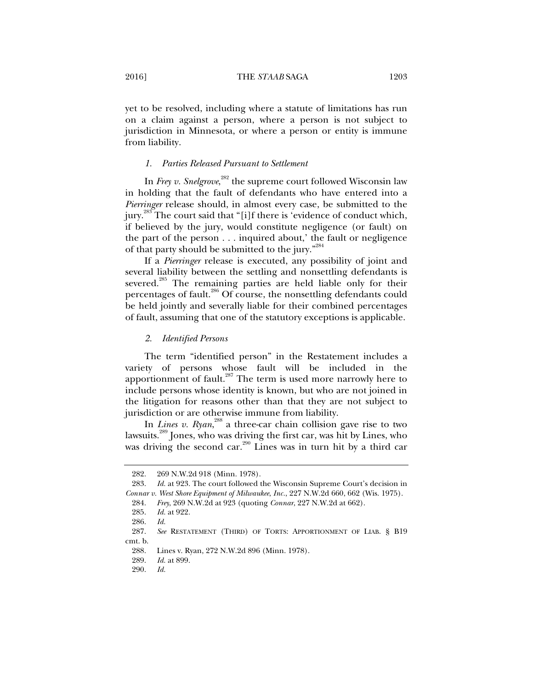yet to be resolved, including where a statute of limitations has run on a claim against a person, where a person is not subject to jurisdiction in Minnesota, or where a person or entity is immune from liability.

# *1. Parties Released Pursuant to Settlement*

In *Frey v. Snelgrove*,<sup>282</sup> the supreme court followed Wisconsin law in holding that the fault of defendants who have entered into a *Pierringer* release should, in almost every case, be submitted to the jury.<sup>283</sup> The court said that "[i]f there is 'evidence of conduct which, if believed by the jury, would constitute negligence (or fault) on the part of the person . . . inquired about,' the fault or negligence of that party should be submitted to the jury."<sup>284</sup>

If a *Pierringer* release is executed, any possibility of joint and several liability between the settling and nonsettling defendants is severed.<sup>285</sup> The remaining parties are held liable only for their percentages of fault.<sup>286</sup> Of course, the nonsettling defendants could be held jointly and severally liable for their combined percentages of fault, assuming that one of the statutory exceptions is applicable.

# *2. Identified Persons*

The term "identified person" in the Restatement includes a variety of persons whose fault will be included in the apportionment of fault. $287$  The term is used more narrowly here to include persons whose identity is known, but who are not joined in the litigation for reasons other than that they are not subject to jurisdiction or are otherwise immune from liability.

In *Lines v. Ryan*, 288 a three-car chain collision gave rise to two lawsuits.289 Jones, who was driving the first car, was hit by Lines, who was driving the second car.<sup>290</sup> Lines was in turn hit by a third car

 <sup>282. 269</sup> N.W.2d 918 (Minn. 1978).

 <sup>283.</sup> *Id.* at 923. The court followed the Wisconsin Supreme Court's decision in *Connar v. West Shore Equipment of Milwaukee*, *Inc.*, 227 N.W.2d 660, 662 (Wis. 1975).

 <sup>284.</sup> *Frey*, 269 N.W.2d at 923 (quoting *Connar*, 227 N.W.2d at 662).

 <sup>285.</sup> *Id.* at 922.

 <sup>286.</sup> *Id.*

 <sup>287.</sup> *See* RESTATEMENT (THIRD) OF TORTS: APPORTIONMENT OF LIAB. § B19 cmt. b.

 <sup>288.</sup> Lines v. Ryan, 272 N.W.2d 896 (Minn. 1978).

 <sup>289.</sup> *Id.* at 899.

 <sup>290.</sup> *Id.*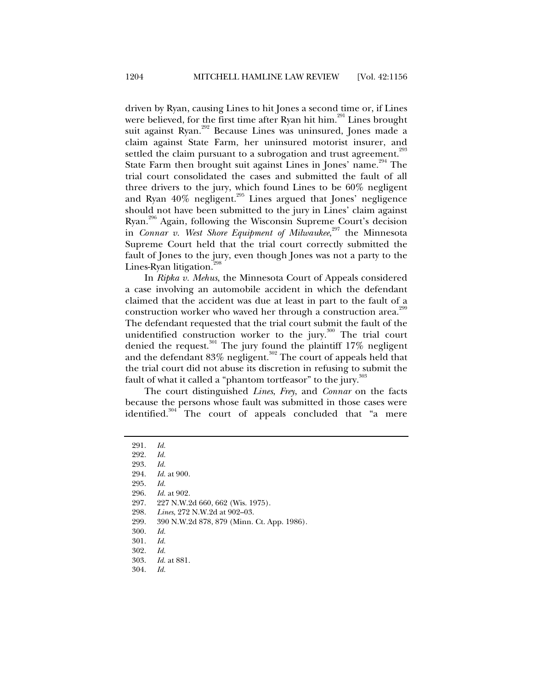driven by Ryan, causing Lines to hit Jones a second time or, if Lines were believed, for the first time after Ryan hit him.<sup>291</sup> Lines brought suit against Ryan.<sup>292</sup> Because Lines was uninsured, Jones made a claim against State Farm, her uninsured motorist insurer, and settled the claim pursuant to a subrogation and trust agreement.<sup>293</sup> State Farm then brought suit against Lines in Jones' name.<sup>294</sup> The trial court consolidated the cases and submitted the fault of all three drivers to the jury, which found Lines to be 60% negligent and Ryan  $40\%$  negligent.<sup>295</sup> Lines argued that Jones' negligence should not have been submitted to the jury in Lines' claim against Ryan.<sup>296</sup> Again, following the Wisconsin Supreme Court's decision in *Connar v. West Shore Equipment of Milwaukee*,<sup>297</sup> the Minnesota Supreme Court held that the trial court correctly submitted the fault of Jones to the jury, even though Jones was not a party to the Lines-Ryan litigation. $\overline{a}$ 

In *Ripka v. Mehus*, the Minnesota Court of Appeals considered a case involving an automobile accident in which the defendant claimed that the accident was due at least in part to the fault of a construction worker who waved her through a construction area.<sup>29</sup> The defendant requested that the trial court submit the fault of the unidentified construction worker to the jury.<sup>300</sup> The trial court denied the request.<sup>301</sup> The jury found the plaintiff 17% negligent and the defendant 83% negligent.<sup>302</sup> The court of appeals held that the trial court did not abuse its discretion in refusing to submit the fault of what it called a "phantom tortfeasor" to the jury.<sup>303</sup>

The court distinguished *Lines*, *Frey*, and *Connar* on the facts because the persons whose fault was submitted in those cases were identified. $304$  The court of appeals concluded that "a mere

299. 390 N.W.2d 878, 879 (Minn. Ct. App. 1986).

 <sup>291.</sup> *Id.*

 <sup>292.</sup> *Id.*

 <sup>293.</sup> *Id.*

*Id.* at 900.

 <sup>295.</sup> *Id.*

 <sup>296.</sup> *Id.* at 902.

 <sup>297. 227</sup> N.W.2d 660, 662 (Wis. 1975).

 <sup>298.</sup> *Lines*, 272 N.W.2d at 902–03.

 <sup>300.</sup> *Id.*

 <sup>301.</sup> *Id.*

 <sup>302.</sup> *Id.*

 <sup>303.</sup> *Id.* at 881.

 <sup>304.</sup> *Id.*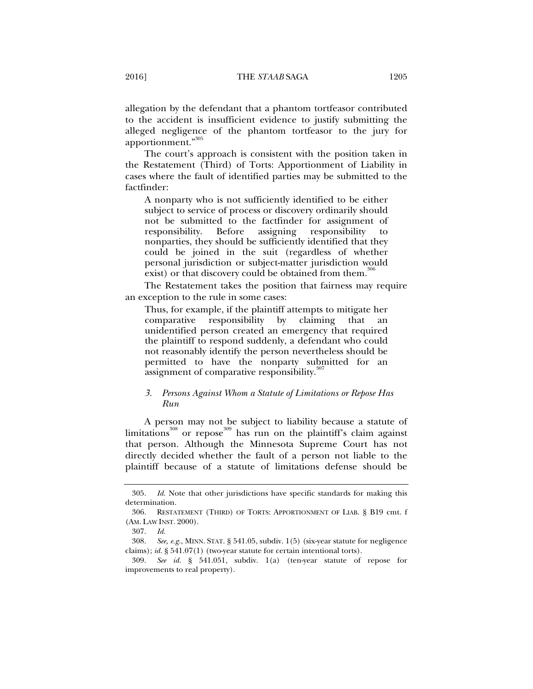allegation by the defendant that a phantom tortfeasor contributed to the accident is insufficient evidence to justify submitting the alleged negligence of the phantom tortfeasor to the jury for apportionment."305

The court's approach is consistent with the position taken in the Restatement (Third) of Torts: Apportionment of Liability in cases where the fault of identified parties may be submitted to the factfinder:

A nonparty who is not sufficiently identified to be either subject to service of process or discovery ordinarily should not be submitted to the factfinder for assignment of responsibility. Before assigning responsibility to nonparties, they should be sufficiently identified that they could be joined in the suit (regardless of whether personal jurisdiction or subject-matter jurisdiction would exist) or that discovery could be obtained from them.<sup>306</sup>

The Restatement takes the position that fairness may require an exception to the rule in some cases:

Thus, for example, if the plaintiff attempts to mitigate her comparative responsibility by claiming that an unidentified person created an emergency that required the plaintiff to respond suddenly, a defendant who could not reasonably identify the person nevertheless should be permitted to have the nonparty submitted for an assignment of comparative responsibility. $307$ 

# *3. Persons Against Whom a Statute of Limitations or Repose Has Run*

A person may not be subject to liability because a statute of limitations $^{308}$  or repose $^{309}$  has run on the plaintiff's claim against that person. Although the Minnesota Supreme Court has not directly decided whether the fault of a person not liable to the plaintiff because of a statute of limitations defense should be

 <sup>305.</sup> *Id.* Note that other jurisdictions have specific standards for making this determination.

 <sup>306.</sup> RESTATEMENT (THIRD) OF TORTS: APPORTIONMENT OF LIAB. § B19 cmt. f (AM. LAW INST. 2000).

 <sup>307.</sup> *Id.*

 <sup>308.</sup> *See, e.g.*, MINN. STAT. § 541.05, subdiv. 1(5) (six-year statute for negligence claims); *id.* § 541.07(1) (two-year statute for certain intentional torts).

 <sup>309.</sup> *See id.* § 541.051, subdiv. 1(a) (ten-year statute of repose for improvements to real property).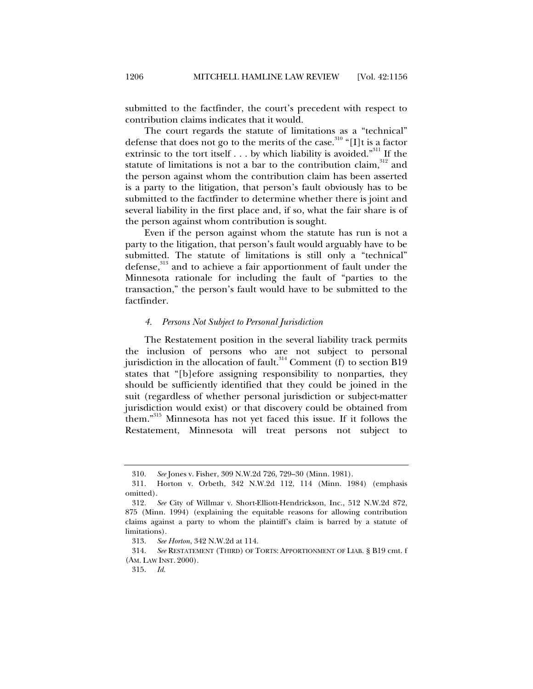submitted to the factfinder, the court's precedent with respect to contribution claims indicates that it would.

The court regards the statute of limitations as a "technical" defense that does not go to the merits of the case.<sup>310</sup> "[I]t is a factor extrinsic to the tort itself . . . by which liability is avoided."<sup>311</sup> If the statute of limitations is not a bar to the contribution claim, $312$  and the person against whom the contribution claim has been asserted is a party to the litigation, that person's fault obviously has to be submitted to the factfinder to determine whether there is joint and several liability in the first place and, if so, what the fair share is of the person against whom contribution is sought.

Even if the person against whom the statute has run is not a party to the litigation, that person's fault would arguably have to be submitted. The statute of limitations is still only a "technical" defense,<sup>313</sup> and to achieve a fair apportionment of fault under the Minnesota rationale for including the fault of "parties to the transaction," the person's fault would have to be submitted to the factfinder.

## *4. Persons Not Subject to Personal Jurisdiction*

The Restatement position in the several liability track permits the inclusion of persons who are not subject to personal jurisdiction in the allocation of fault.<sup>314</sup> Comment (f) to section B19 states that "[b]efore assigning responsibility to nonparties, they should be sufficiently identified that they could be joined in the suit (regardless of whether personal jurisdiction or subject-matter jurisdiction would exist) or that discovery could be obtained from them."315 Minnesota has not yet faced this issue. If it follows the Restatement, Minnesota will treat persons not subject to

 <sup>310.</sup> *See* Jones v. Fisher, 309 N.W.2d 726, 729–30 (Minn. 1981).

 <sup>311.</sup> Horton v. Orbeth, 342 N.W.2d 112, 114 (Minn. 1984) (emphasis omitted).

 <sup>312.</sup> *See* City of Willmar v. Short-Elliott-Hendrickson, Inc., 512 N.W.2d 872, 875 (Minn. 1994) (explaining the equitable reasons for allowing contribution claims against a party to whom the plaintiff's claim is barred by a statute of limitations).

 <sup>313.</sup> *See Horton*, 342 N.W.2d at 114.

 <sup>314.</sup> *See* RESTATEMENT (THIRD) OF TORTS: APPORTIONMENT OF LIAB. § B19 cmt. f (AM. LAW INST. 2000).

 <sup>315.</sup> *Id.*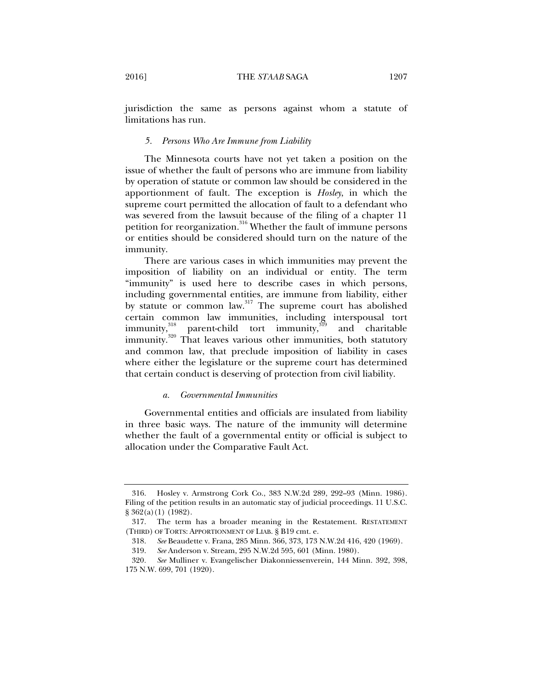# *5. Persons Who Are Immune from Liability*

The Minnesota courts have not yet taken a position on the issue of whether the fault of persons who are immune from liability by operation of statute or common law should be considered in the apportionment of fault. The exception is *Hosley*, in which the supreme court permitted the allocation of fault to a defendant who was severed from the lawsuit because of the filing of a chapter 11 petition for reorganization.<sup>316</sup> Whether the fault of immune persons or entities should be considered should turn on the nature of the immunity.

There are various cases in which immunities may prevent the imposition of liability on an individual or entity. The term "immunity" is used here to describe cases in which persons, including governmental entities, are immune from liability, either by statute or common law.<sup>317</sup> The supreme court has abolished certain common law immunities, including interspousal tort immunity,  $\frac{318}{30}$  parent-child tort immunity, and charitable parent-child tort immunity, $319$  and charitable immunity.320 That leaves various other immunities, both statutory and common law, that preclude imposition of liability in cases where either the legislature or the supreme court has determined that certain conduct is deserving of protection from civil liability.

# *a. Governmental Immunities*

Governmental entities and officials are insulated from liability in three basic ways. The nature of the immunity will determine whether the fault of a governmental entity or official is subject to allocation under the Comparative Fault Act.

 <sup>316.</sup> Hosley v. Armstrong Cork Co., 383 N.W.2d 289, 292–93 (Minn. 1986). Filing of the petition results in an automatic stay of judicial proceedings. 11 U.S.C. § 362(a)(1) (1982).

 <sup>317.</sup> The term has a broader meaning in the Restatement. RESTATEMENT (THIRD) OF TORTS: APPORTIONMENT OF LIAB. § B19 cmt. e.

 <sup>318.</sup> *See* Beaudette v. Frana, 285 Minn. 366, 373, 173 N.W.2d 416, 420 (1969).

 <sup>319.</sup> *See* Anderson v. Stream, 295 N.W.2d 595, 601 (Minn. 1980).

<sup>320</sup>*. See* Mulliner v. Evangelischer Diakonniessenverein, 144 Minn. 392, 398, 175 N.W. 699, 701 (1920).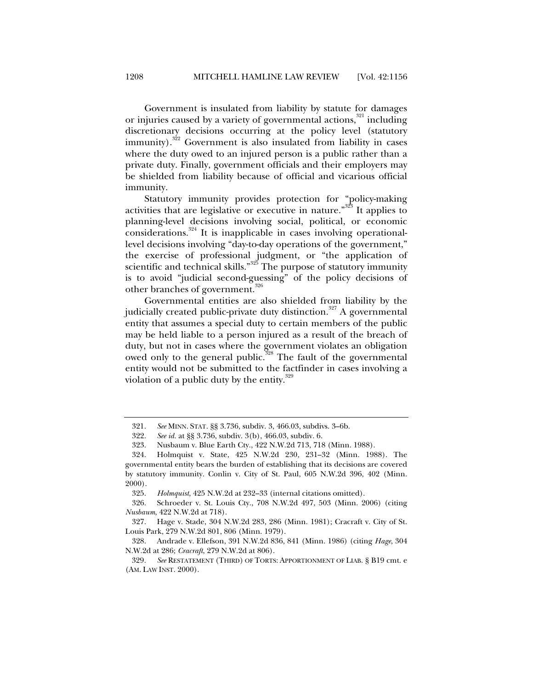Government is insulated from liability by statute for damages or injuries caused by a variety of governmental actions,<sup>321</sup> including discretionary decisions occurring at the policy level (statutory immunity). $322$  Government is also insulated from liability in cases where the duty owed to an injured person is a public rather than a private duty. Finally, government officials and their employers may be shielded from liability because of official and vicarious official immunity.

Statutory immunity provides protection for "policy-making activities that are legislative or executive in nature."323 It applies to planning-level decisions involving social, political, or economic considerations.<sup>324</sup> It is inapplicable in cases involving operationallevel decisions involving "day-to-day operations of the government," the exercise of professional judgment, or "the application of scientific and technical skills."<sup>325</sup> The purpose of statutory immunity is to avoid "judicial second-guessing" of the policy decisions of other branches of government.<sup>326</sup>

Governmental entities are also shielded from liability by the judicially created public-private duty distinction.<sup>327</sup> A governmental entity that assumes a special duty to certain members of the public may be held liable to a person injured as a result of the breach of duty, but not in cases where the government violates an obligation owed only to the general public.<sup>328</sup> The fault of the governmental entity would not be submitted to the factfinder in cases involving a violation of a public duty by the entity. $329$ 

 <sup>321.</sup> *See* MINN. STAT. §§ 3.736, subdiv. 3, 466.03, subdivs. 3–6b.

 <sup>322.</sup> *See id.* at §§ 3.736, subdiv. 3(b), 466.03, subdiv. 6.

 <sup>323.</sup> Nusbaum v. Blue Earth Cty., 422 N.W.2d 713, 718 (Minn. 1988).

 <sup>324.</sup> Holmquist v. State, 425 N.W.2d 230, 231–32 (Minn. 1988). The governmental entity bears the burden of establishing that its decisions are covered by statutory immunity. Conlin v. City of St. Paul, 605 N.W.2d 396, 402 (Minn. 2000).

 <sup>325.</sup> *Holmquist*, 425 N.W.2d at 232–33 (internal citations omitted).

 <sup>326.</sup> Schroeder v. St. Louis Cty., 708 N.W.2d 497, 503 (Minn. 2006) (citing *Nusbaum*, 422 N.W.2d at 718).

 <sup>327.</sup> Hage v. Stade, 304 N.W.2d 283, 286 (Minn. 1981); Cracraft v. City of St. Louis Park, 279 N.W.2d 801, 806 (Minn. 1979).

 <sup>328.</sup> Andrade v. Ellefson, 391 N.W.2d 836, 841 (Minn. 1986) (citing *Hage*, 304 N.W.2d at 286; *Cracraft*, 279 N.W.2d at 806).

<sup>329</sup>*. See* RESTATEMENT (THIRD) OF TORTS: APPORTIONMENT OF LIAB. § B19 cmt. e (AM. LAW INST. 2000).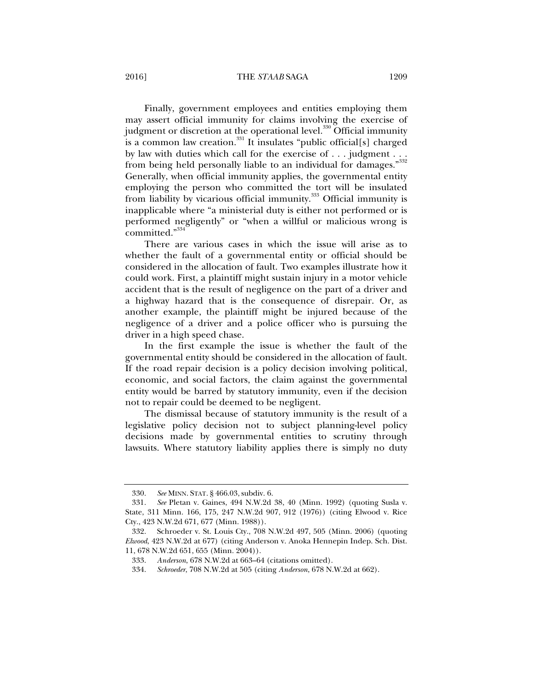# 2016] THE *STAAB* SAGA 1209

Finally, government employees and entities employing them may assert official immunity for claims involving the exercise of judgment or discretion at the operational level.<sup>330</sup> Official immunity is a common law creation.<sup>331</sup> It insulates "public official[s] charged by law with duties which call for the exercise of . . . judgment . . . from being held personally liable to an individual for damages."<sup>332</sup> Generally, when official immunity applies, the governmental entity employing the person who committed the tort will be insulated from liability by vicarious official immunity.<sup>333</sup> Official immunity is inapplicable where "a ministerial duty is either not performed or is performed negligently" or "when a willful or malicious wrong is committed."334

There are various cases in which the issue will arise as to whether the fault of a governmental entity or official should be considered in the allocation of fault. Two examples illustrate how it could work. First, a plaintiff might sustain injury in a motor vehicle accident that is the result of negligence on the part of a driver and a highway hazard that is the consequence of disrepair. Or, as another example, the plaintiff might be injured because of the negligence of a driver and a police officer who is pursuing the driver in a high speed chase.

In the first example the issue is whether the fault of the governmental entity should be considered in the allocation of fault. If the road repair decision is a policy decision involving political, economic, and social factors, the claim against the governmental entity would be barred by statutory immunity, even if the decision not to repair could be deemed to be negligent.

The dismissal because of statutory immunity is the result of a legislative policy decision not to subject planning-level policy decisions made by governmental entities to scrutiny through lawsuits. Where statutory liability applies there is simply no duty

 <sup>330.</sup> *See* MINN. STAT. § 466.03, subdiv. 6.

 <sup>331.</sup> *See* Pletan v. Gaines, 494 N.W.2d 38, 40 (Minn. 1992) (quoting Susla v. State, 311 Minn. 166, 175, 247 N.W.2d 907, 912 (1976)) (citing Elwood v. Rice Cty., 423 N.W.2d 671, 677 (Minn. 1988)).

 <sup>332.</sup> Schroeder v. St. Louis Cty., 708 N.W.2d 497, 505 (Minn. 2006) (quoting *Elwood*, 423 N.W.2d at 677) (citing Anderson v. Anoka Hennepin Indep. Sch. Dist. 11, 678 N.W.2d 651, 655 (Minn. 2004)).

 <sup>333.</sup> *Anderson*, 678 N.W.2d at 663–64 (citations omitted).

 <sup>334.</sup> *Schroeder*, 708 N.W.2d at 505 (citing *Anderson*, 678 N.W.2d at 662).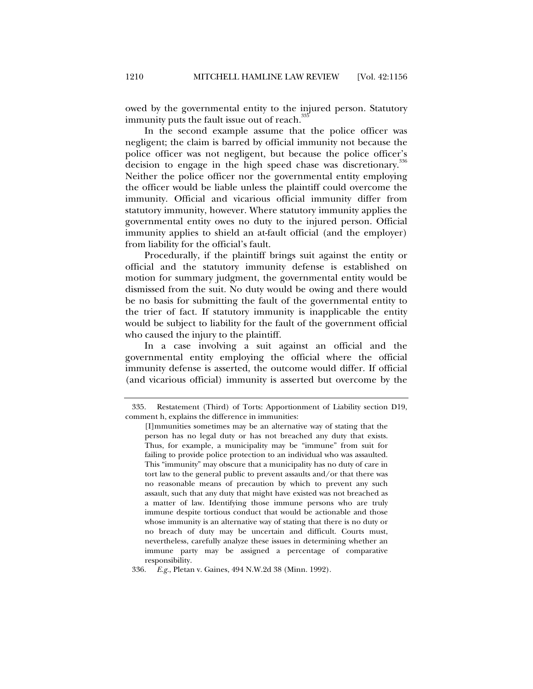owed by the governmental entity to the injured person. Statutory immunity puts the fault issue out of reach.<sup>3</sup>

In the second example assume that the police officer was negligent; the claim is barred by official immunity not because the police officer was not negligent, but because the police officer's decision to engage in the high speed chase was discretionary.<sup>336</sup> Neither the police officer nor the governmental entity employing the officer would be liable unless the plaintiff could overcome the immunity. Official and vicarious official immunity differ from statutory immunity, however. Where statutory immunity applies the governmental entity owes no duty to the injured person. Official immunity applies to shield an at-fault official (and the employer) from liability for the official's fault.

Procedurally, if the plaintiff brings suit against the entity or official and the statutory immunity defense is established on motion for summary judgment, the governmental entity would be dismissed from the suit. No duty would be owing and there would be no basis for submitting the fault of the governmental entity to the trier of fact. If statutory immunity is inapplicable the entity would be subject to liability for the fault of the government official who caused the injury to the plaintiff.

In a case involving a suit against an official and the governmental entity employing the official where the official immunity defense is asserted, the outcome would differ. If official (and vicarious official) immunity is asserted but overcome by the

 <sup>335.</sup> Restatement (Third) of Torts: Apportionment of Liability section D19, comment h, explains the difference in immunities:

<sup>[</sup>I]mmunities sometimes may be an alternative way of stating that the person has no legal duty or has not breached any duty that exists. Thus, for example, a municipality may be "immune" from suit for failing to provide police protection to an individual who was assaulted. This "immunity" may obscure that a municipality has no duty of care in tort law to the general public to prevent assaults and/or that there was no reasonable means of precaution by which to prevent any such assault, such that any duty that might have existed was not breached as a matter of law. Identifying those immune persons who are truly immune despite tortious conduct that would be actionable and those whose immunity is an alternative way of stating that there is no duty or no breach of duty may be uncertain and difficult. Courts must, nevertheless, carefully analyze these issues in determining whether an immune party may be assigned a percentage of comparative responsibility.

 <sup>336.</sup> *E.g.*, Pletan v. Gaines, 494 N.W.2d 38 (Minn. 1992).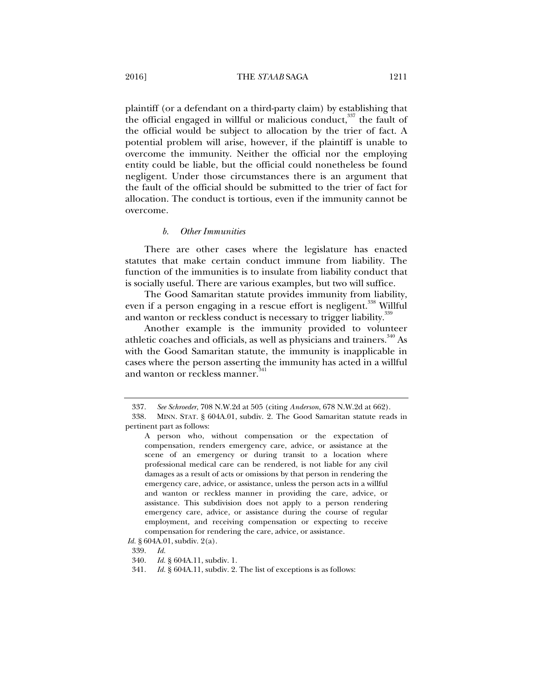plaintiff (or a defendant on a third-party claim) by establishing that the official engaged in willful or malicious conduct, $337$  the fault of the official would be subject to allocation by the trier of fact. A potential problem will arise, however, if the plaintiff is unable to overcome the immunity. Neither the official nor the employing entity could be liable, but the official could nonetheless be found negligent. Under those circumstances there is an argument that the fault of the official should be submitted to the trier of fact for allocation. The conduct is tortious, even if the immunity cannot be overcome.

## *b. Other Immunities*

There are other cases where the legislature has enacted statutes that make certain conduct immune from liability. The function of the immunities is to insulate from liability conduct that is socially useful. There are various examples, but two will suffice.

The Good Samaritan statute provides immunity from liability, even if a person engaging in a rescue effort is negligent.<sup>338</sup> Willful and wanton or reckless conduct is necessary to trigger liability.<sup>339</sup>

Another example is the immunity provided to volunteer athletic coaches and officials, as well as physicians and trainers. $340$  As with the Good Samaritan statute, the immunity is inapplicable in cases where the person asserting the immunity has acted in a willful and wanton or reckless manner.<sup>341</sup>

*Id.* § 604A.01, subdiv. 2(a).

 <sup>337.</sup> *See Schroeder*, 708 N.W.2d at 505 (citing *Anderson*, 678 N.W.2d at 662).

 <sup>338.</sup> MINN. STAT. § 604A.01, subdiv. 2. The Good Samaritan statute reads in pertinent part as follows:

A person who, without compensation or the expectation of compensation, renders emergency care, advice, or assistance at the scene of an emergency or during transit to a location where professional medical care can be rendered, is not liable for any civil damages as a result of acts or omissions by that person in rendering the emergency care, advice, or assistance, unless the person acts in a willful and wanton or reckless manner in providing the care, advice, or assistance. This subdivision does not apply to a person rendering emergency care, advice, or assistance during the course of regular employment, and receiving compensation or expecting to receive compensation for rendering the care, advice, or assistance.

 <sup>339.</sup> *Id.*

 <sup>340.</sup> *Id.* § 604A.11, subdiv. 1.

 <sup>341.</sup> *Id.* § 604A.11, subdiv. 2. The list of exceptions is as follows: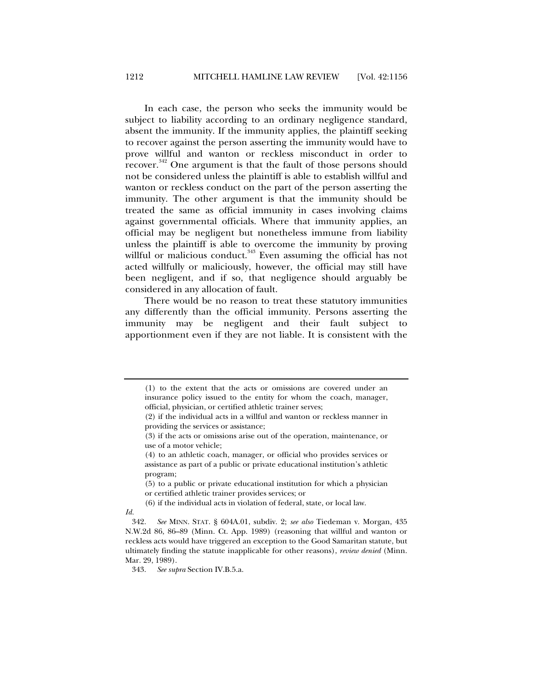In each case, the person who seeks the immunity would be subject to liability according to an ordinary negligence standard, absent the immunity. If the immunity applies, the plaintiff seeking to recover against the person asserting the immunity would have to prove willful and wanton or reckless misconduct in order to recover.342 One argument is that the fault of those persons should not be considered unless the plaintiff is able to establish willful and wanton or reckless conduct on the part of the person asserting the immunity. The other argument is that the immunity should be treated the same as official immunity in cases involving claims against governmental officials. Where that immunity applies, an official may be negligent but nonetheless immune from liability unless the plaintiff is able to overcome the immunity by proving willful or malicious conduct.<sup>343</sup> Even assuming the official has not acted willfully or maliciously, however, the official may still have been negligent, and if so, that negligence should arguably be considered in any allocation of fault.

There would be no reason to treat these statutory immunities any differently than the official immunity. Persons asserting the immunity may be negligent and their fault subject to apportionment even if they are not liable. It is consistent with the

*Id.* 

<sup>(1)</sup> to the extent that the acts or omissions are covered under an insurance policy issued to the entity for whom the coach, manager, official, physician, or certified athletic trainer serves;

<sup>(2)</sup> if the individual acts in a willful and wanton or reckless manner in providing the services or assistance;

<sup>(3)</sup> if the acts or omissions arise out of the operation, maintenance, or use of a motor vehicle;

<sup>(4)</sup> to an athletic coach, manager, or official who provides services or assistance as part of a public or private educational institution's athletic program;

<sup>(5)</sup> to a public or private educational institution for which a physician or certified athletic trainer provides services; or

<sup>(6)</sup> if the individual acts in violation of federal, state, or local law.

 <sup>342.</sup> *See* MINN. STAT. § 604A.01, subdiv. 2; *see also* Tiedeman v. Morgan, 435 N.W.2d 86, 86–89 (Minn. Ct. App. 1989) (reasoning that willful and wanton or reckless acts would have triggered an exception to the Good Samaritan statute, but ultimately finding the statute inapplicable for other reasons), *review denied* (Minn. Mar. 29, 1989).

 <sup>343.</sup> *See supra* Section IV.B.5.a.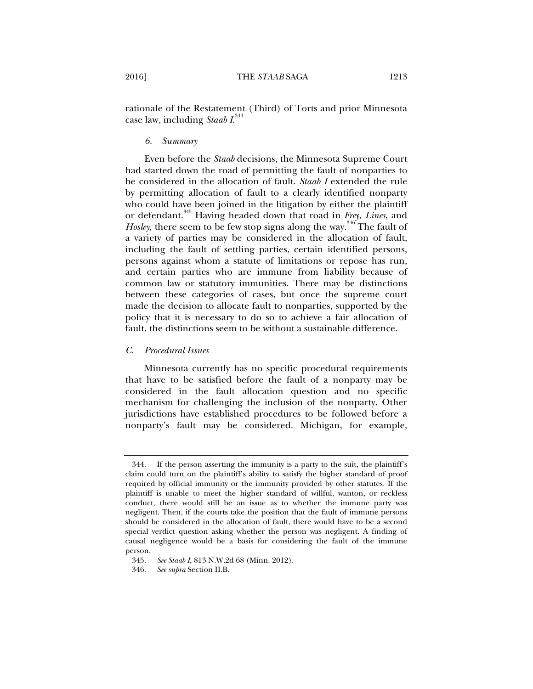rationale of the Restatement (Third) of Torts and prior Minnesota case law, including *Staab I*. 344

## *6. Summary*

Even before the *Staab* decisions, the Minnesota Supreme Court had started down the road of permitting the fault of nonparties to be considered in the allocation of fault. *Staab I* extended the rule by permitting allocation of fault to a clearly identified nonparty who could have been joined in the litigation by either the plaintiff or defendant.345 Having headed down that road in *Frey*, *Lines*, and Hosley, there seem to be few stop signs along the way.<sup>346</sup> The fault of a variety of parties may be considered in the allocation of fault, including the fault of settling parties, certain identified persons, persons against whom a statute of limitations or repose has run, and certain parties who are immune from liability because of common law or statutory immunities. There may be distinctions between these categories of cases, but once the supreme court made the decision to allocate fault to nonparties, supported by the policy that it is necessary to do so to achieve a fair allocation of fault, the distinctions seem to be without a sustainable difference.

# *C. Procedural Issues*

Minnesota currently has no specific procedural requirements that have to be satisfied before the fault of a nonparty may be considered in the fault allocation question and no specific mechanism for challenging the inclusion of the nonparty. Other jurisdictions have established procedures to be followed before a nonparty's fault may be considered. Michigan, for example,

 <sup>344.</sup> If the person asserting the immunity is a party to the suit, the plaintiff's claim could turn on the plaintiff's ability to satisfy the higher standard of proof required by official immunity or the immunity provided by other statutes. If the plaintiff is unable to meet the higher standard of willful, wanton, or reckless conduct, there would still be an issue as to whether the immune party was negligent. Then, if the courts take the position that the fault of immune persons should be considered in the allocation of fault, there would have to be a second special verdict question asking whether the person was negligent. A finding of causal negligence would be a basis for considering the fault of the immune person.

 <sup>345.</sup> *See Staab I*, 813 N.W.2d 68 (Minn. 2012).

 <sup>346.</sup> *See supra* Section II.B.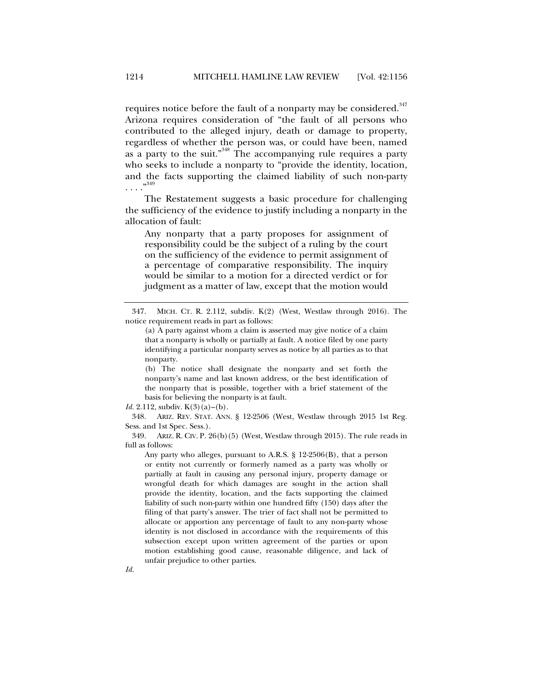requires notice before the fault of a nonparty may be considered.<sup>347</sup> Arizona requires consideration of "the fault of all persons who contributed to the alleged injury, death or damage to property, regardless of whether the person was, or could have been, named as a party to the suit."<sup>348</sup> The accompanying rule requires a party who seeks to include a nonparty to "provide the identity, location, and the facts supporting the claimed liability of such non-party  $\cdots$ <sup>349</sup>

The Restatement suggests a basic procedure for challenging the sufficiency of the evidence to justify including a nonparty in the allocation of fault:

Any nonparty that a party proposes for assignment of responsibility could be the subject of a ruling by the court on the sufficiency of the evidence to permit assignment of a percentage of comparative responsibility. The inquiry would be similar to a motion for a directed verdict or for judgment as a matter of law, except that the motion would

(b) The notice shall designate the nonparty and set forth the nonparty's name and last known address, or the best identification of the nonparty that is possible, together with a brief statement of the basis for believing the nonparty is at fault.

*Id.* 2.112, subdiv. K(3)(a)–(b).

 348. ARIZ. REV. STAT. ANN. § 12-2506 (West, Westlaw through 2015 1st Reg. Sess. and 1st Spec. Sess.).

 349. ARIZ. R. CIV. P. 26(b)(5) (West, Westlaw through 2015). The rule reads in full as follows:

Any party who alleges, pursuant to A.R.S. § 12-2506(B), that a person or entity not currently or formerly named as a party was wholly or partially at fault in causing any personal injury, property damage or wrongful death for which damages are sought in the action shall provide the identity, location, and the facts supporting the claimed liability of such non-party within one hundred fifty (150) days after the filing of that party's answer. The trier of fact shall not be permitted to allocate or apportion any percentage of fault to any non-party whose identity is not disclosed in accordance with the requirements of this subsection except upon written agreement of the parties or upon motion establishing good cause, reasonable diligence, and lack of unfair prejudice to other parties.

 <sup>347.</sup> MICH. CT. R. 2.112, subdiv. K(2) (West, Westlaw through 2016). The notice requirement reads in part as follows:

<sup>(</sup>a) A party against whom a claim is asserted may give notice of a claim that a nonparty is wholly or partially at fault. A notice filed by one party identifying a particular nonparty serves as notice by all parties as to that nonparty.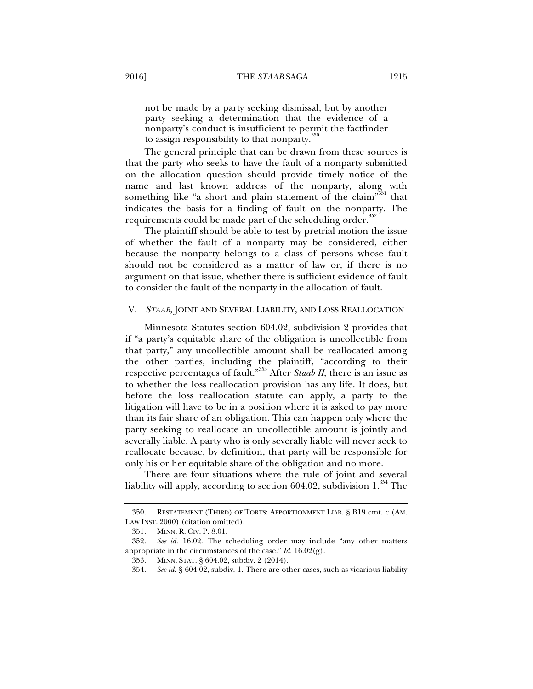not be made by a party seeking dismissal, but by another party seeking a determination that the evidence of a nonparty's conduct is insufficient to permit the factfinder to assign responsibility to that nonparty.<sup>350</sup>

The general principle that can be drawn from these sources is that the party who seeks to have the fault of a nonparty submitted on the allocation question should provide timely notice of the name and last known address of the nonparty, along with something like "a short and plain statement of the claim"<sup>351</sup> that indicates the basis for a finding of fault on the nonparty. The requirements could be made part of the scheduling order.<sup>352</sup>

The plaintiff should be able to test by pretrial motion the issue of whether the fault of a nonparty may be considered, either because the nonparty belongs to a class of persons whose fault should not be considered as a matter of law or, if there is no argument on that issue, whether there is sufficient evidence of fault to consider the fault of the nonparty in the allocation of fault.

## V. *STAAB*, JOINT AND SEVERAL LIABILITY, AND LOSS REALLOCATION

Minnesota Statutes section 604.02, subdivision 2 provides that if "a party's equitable share of the obligation is uncollectible from that party," any uncollectible amount shall be reallocated among the other parties, including the plaintiff, "according to their respective percentages of fault."353 After *Staab II*, there is an issue as to whether the loss reallocation provision has any life. It does, but before the loss reallocation statute can apply, a party to the litigation will have to be in a position where it is asked to pay more than its fair share of an obligation. This can happen only where the party seeking to reallocate an uncollectible amount is jointly and severally liable. A party who is only severally liable will never seek to reallocate because, by definition, that party will be responsible for only his or her equitable share of the obligation and no more.

There are four situations where the rule of joint and several liability will apply, according to section 604.02, subdivision  $1.^{354}$  The

 <sup>350.</sup> RESTATEMENT (THIRD) OF TORTS: APPORTIONMENT LIAB. § B19 cmt. c (AM. LAW INST. 2000) (citation omitted).

 <sup>351.</sup> MINN. R. CIV. P. 8.01.

 <sup>352.</sup> *See id.* 16.02. The scheduling order may include "any other matters appropriate in the circumstances of the case." *Id.* 16.02(g).

 <sup>353.</sup> MINN. STAT. § 604.02, subdiv. 2 (2014).

 <sup>354.</sup> *See id.* § 604.02, subdiv. 1. There are other cases, such as vicarious liability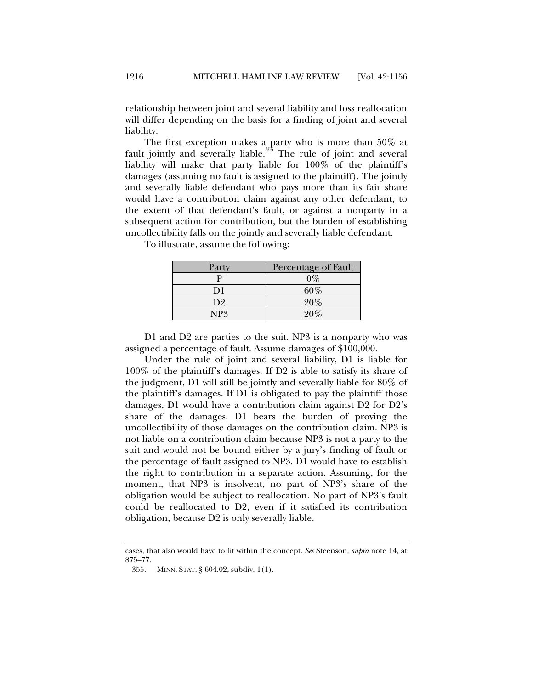relationship between joint and several liability and loss reallocation will differ depending on the basis for a finding of joint and several liability.

The first exception makes a party who is more than 50% at fault jointly and severally liable. $355$  The rule of joint and several liability will make that party liable for 100% of the plaintiff's damages (assuming no fault is assigned to the plaintiff). The jointly and severally liable defendant who pays more than its fair share would have a contribution claim against any other defendant, to the extent of that defendant's fault, or against a nonparty in a subsequent action for contribution, but the burden of establishing uncollectibility falls on the jointly and severally liable defendant.

> Party Percentage of Fault  $P$  0%  $D1 \t\t 60\%$  $D2 \qquad \qquad \qquad 20\%$ NP3 20%

To illustrate, assume the following:

D1 and D2 are parties to the suit. NP3 is a nonparty who was assigned a percentage of fault. Assume damages of \$100,000.

Under the rule of joint and several liability, D1 is liable for 100% of the plaintiff's damages. If D2 is able to satisfy its share of the judgment, D1 will still be jointly and severally liable for 80% of the plaintiff's damages. If D1 is obligated to pay the plaintiff those damages, D1 would have a contribution claim against D2 for D2's share of the damages. D1 bears the burden of proving the uncollectibility of those damages on the contribution claim. NP3 is not liable on a contribution claim because NP3 is not a party to the suit and would not be bound either by a jury's finding of fault or the percentage of fault assigned to NP3. D1 would have to establish the right to contribution in a separate action. Assuming, for the moment, that NP3 is insolvent, no part of NP3's share of the obligation would be subject to reallocation. No part of NP3's fault could be reallocated to D2, even if it satisfied its contribution obligation, because D2 is only severally liable.

cases, that also would have to fit within the concept. *See* Steenson, *supra* note 14, at 875–77.

 <sup>355.</sup> MINN. STAT. § 604.02, subdiv. 1(1).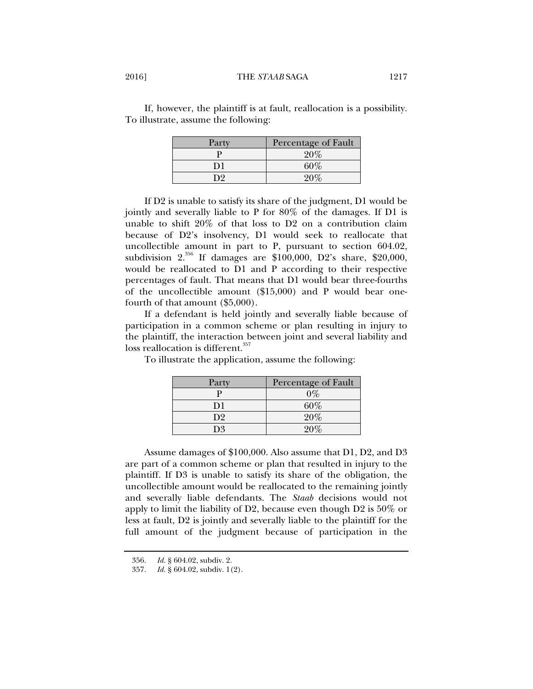If, however, the plaintiff is at fault, reallocation is a possibility. To illustrate, assume the following:

| Party | Percentage of Fault |
|-------|---------------------|
|       | 20%                 |
| D1    | $60\%$              |
| n9    |                     |

If D2 is unable to satisfy its share of the judgment, D1 would be jointly and severally liable to P for 80% of the damages. If D1 is unable to shift 20% of that loss to D2 on a contribution claim because of D2's insolvency, D1 would seek to reallocate that uncollectible amount in part to P, pursuant to section 604.02, subdivision  $2^{356}$  If damages are \$100,000, D2's share, \$20,000, would be reallocated to D1 and P according to their respective percentages of fault. That means that D1 would bear three-fourths of the uncollectible amount (\$15,000) and P would bear onefourth of that amount (\$5,000).

If a defendant is held jointly and severally liable because of participation in a common scheme or plan resulting in injury to the plaintiff, the interaction between joint and several liability and loss reallocation is different.<sup>357</sup>

To illustrate the application, assume the following:

| Party          | Percentage of Fault |
|----------------|---------------------|
| р              | 0%                  |
| D1             | $60\%$              |
| D <sub>2</sub> | 20%                 |
| D3             |                     |

Assume damages of \$100,000. Also assume that D1, D2, and D3 are part of a common scheme or plan that resulted in injury to the plaintiff. If D3 is unable to satisfy its share of the obligation, the uncollectible amount would be reallocated to the remaining jointly and severally liable defendants. The *Staab* decisions would not apply to limit the liability of D2, because even though D2 is 50% or less at fault, D2 is jointly and severally liable to the plaintiff for the full amount of the judgment because of participation in the

 <sup>356.</sup> *Id.* § 604.02, subdiv. 2.

 <sup>357.</sup> *Id.* § 604.02, subdiv. 1(2).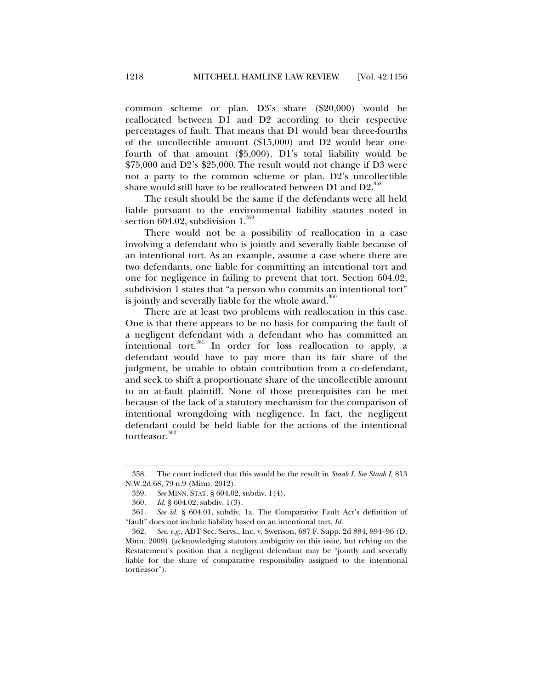common scheme or plan. D3's share (\$20,000) would be reallocated between D1 and D2 according to their respective percentages of fault. That means that D1 would bear three-fourths of the uncollectible amount (\$15,000) and D2 would bear onefourth of that amount (\$5,000). D1's total liability would be \$75,000 and D2's \$25,000. The result would not change if D3 were not a party to the common scheme or plan. D2's uncollectible share would still have to be reallocated between D1 and D2.<sup>358</sup>

The result should be the same if the defendants were all held liable pursuant to the environmental liability statutes noted in section 604.02, subdivision  $1.^{359}$ 

There would not be a possibility of reallocation in a case involving a defendant who is jointly and severally liable because of an intentional tort. As an example, assume a case where there are two defendants, one liable for committing an intentional tort and one for negligence in failing to prevent that tort. Section 604.02, subdivision 1 states that "a person who commits an intentional tort" is jointly and severally liable for the whole award. $360$ 

There are at least two problems with reallocation in this case. One is that there appears to be no basis for comparing the fault of a negligent defendant with a defendant who has committed an intentional tort. $361$  In order for loss reallocation to apply, a defendant would have to pay more than its fair share of the judgment, be unable to obtain contribution from a co-defendant, and seek to shift a proportionate share of the uncollectible amount to an at-fault plaintiff. None of those prerequisites can be met because of the lack of a statutory mechanism for the comparison of intentional wrongdoing with negligence. In fact, the negligent defendant could be held liable for the actions of the intentional tortfeasor.<sup>362</sup>

 <sup>358.</sup> The court indicted that this would be the result in *Staab I*. *See Staab I*, 813 N.W.2d 68, 79 n.9 (Minn. 2012).

 <sup>359.</sup> *See* MINN. STAT. § 604.02, subdiv. 1(4).

 <sup>360.</sup> *Id.* § 604.02, subdiv. 1(3).

 <sup>361.</sup> *See id.* § 604.01, subdiv. 1a. The Comparative Fault Act's definition of "fault" does not include liability based on an intentional tort. *Id.*

 <sup>362.</sup> *See, e.g.*, ADT Sec. Servs., Inc. v. Swenson, 687 F. Supp. 2d 884, 894–96 (D. Minn. 2009) (acknowledging statutory ambiguity on this issue, but relying on the Restatement's position that a negligent defendant may be "jointly and severally liable for the share of comparative responsibility assigned to the intentional tortfeasor").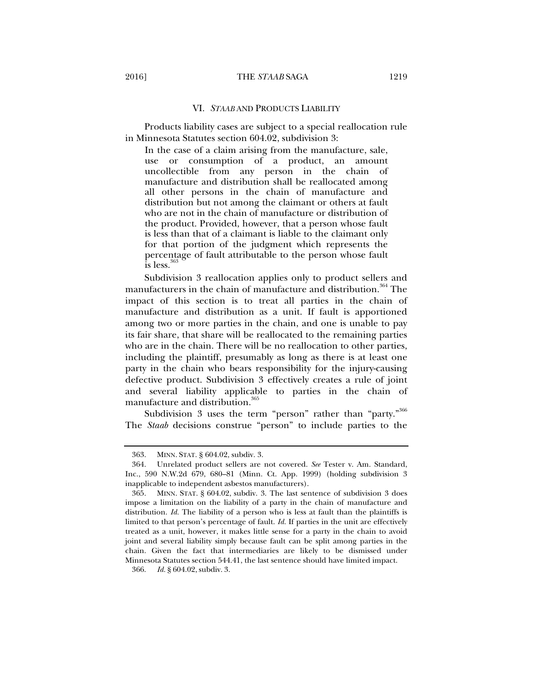#### VI. *STAAB* AND PRODUCTS LIABILITY

Products liability cases are subject to a special reallocation rule in Minnesota Statutes section 604.02, subdivision 3:

In the case of a claim arising from the manufacture, sale, use or consumption of a product, an amount uncollectible from any person in the chain of manufacture and distribution shall be reallocated among all other persons in the chain of manufacture and distribution but not among the claimant or others at fault who are not in the chain of manufacture or distribution of the product. Provided, however, that a person whose fault is less than that of a claimant is liable to the claimant only for that portion of the judgment which represents the percentage of fault attributable to the person whose fault  $\frac{1}{1}$ is less.<sup>36</sup>

Subdivision 3 reallocation applies only to product sellers and manufacturers in the chain of manufacture and distribution.<sup>364</sup> The impact of this section is to treat all parties in the chain of manufacture and distribution as a unit. If fault is apportioned among two or more parties in the chain, and one is unable to pay its fair share, that share will be reallocated to the remaining parties who are in the chain. There will be no reallocation to other parties, including the plaintiff, presumably as long as there is at least one party in the chain who bears responsibility for the injury-causing defective product. Subdivision 3 effectively creates a rule of joint and several liability applicable to parties in the chain of manufacture and distribution.<sup>365</sup>

Subdivision 3 uses the term "person" rather than "party."<sup>366</sup> The *Staab* decisions construe "person" to include parties to the

 <sup>363.</sup> MINN. STAT. § 604.02, subdiv. 3.

 <sup>364.</sup> Unrelated product sellers are not covered. *See* Tester v. Am. Standard, Inc., 590 N.W.2d 679, 680–81 (Minn. Ct. App. 1999) (holding subdivision 3 inapplicable to independent asbestos manufacturers).

 <sup>365.</sup> MINN. STAT. § 604.02, subdiv. 3. The last sentence of subdivision 3 does impose a limitation on the liability of a party in the chain of manufacture and distribution. *Id.* The liability of a person who is less at fault than the plaintiffs is limited to that person's percentage of fault. *Id.* If parties in the unit are effectively treated as a unit, however, it makes little sense for a party in the chain to avoid joint and several liability simply because fault can be split among parties in the chain. Given the fact that intermediaries are likely to be dismissed under Minnesota Statutes section 544.41, the last sentence should have limited impact.

 <sup>366.</sup> *Id.* § 604.02, subdiv. 3.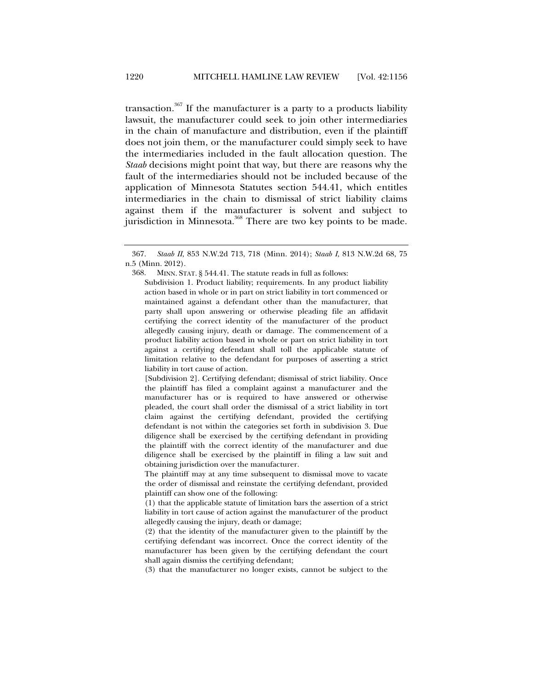transaction.<sup>367</sup> If the manufacturer is a party to a products liability lawsuit, the manufacturer could seek to join other intermediaries in the chain of manufacture and distribution, even if the plaintiff does not join them, or the manufacturer could simply seek to have the intermediaries included in the fault allocation question. The *Staab* decisions might point that way, but there are reasons why the fault of the intermediaries should not be included because of the application of Minnesota Statutes section 544.41, which entitles intermediaries in the chain to dismissal of strict liability claims against them if the manufacturer is solvent and subject to jurisdiction in Minnesota.<sup>368</sup> There are two key points to be made.

(3) that the manufacturer no longer exists, cannot be subject to the

 <sup>367.</sup> *Staab II*, 853 N.W.2d 713, 718 (Minn. 2014); *Staab I*, 813 N.W.2d 68, 75 n.5 (Minn. 2012).

 <sup>368.</sup> MINN. STAT. § 544.41. The statute reads in full as follows:

Subdivision 1. Product liability; requirements. In any product liability action based in whole or in part on strict liability in tort commenced or maintained against a defendant other than the manufacturer, that party shall upon answering or otherwise pleading file an affidavit certifying the correct identity of the manufacturer of the product allegedly causing injury, death or damage. The commencement of a product liability action based in whole or part on strict liability in tort against a certifying defendant shall toll the applicable statute of limitation relative to the defendant for purposes of asserting a strict liability in tort cause of action.

<sup>[</sup>Subdivision 2]. Certifying defendant; dismissal of strict liability. Once the plaintiff has filed a complaint against a manufacturer and the manufacturer has or is required to have answered or otherwise pleaded, the court shall order the dismissal of a strict liability in tort claim against the certifying defendant, provided the certifying defendant is not within the categories set forth in subdivision 3. Due diligence shall be exercised by the certifying defendant in providing the plaintiff with the correct identity of the manufacturer and due diligence shall be exercised by the plaintiff in filing a law suit and obtaining jurisdiction over the manufacturer.

The plaintiff may at any time subsequent to dismissal move to vacate the order of dismissal and reinstate the certifying defendant, provided plaintiff can show one of the following:

<sup>(1)</sup> that the applicable statute of limitation bars the assertion of a strict liability in tort cause of action against the manufacturer of the product allegedly causing the injury, death or damage;

<sup>(2)</sup> that the identity of the manufacturer given to the plaintiff by the certifying defendant was incorrect. Once the correct identity of the manufacturer has been given by the certifying defendant the court shall again dismiss the certifying defendant;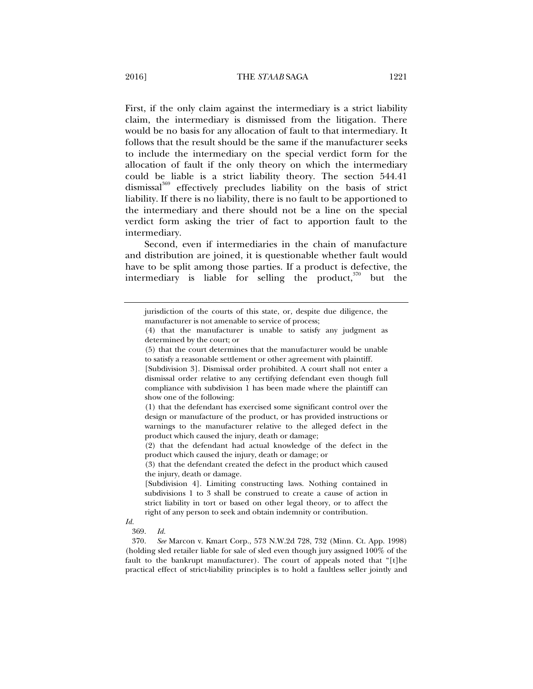First, if the only claim against the intermediary is a strict liability claim, the intermediary is dismissed from the litigation. There would be no basis for any allocation of fault to that intermediary. It follows that the result should be the same if the manufacturer seeks to include the intermediary on the special verdict form for the allocation of fault if the only theory on which the intermediary could be liable is a strict liability theory. The section 544.41 dismissal<sup>369</sup> effectively precludes liability on the basis of strict liability. If there is no liability, there is no fault to be apportioned to the intermediary and there should not be a line on the special verdict form asking the trier of fact to apportion fault to the intermediary.

Second, even if intermediaries in the chain of manufacture and distribution are joined, it is questionable whether fault would have to be split among those parties. If a product is defective, the intermediary is liable for selling the product, $370$  but the

*Id.*

jurisdiction of the courts of this state, or, despite due diligence, the manufacturer is not amenable to service of process;

<sup>(4)</sup> that the manufacturer is unable to satisfy any judgment as determined by the court; or

<sup>(5)</sup> that the court determines that the manufacturer would be unable to satisfy a reasonable settlement or other agreement with plaintiff.

<sup>[</sup>Subdivision 3]. Dismissal order prohibited. A court shall not enter a dismissal order relative to any certifying defendant even though full compliance with subdivision 1 has been made where the plaintiff can show one of the following:

<sup>(1)</sup> that the defendant has exercised some significant control over the design or manufacture of the product, or has provided instructions or warnings to the manufacturer relative to the alleged defect in the product which caused the injury, death or damage;

<sup>(2)</sup> that the defendant had actual knowledge of the defect in the product which caused the injury, death or damage; or

<sup>(3)</sup> that the defendant created the defect in the product which caused the injury, death or damage.

<sup>[</sup>Subdivision 4]. Limiting constructing laws. Nothing contained in subdivisions 1 to 3 shall be construed to create a cause of action in strict liability in tort or based on other legal theory, or to affect the right of any person to seek and obtain indemnity or contribution.

 <sup>369.</sup> *Id.*

 <sup>370.</sup> *See* Marcon v. Kmart Corp., 573 N.W.2d 728, 732 (Minn. Ct. App. 1998) (holding sled retailer liable for sale of sled even though jury assigned 100% of the fault to the bankrupt manufacturer). The court of appeals noted that "[t]he practical effect of strict-liability principles is to hold a faultless seller jointly and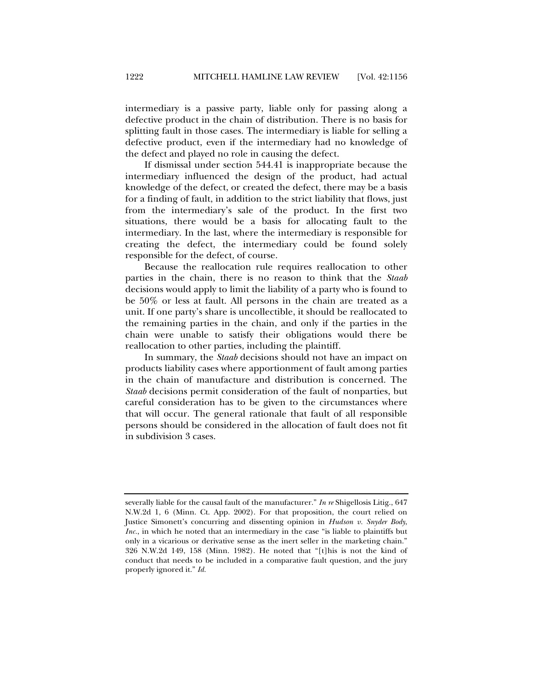intermediary is a passive party, liable only for passing along a defective product in the chain of distribution. There is no basis for splitting fault in those cases. The intermediary is liable for selling a defective product, even if the intermediary had no knowledge of the defect and played no role in causing the defect.

If dismissal under section 544.41 is inappropriate because the intermediary influenced the design of the product, had actual knowledge of the defect, or created the defect, there may be a basis for a finding of fault, in addition to the strict liability that flows, just from the intermediary's sale of the product. In the first two situations, there would be a basis for allocating fault to the intermediary. In the last, where the intermediary is responsible for creating the defect, the intermediary could be found solely responsible for the defect, of course.

Because the reallocation rule requires reallocation to other parties in the chain, there is no reason to think that the *Staab*  decisions would apply to limit the liability of a party who is found to be 50% or less at fault. All persons in the chain are treated as a unit. If one party's share is uncollectible, it should be reallocated to the remaining parties in the chain, and only if the parties in the chain were unable to satisfy their obligations would there be reallocation to other parties, including the plaintiff.

In summary, the *Staab* decisions should not have an impact on products liability cases where apportionment of fault among parties in the chain of manufacture and distribution is concerned. The *Staab* decisions permit consideration of the fault of nonparties, but careful consideration has to be given to the circumstances where that will occur. The general rationale that fault of all responsible persons should be considered in the allocation of fault does not fit in subdivision 3 cases.

severally liable for the causal fault of the manufacturer." *In re* Shigellosis Litig., 647 N.W.2d 1, 6 (Minn. Ct. App. 2002). For that proposition, the court relied on Justice Simonett's concurring and dissenting opinion in *Hudson v. Snyder Body*, *Inc.*, in which he noted that an intermediary in the case "is liable to plaintiffs but only in a vicarious or derivative sense as the inert seller in the marketing chain." 326 N.W.2d 149, 158 (Minn. 1982). He noted that "[t]his is not the kind of conduct that needs to be included in a comparative fault question, and the jury properly ignored it." *Id.*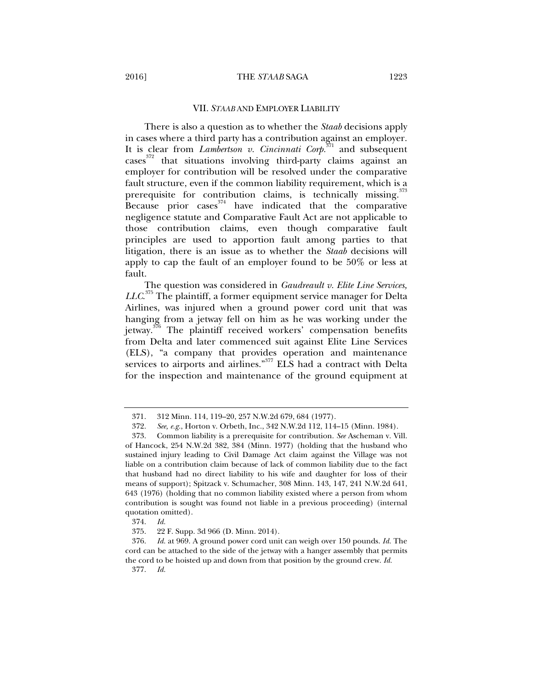#### VII. *STAAB* AND EMPLOYER LIABILITY

There is also a question as to whether the *Staab* decisions apply in cases where a third party has a contribution against an employer. It is clear from *Lambertson v. Cincinnati Corp.*371 and subsequent cases<sup>372</sup> that situations involving third-party claims against an employer for contribution will be resolved under the comparative fault structure, even if the common liability requirement, which is a prerequisite for contribution claims, is technically missing.<sup>373</sup> Because prior cases  $374$  have indicated that the comparative negligence statute and Comparative Fault Act are not applicable to those contribution claims, even though comparative fault principles are used to apportion fault among parties to that litigation, there is an issue as to whether the *Staab* decisions will apply to cap the fault of an employer found to be 50% or less at fault.

The question was considered in *Gaudreault v. Elite Line Services, LLC*. 375 The plaintiff, a former equipment service manager for Delta Airlines, was injured when a ground power cord unit that was hanging from a jetway fell on him as he was working under the jetway.<sup>376</sup> The plaintiff received workers' compensation benefits from Delta and later commenced suit against Elite Line Services (ELS), "a company that provides operation and maintenance services to airports and airlines."<sup>377</sup> ELS had a contract with Delta for the inspection and maintenance of the ground equipment at

 <sup>371. 312</sup> Minn. 114, 119–20, 257 N.W.2d 679, 684 (1977).

 <sup>372.</sup> *See, e.g.*, Horton v. Orbeth, Inc., 342 N.W.2d 112, 114–15 (Minn. 1984).

 <sup>373.</sup> Common liability is a prerequisite for contribution. *See* Ascheman v. Vill. of Hancock, 254 N.W.2d 382, 384 (Minn. 1977) (holding that the husband who sustained injury leading to Civil Damage Act claim against the Village was not liable on a contribution claim because of lack of common liability due to the fact that husband had no direct liability to his wife and daughter for loss of their means of support); Spitzack v. Schumacher, 308 Minn. 143, 147, 241 N.W.2d 641, 643 (1976) (holding that no common liability existed where a person from whom contribution is sought was found not liable in a previous proceeding) (internal quotation omitted).

 <sup>374.</sup> *Id.*

 <sup>375. 22</sup> F. Supp. 3d 966 (D. Minn. 2014).

 <sup>376.</sup> *Id.* at 969. A ground power cord unit can weigh over 150 pounds. *Id.* The cord can be attached to the side of the jetway with a hanger assembly that permits the cord to be hoisted up and down from that position by the ground crew. *Id.*

 <sup>377.</sup> *Id.*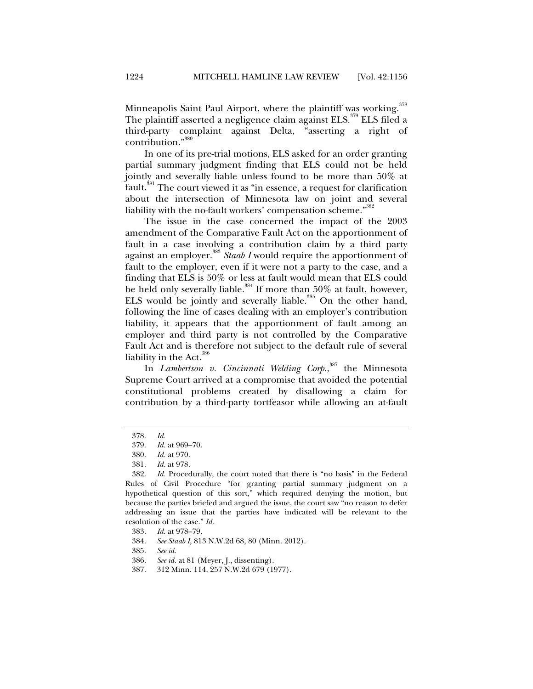Minneapolis Saint Paul Airport, where the plaintiff was working.<sup>378</sup> The plaintiff asserted a negligence claim against ELS.<sup>379</sup> ELS filed a third-party complaint against Delta, "asserting a right of contribution."<sup>380</sup>

In one of its pre-trial motions, ELS asked for an order granting partial summary judgment finding that ELS could not be held jointly and severally liable unless found to be more than 50% at fault.<sup>381</sup> The court viewed it as "in essence, a request for clarification about the intersection of Minnesota law on joint and several liability with the no-fault workers' compensation scheme."<sup>382</sup>

The issue in the case concerned the impact of the 2003 amendment of the Comparative Fault Act on the apportionment of fault in a case involving a contribution claim by a third party against an employer.<sup>383</sup> Staab I would require the apportionment of fault to the employer, even if it were not a party to the case, and a finding that ELS is 50% or less at fault would mean that ELS could be held only severally liable.<sup>384</sup> If more than 50% at fault, however, ELS would be jointly and severally liable.<sup>385</sup> On the other hand, following the line of cases dealing with an employer's contribution liability, it appears that the apportionment of fault among an employer and third party is not controlled by the Comparative Fault Act and is therefore not subject to the default rule of several liability in the Act. $386$ 

In *Lambertson v. Cincinnati Welding Corp.*, 387 the Minnesota Supreme Court arrived at a compromise that avoided the potential constitutional problems created by disallowing a claim for contribution by a third-party tortfeasor while allowing an at-fault

- 386. *See id.* at 81 (Meyer, J., dissenting).
- 387. 312 Minn. 114, 257 N.W.2d 679 (1977).

 <sup>378.</sup> *Id.*

 <sup>379.</sup> *Id.* at 969–70.

 <sup>380.</sup> *Id.* at 970.

 <sup>381.</sup> *Id.* at 978.

 <sup>382.</sup> *Id.* Procedurally, the court noted that there is "no basis" in the Federal Rules of Civil Procedure "for granting partial summary judgment on a hypothetical question of this sort," which required denying the motion, but because the parties briefed and argued the issue, the court saw "no reason to defer addressing an issue that the parties have indicated will be relevant to the resolution of the case." *Id.*

 <sup>383.</sup> *Id.* at 978–79.

 <sup>384.</sup> *See Staab I*, 813 N.W.2d 68, 80 (Minn. 2012).

 <sup>385.</sup> *See id.*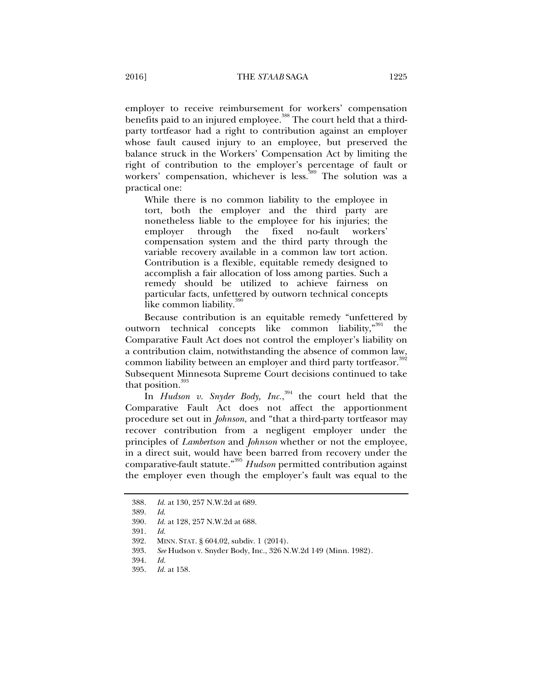employer to receive reimbursement for workers' compensation benefits paid to an injured employee.<sup>388</sup> The court held that a thirdparty tortfeasor had a right to contribution against an employer whose fault caused injury to an employee, but preserved the balance struck in the Workers' Compensation Act by limiting the right of contribution to the employer's percentage of fault or workers' compensation, whichever is less.<sup>389</sup> The solution was a practical one:

While there is no common liability to the employee in tort, both the employer and the third party are nonetheless liable to the employee for his injuries; the employer through the fixed no-fault workers' compensation system and the third party through the variable recovery available in a common law tort action. Contribution is a flexible, equitable remedy designed to accomplish a fair allocation of loss among parties. Such a remedy should be utilized to achieve fairness on particular facts, unfettered by outworn technical concepts like common liability.<sup>31</sup>

Because contribution is an equitable remedy "unfettered by outworn technical concepts like common liability,"<sup>391</sup> the Comparative Fault Act does not control the employer's liability on a contribution claim, notwithstanding the absence of common law, common liability between an employer and third party tortfeasor.<sup>392</sup> Subsequent Minnesota Supreme Court decisions continued to take that position. $\overline{a}$ 

In *Hudson v. Snyder Body, Inc.*, 394 the court held that the Comparative Fault Act does not affect the apportionment procedure set out in *Johnson*, and "that a third-party tortfeasor may recover contribution from a negligent employer under the principles of *Lambertson* and *Johnson* whether or not the employee, in a direct suit, would have been barred from recovery under the comparative-fault statute."395 *Hudson* permitted contribution against the employer even though the employer's fault was equal to the

 <sup>388.</sup> *Id.* at 130, 257 N.W.2d at 689.

 <sup>389.</sup> *Id*.

 <sup>390.</sup> *Id.* at 128, 257 N.W.2d at 688.

 <sup>391.</sup> *Id.*

 <sup>392.</sup> MINN. STAT. § 604.02, subdiv. 1 (2014).

 <sup>393.</sup> *See* Hudson v. Snyder Body, Inc., 326 N.W.2d 149 (Minn. 1982).

 <sup>394.</sup> *Id.*

 <sup>395.</sup> *Id.* at 158.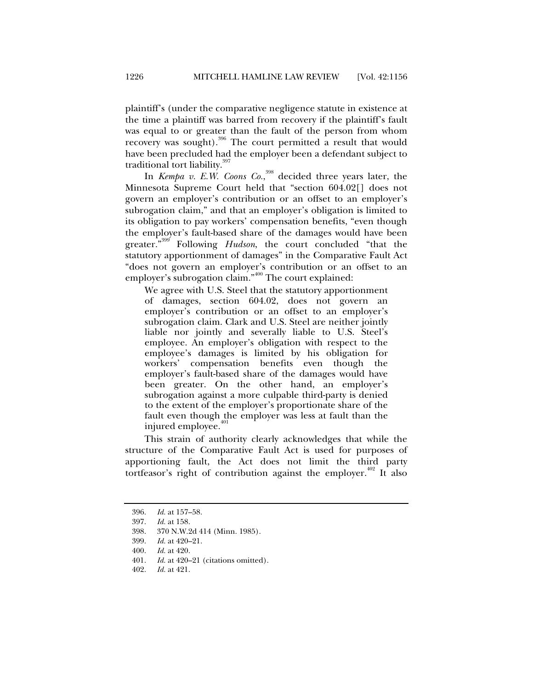plaintiff's (under the comparative negligence statute in existence at the time a plaintiff was barred from recovery if the plaintiff's fault was equal to or greater than the fault of the person from whom recovery was sought).<sup>396</sup> The court permitted a result that would have been precluded had the employer been a defendant subject to traditional tort liability.<sup>397</sup>

In *Kempa v. E.W. Coons Co.*, 398 decided three years later, the Minnesota Supreme Court held that "section 604.02[] does not govern an employer's contribution or an offset to an employer's subrogation claim," and that an employer's obligation is limited to its obligation to pay workers' compensation benefits, "even though the employer's fault-based share of the damages would have been greater."399 Following *Hudson*, the court concluded "that the statutory apportionment of damages" in the Comparative Fault Act "does not govern an employer's contribution or an offset to an employer's subrogation claim."400 The court explained:

We agree with U.S. Steel that the statutory apportionment of damages, section 604.02, does not govern an employer's contribution or an offset to an employer's subrogation claim. Clark and U.S. Steel are neither jointly liable nor jointly and severally liable to U.S. Steel's employee. An employer's obligation with respect to the employee's damages is limited by his obligation for workers' compensation benefits even though the employer's fault-based share of the damages would have been greater. On the other hand, an employer's subrogation against a more culpable third-party is denied to the extent of the employer's proportionate share of the fault even though the employer was less at fault than the injured employee. $401$ 

This strain of authority clearly acknowledges that while the structure of the Comparative Fault Act is used for purposes of apportioning fault, the Act does not limit the third party tortfeasor's right of contribution against the employer.<sup> $402$ </sup> It also

 <sup>396.</sup> *Id.* at 157–58.

 <sup>397.</sup> *Id.* at 158.

 <sup>398. 370</sup> N.W.2d 414 (Minn. 1985).

 <sup>399.</sup> *Id.* at 420–21.

 <sup>400.</sup> *Id.* at 420.

 <sup>401.</sup> *Id.* at 420–21 (citations omitted).

 <sup>402.</sup> *Id.* at 421.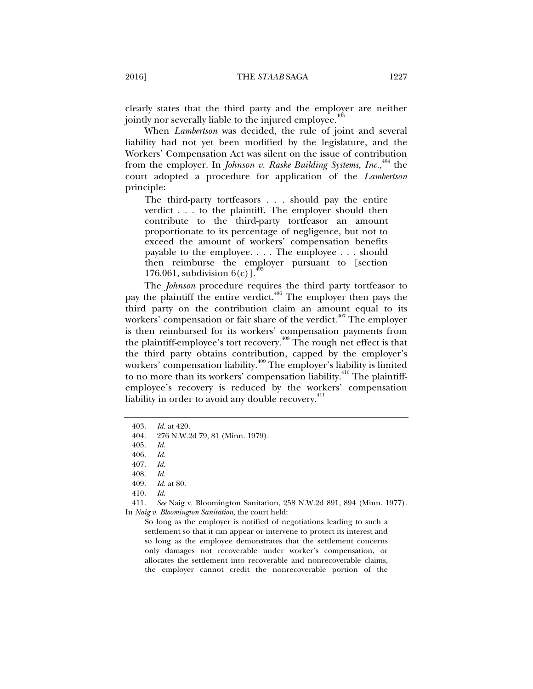clearly states that the third party and the employer are neither jointly nor severally liable to the injured employee.<sup>4</sup>

When *Lambertson* was decided, the rule of joint and several liability had not yet been modified by the legislature, and the Workers' Compensation Act was silent on the issue of contribution from the employer. In *Johnson v. Raske Building Systems, Inc.*, 404 the court adopted a procedure for application of the *Lambertson* principle:

The third-party tortfeasors . . . should pay the entire verdict . . . to the plaintiff. The employer should then contribute to the third-party tortfeasor an amount proportionate to its percentage of negligence, but not to exceed the amount of workers' compensation benefits payable to the employee. . . . The employee . . . should then reimburse the employer pursuant to [section 176.061, subdivision  $6(c)$ ].

The *Johnson* procedure requires the third party tortfeasor to pay the plaintiff the entire verdict.<sup>406</sup> The employer then pays the third party on the contribution claim an amount equal to its workers' compensation or fair share of the verdict.<sup> $407$ </sup> The employer is then reimbursed for its workers' compensation payments from the plaintiff-employee's tort recovery.<sup>408</sup> The rough net effect is that the third party obtains contribution, capped by the employer's workers' compensation liability.<sup>409</sup> The employer's liability is limited to no more than its workers' compensation liability. $410$  The plaintiffemployee's recovery is reduced by the workers' compensation liability in order to avoid any double recovery.<sup>411</sup>

So long as the employer is notified of negotiations leading to such a settlement so that it can appear or intervene to protect its interest and so long as the employee demonstrates that the settlement concerns only damages not recoverable under worker's compensation, or allocates the settlement into recoverable and nonrecoverable claims, the employer cannot credit the nonrecoverable portion of the

 <sup>403.</sup> *Id.* at 420.

 <sup>404. 276</sup> N.W.2d 79, 81 (Minn. 1979).

 <sup>405.</sup> *Id.*

 <sup>406.</sup> *Id.* 

 <sup>407.</sup> *Id.* 

 <sup>408.</sup> *Id.* 

 <sup>409.</sup> *Id.* at 80.

 <sup>410.</sup> *Id.*

 <sup>411.</sup> *See* Naig v. Bloomington Sanitation, 258 N.W.2d 891, 894 (Minn. 1977). In *Naig v. Bloomington Sanitation*, the court held: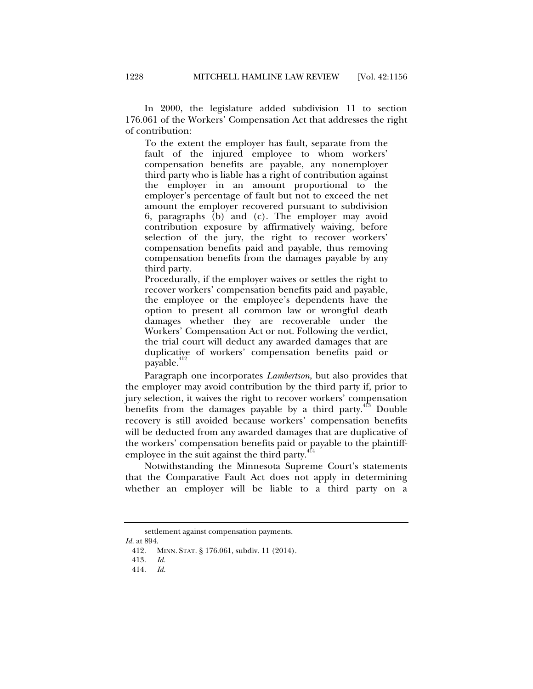In 2000, the legislature added subdivision 11 to section 176.061 of the Workers' Compensation Act that addresses the right of contribution:

To the extent the employer has fault, separate from the fault of the injured employee to whom workers' compensation benefits are payable, any nonemployer third party who is liable has a right of contribution against the employer in an amount proportional to the employer's percentage of fault but not to exceed the net amount the employer recovered pursuant to subdivision 6, paragraphs (b) and (c). The employer may avoid contribution exposure by affirmatively waiving, before selection of the jury, the right to recover workers' compensation benefits paid and payable, thus removing compensation benefits from the damages payable by any third party.

Procedurally, if the employer waives or settles the right to recover workers' compensation benefits paid and payable, the employee or the employee's dependents have the option to present all common law or wrongful death damages whether they are recoverable under the Workers' Compensation Act or not. Following the verdict, the trial court will deduct any awarded damages that are duplicative of workers' compensation benefits paid or payable.<sup>412</sup>

Paragraph one incorporates *Lambertson*, but also provides that the employer may avoid contribution by the third party if, prior to jury selection, it waives the right to recover workers' compensation benefits from the damages payable by a third party. $413$  Double recovery is still avoided because workers' compensation benefits will be deducted from any awarded damages that are duplicative of the workers' compensation benefits paid or payable to the plaintiffemployee in the suit against the third party.<sup>414</sup>

Notwithstanding the Minnesota Supreme Court's statements that the Comparative Fault Act does not apply in determining whether an employer will be liable to a third party on a

settlement against compensation payments.

*Id.* at 894.

 <sup>412.</sup> MINN. STAT. § 176.061, subdiv. 11 (2014).

 <sup>413.</sup> *Id.*

 <sup>414.</sup> *Id.*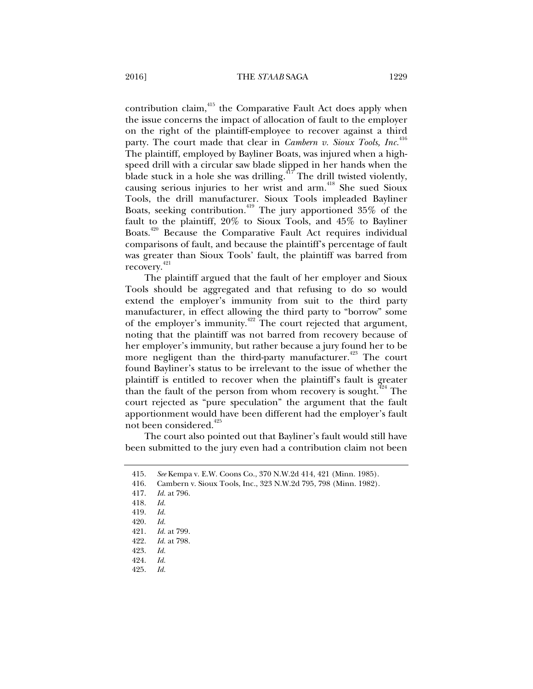contribution claim,<sup>415</sup> the Comparative Fault Act does apply when the issue concerns the impact of allocation of fault to the employer on the right of the plaintiff-employee to recover against a third party. The court made that clear in *Cambern v. Sioux Tools, Inc.*<sup>416</sup> The plaintiff, employed by Bayliner Boats, was injured when a highspeed drill with a circular saw blade slipped in her hands when the blade stuck in a hole she was drilling.<sup> $417$ </sup> The drill twisted violently, causing serious injuries to her wrist and arm.<sup>418</sup> She sued Sioux Tools, the drill manufacturer. Sioux Tools impleaded Bayliner Boats, seeking contribution.<sup>419</sup> The jury apportioned 35% of the fault to the plaintiff, 20% to Sioux Tools, and 45% to Bayliner Boats.<sup>420</sup> Because the Comparative Fault Act requires individual comparisons of fault, and because the plaintiff's percentage of fault was greater than Sioux Tools' fault, the plaintiff was barred from recovery.<sup>421</sup>

The plaintiff argued that the fault of her employer and Sioux Tools should be aggregated and that refusing to do so would extend the employer's immunity from suit to the third party manufacturer, in effect allowing the third party to "borrow" some of the employer's immunity. $422$  The court rejected that argument, noting that the plaintiff was not barred from recovery because of her employer's immunity, but rather because a jury found her to be more negligent than the third-party manufacturer.<sup>423</sup> The court found Bayliner's status to be irrelevant to the issue of whether the plaintiff is entitled to recover when the plaintiff's fault is greater than the fault of the person from whom recovery is sought.<sup> $424$ </sup> The court rejected as "pure speculation" the argument that the fault apportionment would have been different had the employer's fault not been considered.<sup>425</sup>

The court also pointed out that Bayliner's fault would still have been submitted to the jury even had a contribution claim not been

 <sup>415.</sup> *See* Kempa v. E.W. Coons Co., 370 N.W.2d 414, 421 (Minn. 1985).

 <sup>416.</sup> Cambern v. Sioux Tools, Inc., 323 N.W.2d 795, 798 (Minn. 1982).

 <sup>417.</sup> *Id.* at 796.

 <sup>418.</sup> *Id.* 

 <sup>419.</sup> *Id.* 

 <sup>420.</sup> *Id.*

 <sup>421.</sup> *Id.* at 799.

 <sup>422.</sup> *Id.* at 798.

 <sup>423.</sup> *Id.*

 <sup>424.</sup> *Id.*

 <sup>425.</sup> *Id.*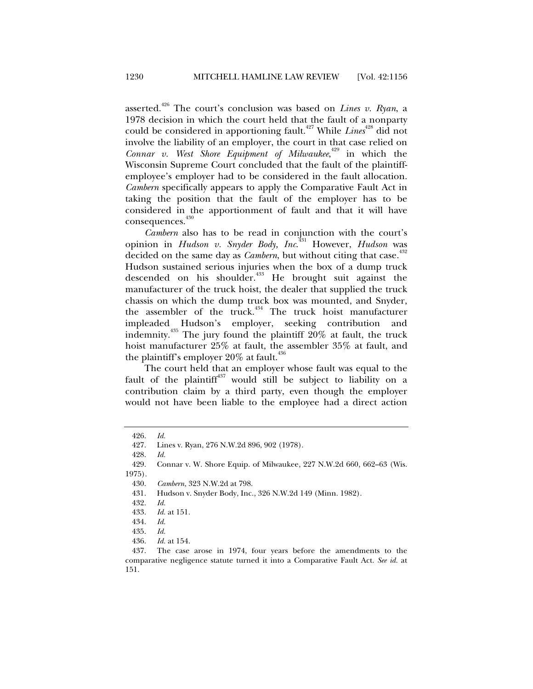asserted.<sup>426</sup> The court's conclusion was based on *Lines v. Ryan*, a 1978 decision in which the court held that the fault of a nonparty could be considered in apportioning fault.<sup>427</sup> While Lines<sup>428</sup> did not involve the liability of an employer, the court in that case relied on *Connar v. West Shore Equipment of Milwaukee*, 429 in which the Wisconsin Supreme Court concluded that the fault of the plaintiffemployee's employer had to be considered in the fault allocation. *Cambern* specifically appears to apply the Comparative Fault Act in taking the position that the fault of the employer has to be considered in the apportionment of fault and that it will have consequences.<sup>430</sup>

*Cambern* also has to be read in conjunction with the court's opinion in *Hudson v. Snyder Body, Inc*. 431 However, *Hudson* was decided on the same day as *Cambern*, but without citing that case.<sup>432</sup> Hudson sustained serious injuries when the box of a dump truck descended on his shoulder.<sup>433</sup> He brought suit against the manufacturer of the truck hoist, the dealer that supplied the truck chassis on which the dump truck box was mounted, and Snyder, the assembler of the truck.<sup> $434$ </sup> The truck hoist manufacturer impleaded Hudson's employer, seeking contribution and indemnity.435 The jury found the plaintiff 20% at fault, the truck hoist manufacturer 25% at fault, the assembler 35% at fault, and the plaintiff's employer  $20\%$  at fault.<sup>436</sup>

The court held that an employer whose fault was equal to the fault of the plaintiff $437$  would still be subject to liability on a contribution claim by a third party, even though the employer would not have been liable to the employee had a direct action

428. *Id.*

 <sup>426.</sup> *Id.*

 <sup>427.</sup> Lines v. Ryan, 276 N.W.2d 896, 902 (1978).

 <sup>429.</sup> Connar v. W. Shore Equip. of Milwaukee, 227 N.W.2d 660, 662–63 (Wis. 1975).

 <sup>430.</sup> *Cambern*, 323 N.W.2d at 798.

 <sup>431.</sup> Hudson v. Snyder Body, Inc., 326 N.W.2d 149 (Minn. 1982).

 <sup>432.</sup> *Id.*

 <sup>433.</sup> *Id.* at 151.

 <sup>434.</sup> *Id.*

 <sup>435.</sup> *Id.*

 <sup>436.</sup> *Id.* at 154.

 <sup>437.</sup> The case arose in 1974, four years before the amendments to the comparative negligence statute turned it into a Comparative Fault Act. *See id.* at 151.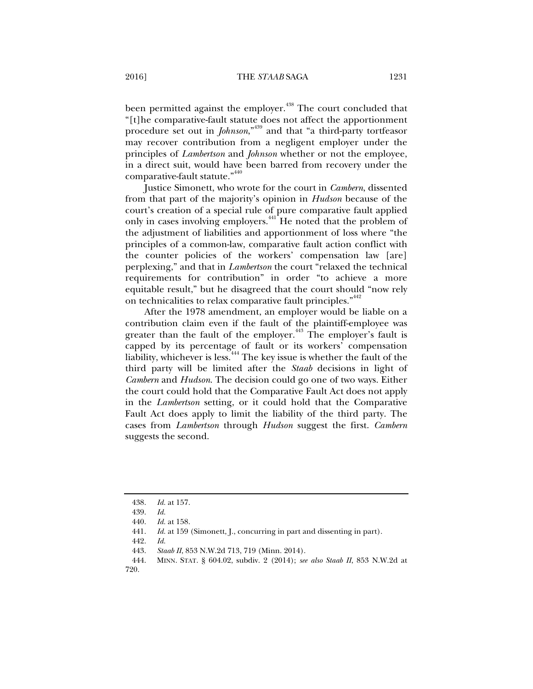been permitted against the employer.<sup>438</sup> The court concluded that "[t]he comparative-fault statute does not affect the apportionment procedure set out in *Johnson*,"439 and that "a third-party tortfeasor may recover contribution from a negligent employer under the principles of *Lambertson* and *Johnson* whether or not the employee, in a direct suit, would have been barred from recovery under the comparative-fault statute."<sup>440</sup>

Justice Simonett, who wrote for the court in *Cambern*, dissented from that part of the majority's opinion in *Hudson* because of the court's creation of a special rule of pure comparative fault applied only in cases involving employers.<sup>441</sup> He noted that the problem of the adjustment of liabilities and apportionment of loss where "the principles of a common-law, comparative fault action conflict with the counter policies of the workers' compensation law [are] perplexing," and that in *Lambertson* the court "relaxed the technical requirements for contribution" in order "to achieve a more equitable result," but he disagreed that the court should "now rely on technicalities to relax comparative fault principles."<sup>442</sup>

After the 1978 amendment, an employer would be liable on a contribution claim even if the fault of the plaintiff-employee was greater than the fault of the employer.<sup>443</sup> The employer's fault is capped by its percentage of fault or its workers' compensation liability, whichever is less.<sup>444</sup> The key issue is whether the fault of the third party will be limited after the *Staab* decisions in light of *Cambern* and *Hudson*. The decision could go one of two ways. Either the court could hold that the Comparative Fault Act does not apply in the *Lambertson* setting, or it could hold that the Comparative Fault Act does apply to limit the liability of the third party. The cases from *Lambertson* through *Hudson* suggest the first. *Cambern*  suggests the second.

 <sup>438.</sup> *Id.* at 157.

 <sup>439.</sup> *Id.*

 <sup>440.</sup> *Id.* at 158.

 <sup>441.</sup> *Id.* at 159 (Simonett, J., concurring in part and dissenting in part).

 <sup>442.</sup> *Id.*

 <sup>443.</sup> *Staab II*, 853 N.W.2d 713, 719 (Minn. 2014).

 <sup>444.</sup> MINN. STAT. § 604.02, subdiv. 2 (2014); *see also Staab II*, 853 N.W.2d at 720.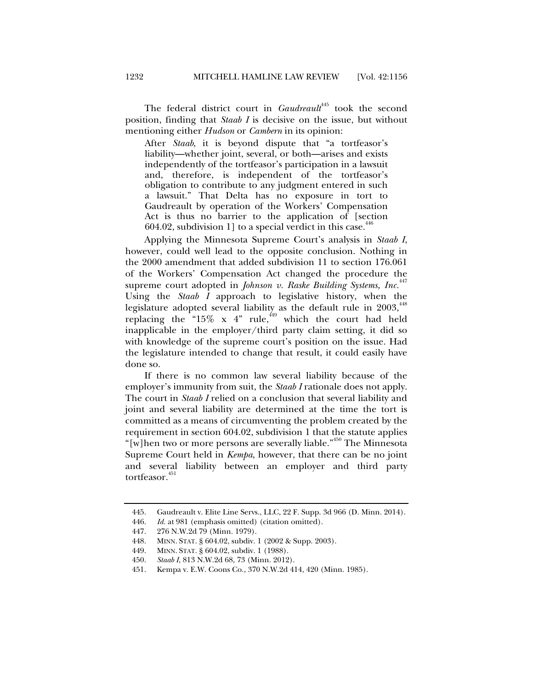The federal district court in *Gaudreault<sup>445</sup>* took the second position, finding that *Staab I* is decisive on the issue, but without mentioning either *Hudson* or *Cambern* in its opinion:

After *Staab*, it is beyond dispute that "a tortfeasor's liability—whether joint, several, or both—arises and exists independently of the tortfeasor's participation in a lawsuit and, therefore, is independent of the tortfeasor's obligation to contribute to any judgment entered in such a lawsuit." That Delta has no exposure in tort to Gaudreault by operation of the Workers' Compensation Act is thus no barrier to the application of [section 604.02, subdivision 1] to a special verdict in this case.  $446$ 

Applying the Minnesota Supreme Court's analysis in *Staab I*, however, could well lead to the opposite conclusion. Nothing in the 2000 amendment that added subdivision 11 to section 176.061 of the Workers' Compensation Act changed the procedure the supreme court adopted in *Johnson v. Raske Building Systems, Inc.*<sup>447</sup> Using the *Staab I* approach to legislative history, when the legislature adopted several liability as the default rule in 2003, <sup>448</sup> replacing the "15% x 4" rule,  $449$  which the court had held inapplicable in the employer/third party claim setting, it did so with knowledge of the supreme court's position on the issue. Had the legislature intended to change that result, it could easily have done so.

If there is no common law several liability because of the employer's immunity from suit, the *Staab I* rationale does not apply. The court in *Staab I* relied on a conclusion that several liability and joint and several liability are determined at the time the tort is committed as a means of circumventing the problem created by the requirement in section 604.02, subdivision 1 that the statute applies "[w]hen two or more persons are severally liable."<sup>450</sup> The Minnesota Supreme Court held in *Kempa*, however, that there can be no joint and several liability between an employer and third party tortfeasor.<sup>451</sup>

 <sup>445.</sup> Gaudreault v. Elite Line Servs., LLC, 22 F. Supp. 3d 966 (D. Minn. 2014).

 <sup>446.</sup> *Id.* at 981 (emphasis omitted) (citation omitted).

 <sup>447. 276</sup> N.W.2d 79 (Minn. 1979).

 <sup>448.</sup> MINN. STAT. § 604.02, subdiv. 1 (2002 & Supp. 2003).

 <sup>449.</sup> MINN. STAT. § 604.02, subdiv. 1 (1988).

 <sup>450.</sup> *Staab I*, 813 N.W.2d 68, 73 (Minn. 2012).

 <sup>451.</sup> Kempa v. E.W. Coons Co., 370 N.W.2d 414, 420 (Minn. 1985).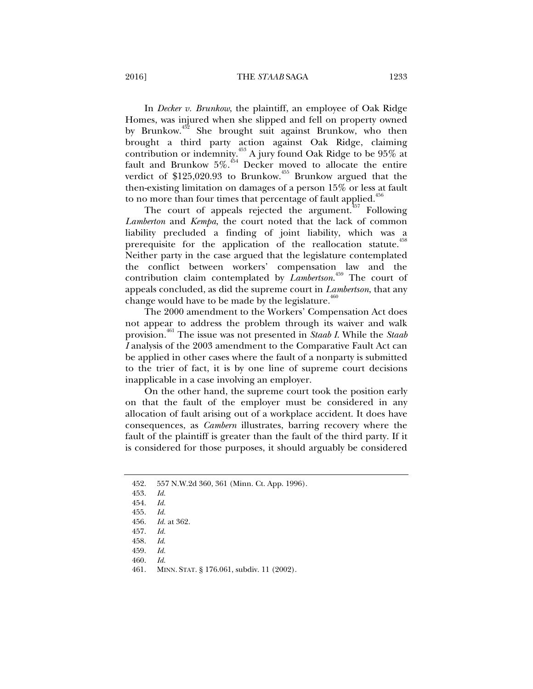## 2016] THE *STAAB* SAGA 1233

In *Decker v. Brunkow*, the plaintiff, an employee of Oak Ridge Homes, was injured when she slipped and fell on property owned by Brunkow.<sup>452</sup> She brought suit against Brunkow, who then brought a third party action against Oak Ridge, claiming contribution or indemnity.453 A jury found Oak Ridge to be 95% at fault and Brunkow  $5\%$ .<sup>454</sup> Decker moved to allocate the entire verdict of  $$125,020.93$  to Brunkow.<sup>455</sup> Brunkow argued that the then-existing limitation on damages of a person 15% or less at fault to no more than four times that percentage of fault applied.<sup>456</sup>

The court of appeals rejected the argument.<sup>457</sup> Following *Lamberton* and *Kempa*, the court noted that the lack of common liability precluded a finding of joint liability, which was a prerequisite for the application of the reallocation statute.<sup>458</sup> Neither party in the case argued that the legislature contemplated the conflict between workers' compensation law and the contribution claim contemplated by *Lambertson*. 459 The court of appeals concluded, as did the supreme court in *Lambertson*, that any change would have to be made by the legislature.<sup>460</sup>

The 2000 amendment to the Workers' Compensation Act does not appear to address the problem through its waiver and walk provision.461 The issue was not presented in *Staab I*. While the *Staab I* analysis of the 2003 amendment to the Comparative Fault Act can be applied in other cases where the fault of a nonparty is submitted to the trier of fact, it is by one line of supreme court decisions inapplicable in a case involving an employer.

On the other hand, the supreme court took the position early on that the fault of the employer must be considered in any allocation of fault arising out of a workplace accident. It does have consequences, as *Cambern* illustrates, barring recovery where the fault of the plaintiff is greater than the fault of the third party. If it is considered for those purposes, it should arguably be considered

 <sup>452. 557</sup> N.W.2d 360, 361 (Minn. Ct. App. 1996).

 <sup>453.</sup> *Id.*

 <sup>454.</sup> *Id.*

 <sup>455.</sup> *Id.*

 <sup>456.</sup> *Id.* at 362.

 <sup>457.</sup> *Id.*

 <sup>458.</sup> *Id*.

 <sup>459.</sup> *Id.*

 <sup>460.</sup> *Id.*

 <sup>461.</sup> MINN. STAT. § 176.061, subdiv. 11 (2002).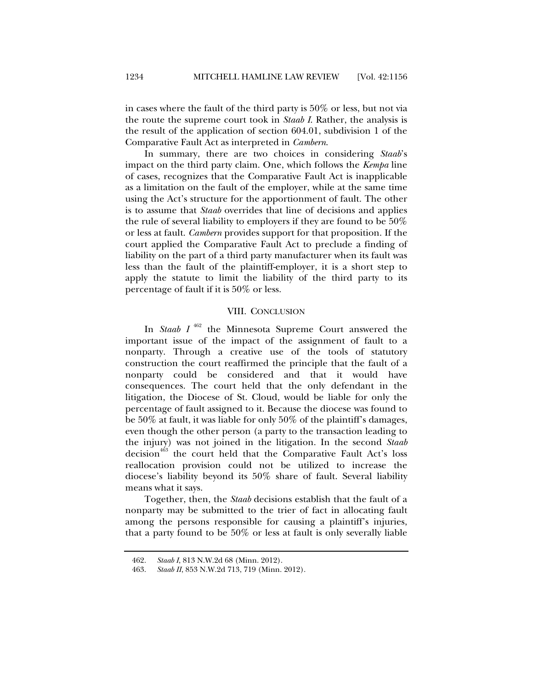in cases where the fault of the third party is 50% or less, but not via the route the supreme court took in *Staab I*. Rather, the analysis is the result of the application of section 604.01, subdivision 1 of the Comparative Fault Act as interpreted in *Cambern*.

In summary, there are two choices in considering *Staab*'s impact on the third party claim. One, which follows the *Kempa* line of cases, recognizes that the Comparative Fault Act is inapplicable as a limitation on the fault of the employer, while at the same time using the Act's structure for the apportionment of fault. The other is to assume that *Staab* overrides that line of decisions and applies the rule of several liability to employers if they are found to be 50% or less at fault. *Cambern* provides support for that proposition. If the court applied the Comparative Fault Act to preclude a finding of liability on the part of a third party manufacturer when its fault was less than the fault of the plaintiff-employer, it is a short step to apply the statute to limit the liability of the third party to its percentage of fault if it is 50% or less.

## VIII. CONCLUSION

In *Staab I* 462 the Minnesota Supreme Court answered the important issue of the impact of the assignment of fault to a nonparty. Through a creative use of the tools of statutory construction the court reaffirmed the principle that the fault of a nonparty could be considered and that it would have consequences. The court held that the only defendant in the litigation, the Diocese of St. Cloud, would be liable for only the percentage of fault assigned to it. Because the diocese was found to be 50% at fault, it was liable for only 50% of the plaintiff's damages, even though the other person (a party to the transaction leading to the injury) was not joined in the litigation. In the second *Staab* decision<sup>463</sup> the court held that the Comparative Fault Act's loss reallocation provision could not be utilized to increase the diocese's liability beyond its 50% share of fault. Several liability means what it says.

Together, then, the *Staab* decisions establish that the fault of a nonparty may be submitted to the trier of fact in allocating fault among the persons responsible for causing a plaintiff's injuries, that a party found to be 50% or less at fault is only severally liable

 <sup>462.</sup> *Staab I*, 813 N.W.2d 68 (Minn. 2012).

 <sup>463.</sup> *Staab II*, 853 N.W.2d 713, 719 (Minn. 2012).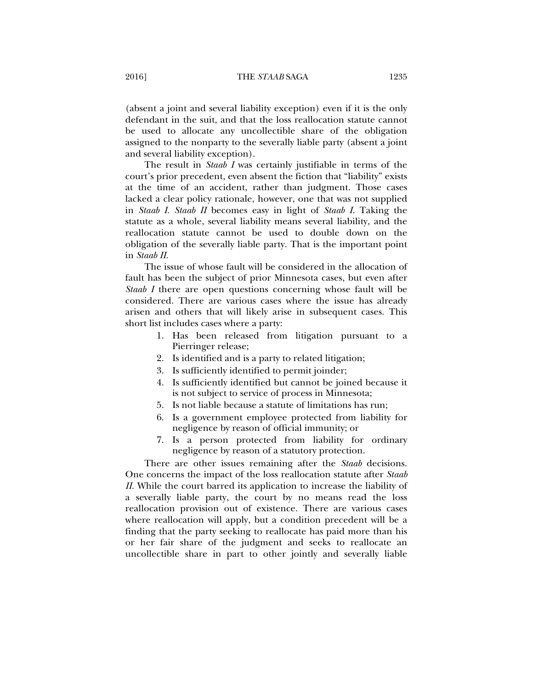(absent a joint and several liability exception) even if it is the only defendant in the suit, and that the loss reallocation statute cannot be used to allocate any uncollectible share of the obligation assigned to the nonparty to the severally liable party (absent a joint and several liability exception).

The result in *Staab I* was certainly justifiable in terms of the court's prior precedent, even absent the fiction that "liability" exists at the time of an accident, rather than judgment. Those cases lacked a clear policy rationale, however, one that was not supplied in *Staab I*. *Staab II* becomes easy in light of *Staab I*. Taking the statute as a whole, several liability means several liability, and the reallocation statute cannot be used to double down on the obligation of the severally liable party. That is the important point in *Staab II*.

The issue of whose fault will be considered in the allocation of fault has been the subject of prior Minnesota cases, but even after *Staab I* there are open questions concerning whose fault will be considered. There are various cases where the issue has already arisen and others that will likely arise in subsequent cases. This short list includes cases where a party:

- 1. Has been released from litigation pursuant to a Pierringer release;
- 2. Is identified and is a party to related litigation;
- 3. Is sufficiently identified to permit joinder;
- 4. Is sufficiently identified but cannot be joined because it is not subject to service of process in Minnesota;
- 5. Is not liable because a statute of limitations has run;
- 6. Is a government employee protected from liability for negligence by reason of official immunity; or
- 7. Is a person protected from liability for ordinary negligence by reason of a statutory protection.

There are other issues remaining after the *Staab* decisions. One concerns the impact of the loss reallocation statute after *Staab II*. While the court barred its application to increase the liability of a severally liable party, the court by no means read the loss reallocation provision out of existence. There are various cases where reallocation will apply, but a condition precedent will be a finding that the party seeking to reallocate has paid more than his or her fair share of the judgment and seeks to reallocate an uncollectible share in part to other jointly and severally liable